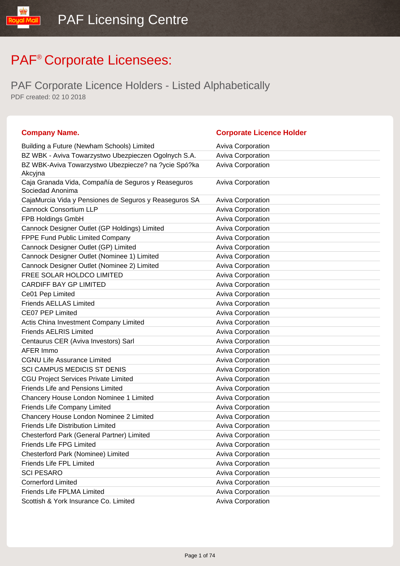| <b>Company Name.</b>                                                    | <b>Corporate Licence Holder</b> |
|-------------------------------------------------------------------------|---------------------------------|
| Building a Future (Newham Schools) Limited                              | Aviva Corporation               |
| BZ WBK - Aviva Towarzystwo Ubezpieczen Ogolnych S.A.                    | Aviva Corporation               |
| BZ WBK-Aviva Towarzystwo Ubezpiecze? na ?ycie Spó?ka<br>Akcyjna         | Aviva Corporation               |
| Caja Granada Vida, Compañía de Seguros y Reaseguros<br>Sociedad Anonima | <b>Aviva Corporation</b>        |
| CajaMurcia Vida y Pensiones de Seguros y Reaseguros SA                  | <b>Aviva Corporation</b>        |
| <b>Cannock Consortium LLP</b>                                           | <b>Aviva Corporation</b>        |
| FPB Holdings GmbH                                                       | Aviva Corporation               |
| Cannock Designer Outlet (GP Holdings) Limited                           | Aviva Corporation               |
| FPPE Fund Public Limited Company                                        | Aviva Corporation               |
| Cannock Designer Outlet (GP) Limited                                    | Aviva Corporation               |
| Cannock Designer Outlet (Nominee 1) Limited                             | Aviva Corporation               |
| Cannock Designer Outlet (Nominee 2) Limited                             | <b>Aviva Corporation</b>        |
| FREE SOLAR HOLDCO LIMITED                                               | Aviva Corporation               |
| <b>CARDIFF BAY GP LIMITED</b>                                           | Aviva Corporation               |
| Ce01 Pep Limited                                                        | Aviva Corporation               |
| <b>Friends AELLAS Limited</b>                                           | Aviva Corporation               |
| <b>CE07 PEP Limited</b>                                                 | Aviva Corporation               |
| Actis China Investment Company Limited                                  | Aviva Corporation               |
| <b>Friends AELRIS Limited</b>                                           | Aviva Corporation               |
| Centaurus CER (Aviva Investors) Sarl                                    | Aviva Corporation               |
| AFER Immo                                                               | Aviva Corporation               |
| <b>CGNU Life Assurance Limited</b>                                      | Aviva Corporation               |
| <b>SCI CAMPUS MEDICIS ST DENIS</b>                                      | Aviva Corporation               |
| <b>CGU Project Services Private Limited</b>                             | Aviva Corporation               |
| <b>Friends Life and Pensions Limited</b>                                | Aviva Corporation               |
| Chancery House London Nominee 1 Limited                                 | Aviva Corporation               |
| Friends Life Company Limited                                            | Aviva Corporation               |
| Chancery House London Nominee 2 Limited                                 | Aviva Corporation               |
| Friends Life Distribution Limited                                       | <b>Aviva Corporation</b>        |
| Chesterford Park (General Partner) Limited                              | <b>Aviva Corporation</b>        |
| <b>Friends Life FPG Limited</b>                                         | Aviva Corporation               |
| Chesterford Park (Nominee) Limited                                      | Aviva Corporation               |
| Friends Life FPL Limited                                                | Aviva Corporation               |
| <b>SCI PESARO</b>                                                       | <b>Aviva Corporation</b>        |
| <b>Cornerford Limited</b>                                               | <b>Aviva Corporation</b>        |
| <b>Friends Life FPLMA Limited</b>                                       | <b>Aviva Corporation</b>        |
| Scottish & York Insurance Co. Limited                                   | Aviva Corporation               |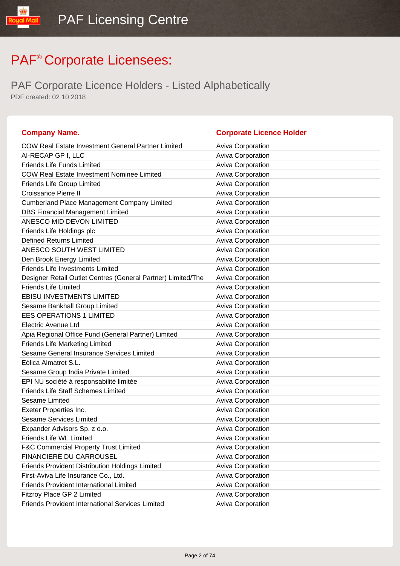| <b>Company Name.</b>                                         | <b>Corporate Licence Holder</b> |
|--------------------------------------------------------------|---------------------------------|
| <b>COW Real Estate Investment General Partner Limited</b>    | <b>Aviva Corporation</b>        |
| AI-RECAP GP I, LLC                                           | Aviva Corporation               |
| <b>Friends Life Funds Limited</b>                            | Aviva Corporation               |
| <b>COW Real Estate Investment Nominee Limited</b>            | Aviva Corporation               |
| Friends Life Group Limited                                   | Aviva Corporation               |
| <b>Croissance Pierre II</b>                                  | Aviva Corporation               |
| <b>Cumberland Place Management Company Limited</b>           | Aviva Corporation               |
| <b>DBS Financial Management Limited</b>                      | Aviva Corporation               |
| ANESCO MID DEVON LIMITED                                     | <b>Aviva Corporation</b>        |
| Friends Life Holdings plc                                    | Aviva Corporation               |
| <b>Defined Returns Limited</b>                               | Aviva Corporation               |
| ANESCO SOUTH WEST LIMITED                                    | Aviva Corporation               |
| Den Brook Energy Limited                                     | Aviva Corporation               |
| <b>Friends Life Investments Limited</b>                      | Aviva Corporation               |
| Designer Retail Outlet Centres (General Partner) Limited/The | <b>Aviva Corporation</b>        |
| <b>Friends Life Limited</b>                                  | Aviva Corporation               |
| <b>EBISU INVESTMENTS LIMITED</b>                             | Aviva Corporation               |
| Sesame Bankhall Group Limited                                | Aviva Corporation               |
| <b>EES OPERATIONS 1 LIMITED</b>                              | Aviva Corporation               |
| <b>Electric Avenue Ltd</b>                                   | Aviva Corporation               |
| Apia Regional Office Fund (General Partner) Limited          | Aviva Corporation               |
| <b>Friends Life Marketing Limited</b>                        | Aviva Corporation               |
| Sesame General Insurance Services Limited                    | Aviva Corporation               |
| Eólica Almatret S.L.                                         | Aviva Corporation               |
| Sesame Group India Private Limited                           | Aviva Corporation               |
| EPI NU société à responsabilité limitée                      | Aviva Corporation               |
| <b>Friends Life Staff Schemes Limited</b>                    | Aviva Corporation               |
| <b>Sesame Limited</b>                                        | Aviva Corporation               |
| Exeter Properties Inc.                                       | Aviva Corporation               |
| <b>Sesame Services Limited</b>                               | Aviva Corporation               |
| Expander Advisors Sp. z o.o.                                 | <b>Aviva Corporation</b>        |
| Friends Life WL Limited                                      | <b>Aviva Corporation</b>        |
| <b>F&amp;C Commercial Property Trust Limited</b>             | <b>Aviva Corporation</b>        |
| <b>FINANCIERE DU CARROUSEL</b>                               | Aviva Corporation               |
| Friends Provident Distribution Holdings Limited              | <b>Aviva Corporation</b>        |
| First-Aviva Life Insurance Co., Ltd.                         | Aviva Corporation               |
| <b>Friends Provident International Limited</b>               | <b>Aviva Corporation</b>        |
| Fitzroy Place GP 2 Limited                                   | Aviva Corporation               |
| <b>Friends Provident International Services Limited</b>      | Aviva Corporation               |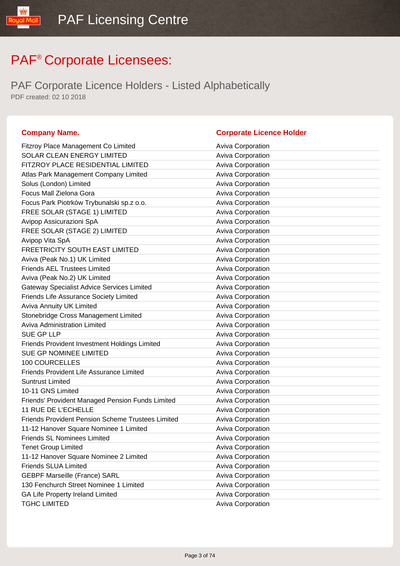PAF Corporate Licence Holders - Listed Alphabetically PDF created: 02 10 2018

#### **Company Name. Corporate Licence Holder** Fitzroy Place Management Co Limited **Aviva Corporation** Aviva Corporation SOLAR CLEAN ENERGY LIMITED Aviva Corporation FITZROY PLACE RESIDENTIAL LIMITED Aviva Corporation Atlas Park Management Company Limited Aviva Corporation Aviva Corporation Solus (London) Limited Aviva Corporation Focus Mall Zielona Gora **Aviva Corporation** Aviva Corporation Focus Park Piotrków Trybunalski sp.z o.o. **Aviva Corporation** Aviva Corporation FREE SOLAR (STAGE 1) LIMITED Aviva Corporation Avipop Assicurazioni SpA Aviva Corporation Aviva Corporation FREE SOLAR (STAGE 2) LIMITED Aviva Corporation Avipop Vita SpA **Avida Corporation** Aviva Corporation FREETRICITY SOUTH EAST LIMITED **Aviva Corporation** Aviva (Peak No.1) UK Limited Aviva Corporation Friends AEL Trustees Limited **Aviva Corporation** Aviva Corporation Aviva (Peak No.2) UK Limited Aviva Corporation Aviva Corporation Gateway Specialist Advice Services Limited **Aviva Corporation** Friends Life Assurance Society Limited **Aviva Corporation** Aviva Corporation Aviva Annuity UK Limited Aviva Corporation Aviva Corporation Stonebridge Cross Management Limited Aviva Corporation Aviva Administration Limited **Aviva Corporation** Aviva Corporation SUE GP LLP Aviva Corporation Friends Provident Investment Holdings Limited Aviva Corporation SUE GP NOMINEE LIMITED Aviva Corporation 100 COURCELLES Aviva Corporation Friends Provident Life Assurance Limited Aviva Corporation Suntrust Limited **Aviva Corporation Aviva Corporation** 10-11 GNS Limited **Aviva Corporation Aviva Corporation** Friends' Provident Managed Pension Funds Limited Aviva Corporation 11 RUE DE L'ECHELLE Aviva Corporation Friends Provident Pension Scheme Trustees Limited Aviva Corporation 11-12 Hanover Square Nominee 1 Limited Aviva Corporation Friends SL Nominees Limited **Aviva Corporation** Aviva Corporation Tenet Group Limited **Aviva Corporation** Aviva Corporation 11-12 Hanover Square Nominee 2 Limited Aviva Corporation Friends SLUA Limited **Aviva Corporation** Aviva Corporation GEBPF Marseille (France) SARL Aviva Corporation Aviva Corporation 130 Fenchurch Street Nominee 1 Limited Aviva Corporation GA Life Property Ireland Limited **Aviva Corporation** Aviva Corporation TGHC LIMITED **Aviva Corporation Aviva Corporation**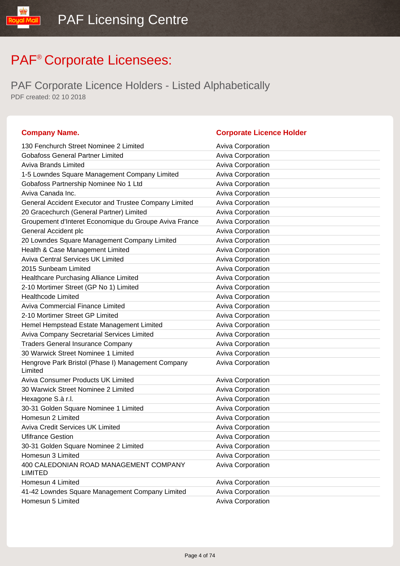IlipM lipu

| <b>Company Name.</b>                                          | <b>Corporate Licence Holder</b> |
|---------------------------------------------------------------|---------------------------------|
| 130 Fenchurch Street Nominee 2 Limited                        | <b>Aviva Corporation</b>        |
| <b>Gobafoss General Partner Limited</b>                       | <b>Aviva Corporation</b>        |
| <b>Aviva Brands Limited</b>                                   | <b>Aviva Corporation</b>        |
| 1-5 Lowndes Square Management Company Limited                 | Aviva Corporation               |
| Gobafoss Partnership Nominee No 1 Ltd                         | Aviva Corporation               |
| Aviva Canada Inc.                                             | Aviva Corporation               |
| General Accident Executor and Trustee Company Limited         | Aviva Corporation               |
| 20 Gracechurch (General Partner) Limited                      | <b>Aviva Corporation</b>        |
| Groupement d'Interet Economique du Groupe Aviva France        | Aviva Corporation               |
| General Accident plc                                          | Aviva Corporation               |
| 20 Lowndes Square Management Company Limited                  | Aviva Corporation               |
| Health & Case Management Limited                              | Aviva Corporation               |
| <b>Aviva Central Services UK Limited</b>                      | Aviva Corporation               |
| 2015 Sunbeam Limited                                          | <b>Aviva Corporation</b>        |
| Healthcare Purchasing Alliance Limited                        | Aviva Corporation               |
| 2-10 Mortimer Street (GP No 1) Limited                        | Aviva Corporation               |
| <b>Healthcode Limited</b>                                     | <b>Aviva Corporation</b>        |
| <b>Aviva Commercial Finance Limited</b>                       | Aviva Corporation               |
| 2-10 Mortimer Street GP Limited                               | Aviva Corporation               |
| Hemel Hempstead Estate Management Limited                     | Aviva Corporation               |
| Aviva Company Secretarial Services Limited                    | Aviva Corporation               |
| <b>Traders General Insurance Company</b>                      | Aviva Corporation               |
| 30 Warwick Street Nominee 1 Limited                           | Aviva Corporation               |
| Hengrove Park Bristol (Phase I) Management Company<br>Limited | Aviva Corporation               |
| <b>Aviva Consumer Products UK Limited</b>                     | Aviva Corporation               |
| 30 Warwick Street Nominee 2 Limited                           | Aviva Corporation               |
| Hexagone S.à r.l.                                             | Aviva Corporation               |
| 30-31 Golden Square Nominee 1 Limited                         | Aviva Corporation               |
| Homesun 2 Limited                                             | Aviva Corporation               |
| <b>Aviva Credit Services UK Limited</b>                       | <b>Aviva Corporation</b>        |
| <b>Ufifrance Gestion</b>                                      | <b>Aviva Corporation</b>        |
| 30-31 Golden Square Nominee 2 Limited                         | Aviva Corporation               |
| Homesun 3 Limited                                             | Aviva Corporation               |
| 400 CALEDONIAN ROAD MANAGEMENT COMPANY<br><b>LIMITED</b>      | Aviva Corporation               |
| Homesun 4 Limited                                             | Aviva Corporation               |
| 41-42 Lowndes Square Management Company Limited               | Aviva Corporation               |
| Homesun 5 Limited                                             | <b>Aviva Corporation</b>        |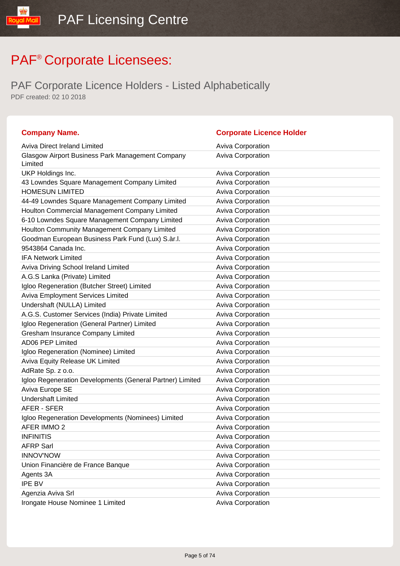| <b>Company Name.</b>                                        | <b>Corporate Licence Holder</b> |
|-------------------------------------------------------------|---------------------------------|
| Aviva Direct Ireland Limited                                | <b>Aviva Corporation</b>        |
| Glasgow Airport Business Park Management Company<br>Limited | <b>Aviva Corporation</b>        |
| UKP Holdings Inc.                                           | <b>Aviva Corporation</b>        |
| 43 Lowndes Square Management Company Limited                | Aviva Corporation               |
| <b>HOMESUN LIMITED</b>                                      | Aviva Corporation               |
| 44-49 Lowndes Square Management Company Limited             | <b>Aviva Corporation</b>        |
| Houlton Commercial Management Company Limited               | Aviva Corporation               |
| 6-10 Lowndes Square Management Company Limited              | Aviva Corporation               |
| Houlton Community Management Company Limited                | <b>Aviva Corporation</b>        |
| Goodman European Business Park Fund (Lux) S.àr.l.           | Aviva Corporation               |
| 9543864 Canada Inc.                                         | Aviva Corporation               |
| <b>IFA Network Limited</b>                                  | <b>Aviva Corporation</b>        |
| Aviva Driving School Ireland Limited                        | <b>Aviva Corporation</b>        |
| A.G.S Lanka (Private) Limited                               | Aviva Corporation               |
| Igloo Regeneration (Butcher Street) Limited                 | <b>Aviva Corporation</b>        |
| Aviva Employment Services Limited                           | Aviva Corporation               |
| Undershaft (NULLA) Limited                                  | Aviva Corporation               |
| A.G.S. Customer Services (India) Private Limited            | <b>Aviva Corporation</b>        |
| Igloo Regeneration (General Partner) Limited                | <b>Aviva Corporation</b>        |
| Gresham Insurance Company Limited                           | Aviva Corporation               |
| <b>AD06 PEP Limited</b>                                     | <b>Aviva Corporation</b>        |
| Igloo Regeneration (Nominee) Limited                        | <b>Aviva Corporation</b>        |
| Aviva Equity Release UK Limited                             | Aviva Corporation               |
| AdRate Sp. z o.o.                                           | <b>Aviva Corporation</b>        |
| Igloo Regeneration Developments (General Partner) Limited   | <b>Aviva Corporation</b>        |
| Aviva Europe SE                                             | Aviva Corporation               |
| <b>Undershaft Limited</b>                                   | <b>Aviva Corporation</b>        |
| AFER - SFER                                                 | <b>Aviva Corporation</b>        |
| Igloo Regeneration Developments (Nominees) Limited          | Aviva Corporation               |
| AFER IMMO 2                                                 | Aviva Corporation               |
| <b>INFINITIS</b>                                            | <b>Aviva Corporation</b>        |
| <b>AFRP Sarl</b>                                            | Aviva Corporation               |
| <b>INNOV'NOW</b>                                            | Aviva Corporation               |
| Union Financière de France Banque                           | Aviva Corporation               |
| Agents 3A                                                   | Aviva Corporation               |
| <b>IPE BV</b>                                               | Aviva Corporation               |
| Agenzia Aviva Srl                                           | Aviva Corporation               |
| Irongate House Nominee 1 Limited                            | Aviva Corporation               |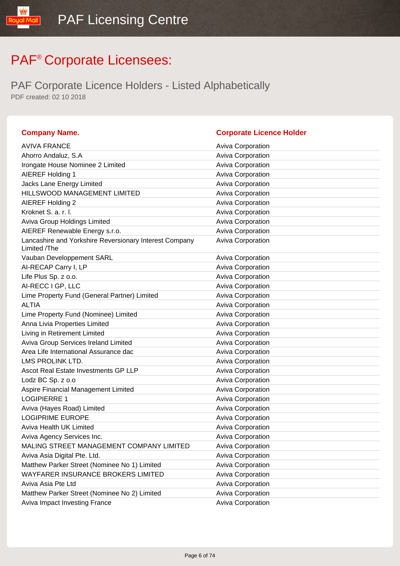| <b>Company Name.</b>                                                   | <b>Corporate Licence Holder</b> |
|------------------------------------------------------------------------|---------------------------------|
| <b>AVIVA FRANCE</b>                                                    | Aviva Corporation               |
| Ahorro Andaluz, S.A                                                    | <b>Aviva Corporation</b>        |
| Irongate House Nominee 2 Limited                                       | Aviva Corporation               |
| AIEREF Holding 1                                                       | Aviva Corporation               |
| Jacks Lane Energy Limited                                              | Aviva Corporation               |
| HILLSWOOD MANAGEMENT LIMITED                                           | Aviva Corporation               |
| AIEREF Holding 2                                                       | Aviva Corporation               |
| Kroknet S. a. r. l.                                                    | <b>Aviva Corporation</b>        |
| Aviva Group Holdings Limited                                           | Aviva Corporation               |
| AIEREF Renewable Energy s.r.o.                                         | Aviva Corporation               |
| Lancashire and Yorkshire Reversionary Interest Company<br>Limited /The | <b>Aviva Corporation</b>        |
| Vauban Developpement SARL                                              | <b>Aviva Corporation</b>        |
| AI-RECAP Carry I, LP                                                   | <b>Aviva Corporation</b>        |
| Life Plus Sp. z o.o.                                                   | Aviva Corporation               |
| AI-RECC I GP, LLC                                                      | <b>Aviva Corporation</b>        |
| Lime Property Fund (General Partner) Limited                           | Aviva Corporation               |
| <b>ALTIA</b>                                                           | <b>Aviva Corporation</b>        |
| Lime Property Fund (Nominee) Limited                                   | Aviva Corporation               |
| Anna Livia Properties Limited                                          | <b>Aviva Corporation</b>        |
| Living in Retirement Limited                                           | Aviva Corporation               |
| Aviva Group Services Ireland Limited                                   | Aviva Corporation               |
| Area Life International Assurance dac                                  | Aviva Corporation               |
| LMS PROLINK LTD.                                                       | Aviva Corporation               |
| Ascot Real Estate Investments GP LLP                                   | Aviva Corporation               |
| Lodz BC Sp. z o.o                                                      | Aviva Corporation               |
| Aspire Financial Management Limited                                    | Aviva Corporation               |
| <b>LOGIPIERRE 1</b>                                                    | Aviva Corporation               |
| Aviva (Hayes Road) Limited                                             | Aviva Corporation               |
| <b>LOGIPRIME EUROPE</b>                                                | Aviva Corporation               |
| <b>Aviva Health UK Limited</b>                                         | <b>Aviva Corporation</b>        |
| Aviva Agency Services Inc.                                             | <b>Aviva Corporation</b>        |
| MALING STREET MANAGEMENT COMPANY LIMITED                               | Aviva Corporation               |
| Aviva Asia Digital Pte. Ltd.                                           | Aviva Corporation               |
| Matthew Parker Street (Nominee No 1) Limited                           | Aviva Corporation               |
| WAYFARER INSURANCE BROKERS LIMITED                                     | <b>Aviva Corporation</b>        |
| Aviva Asia Pte Ltd                                                     | <b>Aviva Corporation</b>        |
| Matthew Parker Street (Nominee No 2) Limited                           | Aviva Corporation               |
| Aviva Impact Investing France                                          | <b>Aviva Corporation</b>        |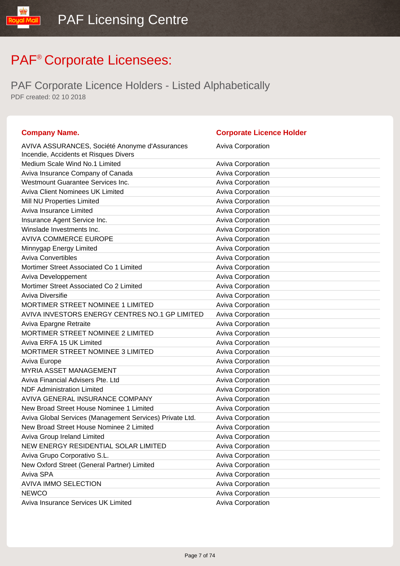| <b>Company Name.</b>                                                                    | <b>Corporate Licence Holder</b> |
|-----------------------------------------------------------------------------------------|---------------------------------|
| AVIVA ASSURANCES, Société Anonyme d'Assurances<br>Incendie, Accidents et Risques Divers | <b>Aviva Corporation</b>        |
| Medium Scale Wind No.1 Limited                                                          | <b>Aviva Corporation</b>        |
| Aviva Insurance Company of Canada                                                       | <b>Aviva Corporation</b>        |
| Westmount Guarantee Services Inc.                                                       | Aviva Corporation               |
| <b>Aviva Client Nominees UK Limited</b>                                                 | Aviva Corporation               |
| Mill NU Properties Limited                                                              | <b>Aviva Corporation</b>        |
| Aviva Insurance Limited                                                                 | Aviva Corporation               |
| Insurance Agent Service Inc.                                                            | Aviva Corporation               |
| Winslade Investments Inc.                                                               | <b>Aviva Corporation</b>        |
| <b>AVIVA COMMERCE EUROPE</b>                                                            | Aviva Corporation               |
| Minnygap Energy Limited                                                                 | Aviva Corporation               |
| <b>Aviva Convertibles</b>                                                               | <b>Aviva Corporation</b>        |
| Mortimer Street Associated Co 1 Limited                                                 | <b>Aviva Corporation</b>        |
| Aviva Developpement                                                                     | Aviva Corporation               |
| Mortimer Street Associated Co 2 Limited                                                 | <b>Aviva Corporation</b>        |
| Aviva Diversifie                                                                        | <b>Aviva Corporation</b>        |
| MORTIMER STREET NOMINEE 1 LIMITED                                                       | Aviva Corporation               |
| AVIVA INVESTORS ENERGY CENTRES NO.1 GP LIMITED                                          | <b>Aviva Corporation</b>        |
| Aviva Epargne Retraite                                                                  | <b>Aviva Corporation</b>        |
| MORTIMER STREET NOMINEE 2 LIMITED                                                       | Aviva Corporation               |
| Aviva ERFA 15 UK Limited                                                                | <b>Aviva Corporation</b>        |
| MORTIMER STREET NOMINEE 3 LIMITED                                                       | Aviva Corporation               |
| Aviva Europe                                                                            | Aviva Corporation               |
| <b>MYRIA ASSET MANAGEMENT</b>                                                           | <b>Aviva Corporation</b>        |
| Aviva Financial Advisers Pte. Ltd                                                       | Aviva Corporation               |
| <b>NDF Administration Limited</b>                                                       | Aviva Corporation               |
| AVIVA GENERAL INSURANCE COMPANY                                                         | <b>Aviva Corporation</b>        |
| New Broad Street House Nominee 1 Limited                                                | <b>Aviva Corporation</b>        |
| Aviva Global Services (Management Services) Private Ltd.                                | Aviva Corporation               |
| New Broad Street House Nominee 2 Limited                                                | Aviva Corporation               |
| Aviva Group Ireland Limited                                                             | <b>Aviva Corporation</b>        |
| NEW ENERGY RESIDENTIAL SOLAR LIMITED                                                    | Aviva Corporation               |
| Aviva Grupo Corporativo S.L.                                                            | Aviva Corporation               |
| New Oxford Street (General Partner) Limited                                             | Aviva Corporation               |
| Aviva SPA                                                                               | Aviva Corporation               |
| <b>AVIVA IMMO SELECTION</b>                                                             | <b>Aviva Corporation</b>        |
| <b>NEWCO</b>                                                                            | Aviva Corporation               |
| Aviva Insurance Services UK Limited                                                     | Aviva Corporation               |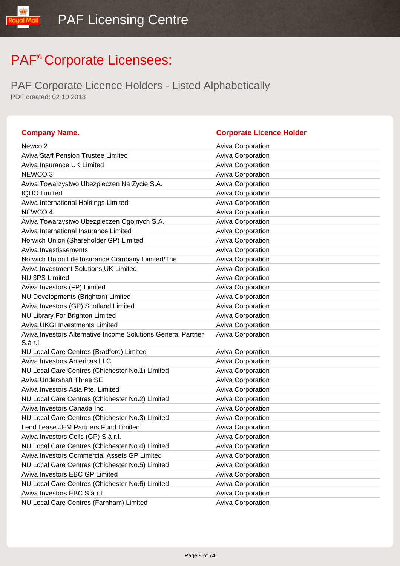| <b>Company Name.</b>                                         | <b>Corporate Licence Holder</b> |
|--------------------------------------------------------------|---------------------------------|
| Newco <sub>2</sub>                                           | <b>Aviva Corporation</b>        |
| <b>Aviva Staff Pension Trustee Limited</b>                   | Aviva Corporation               |
| Aviva Insurance UK Limited                                   | Aviva Corporation               |
| NEWCO <sub>3</sub>                                           | Aviva Corporation               |
| Aviva Towarzystwo Ubezpieczen Na Zycie S.A.                  | Aviva Corporation               |
| <b>IQUO Limited</b>                                          | Aviva Corporation               |
| Aviva International Holdings Limited                         | <b>Aviva Corporation</b>        |
| NEWCO 4                                                      | Aviva Corporation               |
| Aviva Towarzystwo Ubezpieczen Ogolnych S.A.                  | Aviva Corporation               |
| Aviva International Insurance Limited                        | Aviva Corporation               |
| Norwich Union (Shareholder GP) Limited                       | Aviva Corporation               |
| Aviva Investissements                                        | Aviva Corporation               |
| Norwich Union Life Insurance Company Limited/The             | Aviva Corporation               |
| Aviva Investment Solutions UK Limited                        | Aviva Corporation               |
| <b>NU 3PS Limited</b>                                        | Aviva Corporation               |
| Aviva Investors (FP) Limited                                 | <b>Aviva Corporation</b>        |
| NU Developments (Brighton) Limited                           | Aviva Corporation               |
| Aviva Investors (GP) Scotland Limited                        | Aviva Corporation               |
| <b>NU Library For Brighton Limited</b>                       | Aviva Corporation               |
| <b>Aviva UKGI Investments Limited</b>                        | Aviva Corporation               |
| Aviva Investors Alternative Income Solutions General Partner | Aviva Corporation               |
| S.à r.l.                                                     |                                 |
| NU Local Care Centres (Bradford) Limited                     | Aviva Corporation               |
| <b>Aviva Investors Americas LLC</b>                          | Aviva Corporation               |
| NU Local Care Centres (Chichester No.1) Limited              | Aviva Corporation               |
| <b>Aviva Undershaft Three SE</b>                             | Aviva Corporation               |
| Aviva Investors Asia Pte. Limited                            | Aviva Corporation               |
| NU Local Care Centres (Chichester No.2) Limited              | Aviva Corporation               |
| Aviva Investors Canada Inc.                                  | Aviva Corporation               |
| NU Local Care Centres (Chichester No.3) Limited              | Aviva Corporation               |
| Lend Lease JEM Partners Fund Limited                         | Aviva Corporation               |
| Aviva Investors Cells (GP) S.à r.l.                          | <b>Aviva Corporation</b>        |
| NU Local Care Centres (Chichester No.4) Limited              | Aviva Corporation               |
| Aviva Investors Commercial Assets GP Limited                 | Aviva Corporation               |
| NU Local Care Centres (Chichester No.5) Limited              | <b>Aviva Corporation</b>        |
| Aviva Investors EBC GP Limited                               | Aviva Corporation               |
| NU Local Care Centres (Chichester No.6) Limited              | Aviva Corporation               |
| Aviva Investors EBC S.à r.l.                                 | Aviva Corporation               |
| NU Local Care Centres (Farnham) Limited                      | Aviva Corporation               |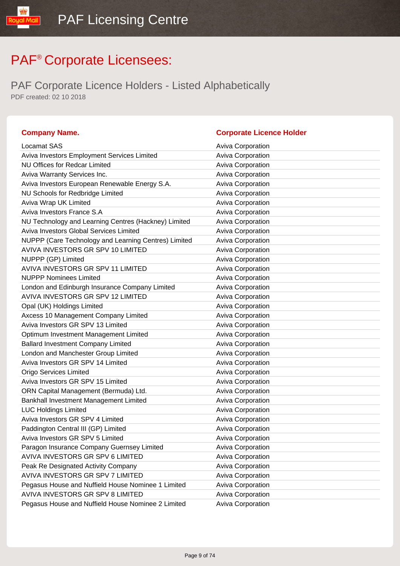| <b>Company Name.</b>                                 | <b>Corporate Licence Holder</b> |
|------------------------------------------------------|---------------------------------|
| Locamat SAS                                          | Aviva Corporation               |
| Aviva Investors Employment Services Limited          | <b>Aviva Corporation</b>        |
| <b>NU Offices for Redcar Limited</b>                 | Aviva Corporation               |
| Aviva Warranty Services Inc.                         | Aviva Corporation               |
| Aviva Investors European Renewable Energy S.A.       | <b>Aviva Corporation</b>        |
| NU Schools for Redbridge Limited                     | <b>Aviva Corporation</b>        |
| Aviva Wrap UK Limited                                | Aviva Corporation               |
| Aviva Investors France S.A                           | Aviva Corporation               |
| NU Technology and Learning Centres (Hackney) Limited | <b>Aviva Corporation</b>        |
| Aviva Investors Global Services Limited              | Aviva Corporation               |
| NUPPP (Care Technology and Learning Centres) Limited | Aviva Corporation               |
| AVIVA INVESTORS GR SPV 10 LIMITED                    | <b>Aviva Corporation</b>        |
| NUPPP (GP) Limited                                   | Aviva Corporation               |
| AVIVA INVESTORS GR SPV 11 LIMITED                    | Aviva Corporation               |
| <b>NUPPP Nominees Limited</b>                        | <b>Aviva Corporation</b>        |
| London and Edinburgh Insurance Company Limited       | Aviva Corporation               |
| AVIVA INVESTORS GR SPV 12 LIMITED                    | Aviva Corporation               |
| Opal (UK) Holdings Limited                           | Aviva Corporation               |
| Axcess 10 Management Company Limited                 | Aviva Corporation               |
| Aviva Investors GR SPV 13 Limited                    | Aviva Corporation               |
| Optimum Investment Management Limited                | Aviva Corporation               |
| <b>Ballard Investment Company Limited</b>            | Aviva Corporation               |
| London and Manchester Group Limited                  | Aviva Corporation               |
| Aviva Investors GR SPV 14 Limited                    | Aviva Corporation               |
| <b>Origo Services Limited</b>                        | Aviva Corporation               |
| Aviva Investors GR SPV 15 Limited                    | Aviva Corporation               |
| ORN Capital Management (Bermuda) Ltd.                | <b>Aviva Corporation</b>        |
| Bankhall Investment Management Limited               | Aviva Corporation               |
| <b>LUC Holdings Limited</b>                          | Aviva Corporation               |
| Aviva Investors GR SPV 4 Limited                     | <b>Aviva Corporation</b>        |
| Paddington Central III (GP) Limited                  | Aviva Corporation               |
| Aviva Investors GR SPV 5 Limited                     | <b>Aviva Corporation</b>        |
| Paragon Insurance Company Guernsey Limited           | Aviva Corporation               |
| AVIVA INVESTORS GR SPV 6 LIMITED                     | Aviva Corporation               |
| Peak Re Designated Activity Company                  | Aviva Corporation               |
| AVIVA INVESTORS GR SPV 7 LIMITED                     | <b>Aviva Corporation</b>        |
| Pegasus House and Nuffield House Nominee 1 Limited   | Aviva Corporation               |
| AVIVA INVESTORS GR SPV 8 LIMITED                     | Aviva Corporation               |
| Pegasus House and Nuffield House Nominee 2 Limited   | Aviva Corporation               |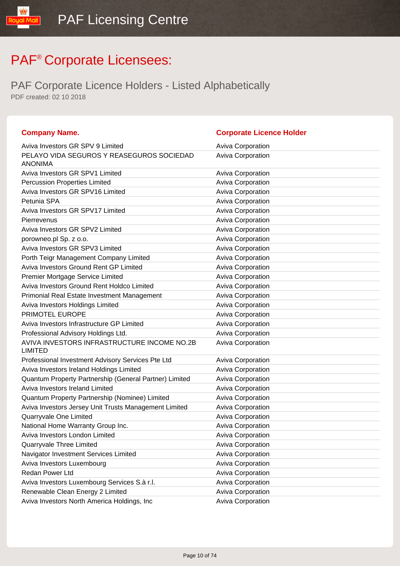| <b>Company Name.</b>                                          | <b>Corporate Licence Holder</b> |
|---------------------------------------------------------------|---------------------------------|
| Aviva Investors GR SPV 9 Limited                              | <b>Aviva Corporation</b>        |
| PELAYO VIDA SEGUROS Y REASEGUROS SOCIEDAD<br><b>ANONIMA</b>   | Aviva Corporation               |
| Aviva Investors GR SPV1 Limited                               | <b>Aviva Corporation</b>        |
| <b>Percussion Properties Limited</b>                          | Aviva Corporation               |
| Aviva Investors GR SPV16 Limited                              | Aviva Corporation               |
| Petunia SPA                                                   | <b>Aviva Corporation</b>        |
| Aviva Investors GR SPV17 Limited                              | Aviva Corporation               |
| Pierrevenus                                                   | <b>Aviva Corporation</b>        |
| Aviva Investors GR SPV2 Limited                               | Aviva Corporation               |
| porowneo.pl Sp. z o.o.                                        | Aviva Corporation               |
| Aviva Investors GR SPV3 Limited                               | Aviva Corporation               |
| Porth Teigr Management Company Limited                        | Aviva Corporation               |
| <b>Aviva Investors Ground Rent GP Limited</b>                 | Aviva Corporation               |
| Premier Mortgage Service Limited                              | <b>Aviva Corporation</b>        |
| Aviva Investors Ground Rent Holdco Limited                    | Aviva Corporation               |
| Primonial Real Estate Investment Management                   | Aviva Corporation               |
| Aviva Investors Holdings Limited                              | Aviva Corporation               |
| PRIMOTEL EUROPE                                               | Aviva Corporation               |
| Aviva Investors Infrastructure GP Limited                     | Aviva Corporation               |
| Professional Advisory Holdings Ltd.                           | Aviva Corporation               |
| AVIVA INVESTORS INFRASTRUCTURE INCOME NO.2B<br><b>LIMITED</b> | <b>Aviva Corporation</b>        |
| Professional Investment Advisory Services Pte Ltd             | <b>Aviva Corporation</b>        |
| Aviva Investors Ireland Holdings Limited                      | <b>Aviva Corporation</b>        |
| Quantum Property Partnership (General Partner) Limited        | Aviva Corporation               |
| Aviva Investors Ireland Limited                               | Aviva Corporation               |
| Quantum Property Partnership (Nominee) Limited                | Aviva Corporation               |
| Aviva Investors Jersey Unit Trusts Management Limited         | Aviva Corporation               |
| Quarryvale One Limited                                        | Aviva Corporation               |
| National Home Warranty Group Inc.                             | <b>Aviva Corporation</b>        |
| Aviva Investors London Limited                                | <b>Aviva Corporation</b>        |
| Quarryvale Three Limited                                      | Aviva Corporation               |
| Navigator Investment Services Limited                         | <b>Aviva Corporation</b>        |
| Aviva Investors Luxembourg                                    | Aviva Corporation               |
| Redan Power Ltd                                               | <b>Aviva Corporation</b>        |
| Aviva Investors Luxembourg Services S.à r.l.                  | <b>Aviva Corporation</b>        |
| Renewable Clean Energy 2 Limited                              | Aviva Corporation               |
| Aviva Investors North America Holdings, Inc.                  | Aviva Corporation               |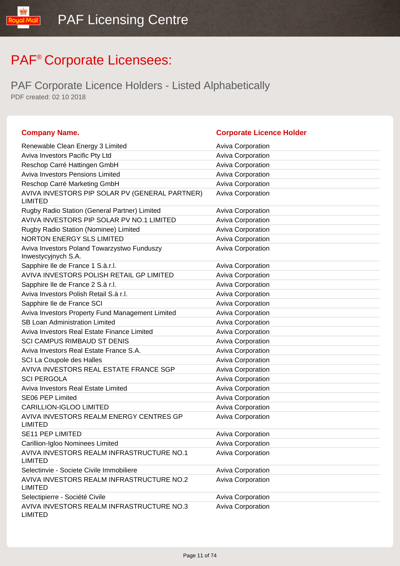lipM lpuo!

| <b>Company Name.</b>                                               | <b>Corporate Licence Holder</b> |
|--------------------------------------------------------------------|---------------------------------|
| Renewable Clean Energy 3 Limited                                   | <b>Aviva Corporation</b>        |
| Aviva Investors Pacific Pty Ltd                                    | <b>Aviva Corporation</b>        |
| Reschop Carré Hattingen GmbH                                       | Aviva Corporation               |
| <b>Aviva Investors Pensions Limited</b>                            | <b>Aviva Corporation</b>        |
| Reschop Carré Marketing GmbH                                       | <b>Aviva Corporation</b>        |
| AVIVA INVESTORS PIP SOLAR PV (GENERAL PARTNER)<br><b>LIMITED</b>   | <b>Aviva Corporation</b>        |
| Rugby Radio Station (General Partner) Limited                      | <b>Aviva Corporation</b>        |
| AVIVA INVESTORS PIP SOLAR PV NO.1 LIMITED                          | <b>Aviva Corporation</b>        |
| Rugby Radio Station (Nominee) Limited                              | Aviva Corporation               |
| <b>NORTON ENERGY SLS LIMITED</b>                                   | <b>Aviva Corporation</b>        |
| Aviva Investors Poland Towarzystwo Funduszy<br>Inwestycyjnych S.A. | <b>Aviva Corporation</b>        |
| Sapphire Ile de France 1 S.à.r.l.                                  | <b>Aviva Corporation</b>        |
| AVIVA INVESTORS POLISH RETAIL GP LIMITED                           | <b>Aviva Corporation</b>        |
| Sapphire Ile de France 2 S.à r.l.                                  | <b>Aviva Corporation</b>        |
| Aviva Investors Polish Retail S.à r.l.                             | <b>Aviva Corporation</b>        |
| Sapphire Ile de France SCI                                         | <b>Aviva Corporation</b>        |
| Aviva Investors Property Fund Management Limited                   | <b>Aviva Corporation</b>        |
| <b>SB Loan Administration Limited</b>                              | <b>Aviva Corporation</b>        |
| Aviva Investors Real Estate Finance Limited                        | <b>Aviva Corporation</b>        |
| <b>SCI CAMPUS RIMBAUD ST DENIS</b>                                 | Aviva Corporation               |
| Aviva Investors Real Estate France S.A.                            | <b>Aviva Corporation</b>        |
| SCI La Coupole des Halles                                          | Aviva Corporation               |
| AVIVA INVESTORS REAL ESTATE FRANCE SGP                             | Aviva Corporation               |
| <b>SCI PERGOLA</b>                                                 | <b>Aviva Corporation</b>        |
| Aviva Investors Real Estate Limited                                | <b>Aviva Corporation</b>        |
| SE06 PEP Limited                                                   | Aviva Corporation               |
| <b>CARILLION-IGLOO LIMITED</b>                                     | Aviva Corporation               |
| AVIVA INVESTORS REALM ENERGY CENTRES GP<br><b>LIMITED</b>          | Aviva Corporation               |
| SE11 PEP LIMITED                                                   | <b>Aviva Corporation</b>        |
| Carillion-Igloo Nominees Limited                                   | Aviva Corporation               |
| AVIVA INVESTORS REALM INFRASTRUCTURE NO.1<br><b>LIMITED</b>        | Aviva Corporation               |
| Selectinvie - Societe Civile Immobiliere                           | <b>Aviva Corporation</b>        |
| AVIVA INVESTORS REALM INFRASTRUCTURE NO.2<br><b>LIMITED</b>        | Aviva Corporation               |
| Selectipierre - Société Civile                                     | Aviva Corporation               |
| AVIVA INVESTORS REALM INFRASTRUCTURE NO.3<br><b>LIMITED</b>        | Aviva Corporation               |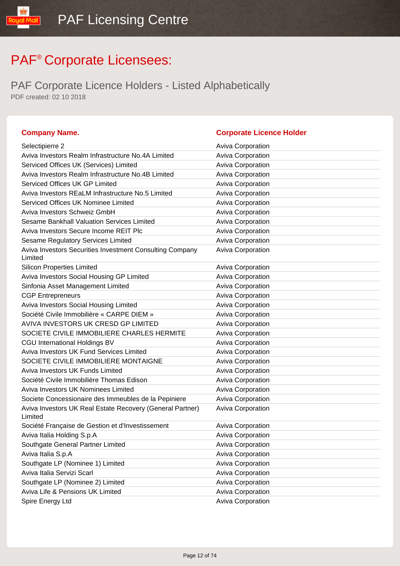lipM louo?

| <b>Company Name.</b>                                                 | <b>Corporate Licence Holder</b> |
|----------------------------------------------------------------------|---------------------------------|
| Selectipierre 2                                                      | <b>Aviva Corporation</b>        |
| Aviva Investors Realm Infrastructure No.4A Limited                   | <b>Aviva Corporation</b>        |
| Serviced Offices UK (Services) Limited                               | Aviva Corporation               |
| Aviva Investors Realm Infrastructure No.4B Limited                   | Aviva Corporation               |
| Serviced Offices UK GP Limited                                       | Aviva Corporation               |
| Aviva Investors REaLM Infrastructure No.5 Limited                    | Aviva Corporation               |
| Serviced Offices UK Nominee Limited                                  | Aviva Corporation               |
| Aviva Investors Schweiz GmbH                                         | Aviva Corporation               |
| Sesame Bankhall Valuation Services Limited                           | Aviva Corporation               |
| Aviva Investors Secure Income REIT Plc                               | Aviva Corporation               |
| Sesame Regulatory Services Limited                                   | Aviva Corporation               |
| Aviva Investors Securities Investment Consulting Company<br>Limited  | Aviva Corporation               |
| <b>Silicon Properties Limited</b>                                    | <b>Aviva Corporation</b>        |
| Aviva Investors Social Housing GP Limited                            | Aviva Corporation               |
| Sinfonia Asset Management Limited                                    | Aviva Corporation               |
| <b>CGP Entrepreneurs</b>                                             | Aviva Corporation               |
| Aviva Investors Social Housing Limited                               | Aviva Corporation               |
| Société Civile Immobilière « CARPE DIEM »                            | <b>Aviva Corporation</b>        |
| AVIVA INVESTORS UK CRESD GP LIMITED                                  | <b>Aviva Corporation</b>        |
| SOCIETE CIVILE IMMOBILIERE CHARLES HERMITE                           | Aviva Corporation               |
| <b>CGU International Holdings BV</b>                                 | Aviva Corporation               |
| Aviva Investors UK Fund Services Limited                             | Aviva Corporation               |
| SOCIETE CIVILE IMMOBILIERE MONTAIGNE                                 | Aviva Corporation               |
| Aviva Investors UK Funds Limited                                     | Aviva Corporation               |
| Société Civile Immobilière Thomas Edison                             | Aviva Corporation               |
| Aviva Investors UK Nominees Limited                                  | Aviva Corporation               |
| Societe Concessionaire des Immeubles de la Pepiniere                 | Aviva Corporation               |
| Aviva Investors UK Real Estate Recovery (General Partner)<br>Limited | Aviva Corporation               |
| Société Française de Gestion et d'Investissement                     | <b>Aviva Corporation</b>        |
| Aviva Italia Holding S.p.A                                           | Aviva Corporation               |
| Southgate General Partner Limited                                    | Aviva Corporation               |
| Aviva Italia S.p.A                                                   | Aviva Corporation               |
| Southgate LP (Nominee 1) Limited                                     | Aviva Corporation               |
| Aviva Italia Servizi Scarl                                           | Aviva Corporation               |
| Southgate LP (Nominee 2) Limited                                     | Aviva Corporation               |
| Aviva Life & Pensions UK Limited                                     | Aviva Corporation               |
| Spire Energy Ltd                                                     | Aviva Corporation               |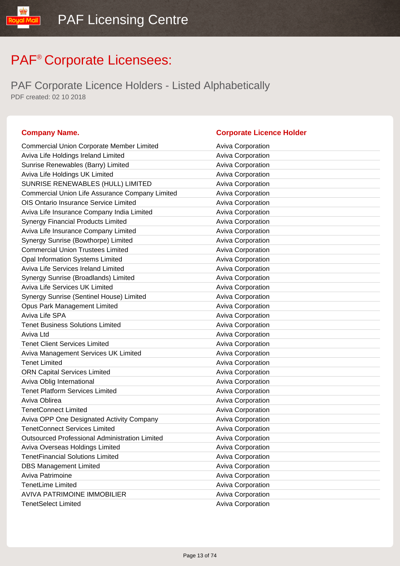PAF Corporate Licence Holders - Listed Alphabetically PDF created: 02 10 2018

#### **Company Name. Corporate Licence Holder**

#### Commercial Union Corporate Member Limited Aviva Corporation Aviva Life Holdings Ireland Limited Aviva Corporation Sunrise Renewables (Barry) Limited Aviva Corporation Aviva Life Holdings UK Limited Aviva Corporation Aviva Corporation SUNRISE RENEWABLES (HULL) LIMITED Aviva Corporation Commercial Union Life Assurance Company Limited Aviva Corporation OIS Ontario Insurance Service Limited **Aviva Corporation** Aviva Corporation Aviva Life Insurance Company India Limited **Aviva Corporation** Aviva Corporation Synergy Financial Products Limited **Aviva Corporation** Aviva Corporation Aviva Life Insurance Company Limited **Aviva Corporation** Synergy Sunrise (Bowthorpe) Limited Aviva Corporation Aviva Corporation Commercial Union Trustees Limited **Aviva Corporation** Aviva Corporation Opal Information Systems Limited Aviva Corporation Aviva Life Services Ireland Limited Aviva Corporation Synergy Sunrise (Broadlands) Limited Aviva Corporation Aviva Corporation Aviva Life Services UK Limited Aviva Corporation Synergy Sunrise (Sentinel House) Limited Aviva Corporation **Opus Park Management Limited Computer Contract Aviva Corporation** Aviva Life SPA **Aviva Corporation Aviva Corporation** Tenet Business Solutions Limited **Aviva Corporation** Aviva Corporation Aviva Ltd **Aviva Component Aviva Corporation** Tenet Client Services Limited **Aviva Corporation** Aviva Corporation Aviva Management Services UK Limited Aviva Corporation Aviva Corporation Tenet Limited **Aviva Corporation** ORN Capital Services Limited **Aviva Corporation** Aviva Corporation Aviva Oblig International Aviva Corporation Company Aviva Corporation Tenet Platform Services Limited **Aviva Corporation** Aviva Corporation Aviva Oblirea **Aviva Corporation** Aviva Corporation TenetConnect Limited **Aviva Corporation** Aviva Corporation Aviva OPP One Designated Activity Company **Aviva Corporation** TenetConnect Services Limited **Aviva Corporation** Aviva Corporation Outsourced Professional Administration Limited Aviva Corporation Aviva Overseas Holdings Limited Aviva Corporation Aviva Corporation TenetFinancial Solutions Limited **Aviva Corporation** Aviva Corporation DBS Management Limited **Aviva Corporation** Aviva Corporation Aviva Patrimoine **Aviva Corporation** Aviva Corporation TenetLime Limited **Aviva Corporation Aviva Corporation** AVIVA PATRIMOINE IMMOBILIER **AVIVA COLLECTES** Aviva Corporation TenetSelect Limited **Aviva Corporation** Aviva Corporation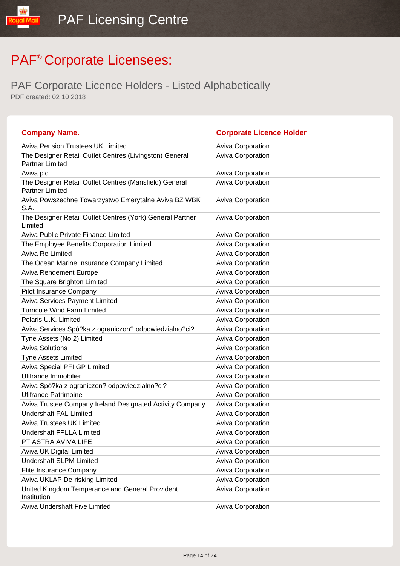| <b>Company Name.</b>                                                              | <b>Corporate Licence Holder</b> |
|-----------------------------------------------------------------------------------|---------------------------------|
| <b>Aviva Pension Trustees UK Limited</b>                                          | <b>Aviva Corporation</b>        |
| The Designer Retail Outlet Centres (Livingston) General<br><b>Partner Limited</b> | Aviva Corporation               |
| Aviva plc                                                                         | <b>Aviva Corporation</b>        |
| The Designer Retail Outlet Centres (Mansfield) General<br><b>Partner Limited</b>  | Aviva Corporation               |
| Aviva Powszechne Towarzystwo Emerytalne Aviva BZ WBK<br>S.A.                      | <b>Aviva Corporation</b>        |
| The Designer Retail Outlet Centres (York) General Partner<br>Limited              | Aviva Corporation               |
| Aviva Public Private Finance Limited                                              | <b>Aviva Corporation</b>        |
| The Employee Benefits Corporation Limited                                         | Aviva Corporation               |
| Aviva Re Limited                                                                  | Aviva Corporation               |
| The Ocean Marine Insurance Company Limited                                        | Aviva Corporation               |
| <b>Aviva Rendement Europe</b>                                                     | <b>Aviva Corporation</b>        |
| The Square Brighton Limited                                                       | Aviva Corporation               |
| Pilot Insurance Company                                                           | <b>Aviva Corporation</b>        |
| <b>Aviva Services Payment Limited</b>                                             | Aviva Corporation               |
| <b>Turncole Wind Farm Limited</b>                                                 | Aviva Corporation               |
| Polaris U.K. Limited                                                              | <b>Aviva Corporation</b>        |
| Aviva Services Spó?ka z ograniczon? odpowiedzialno?ci?                            | <b>Aviva Corporation</b>        |
| Tyne Assets (No 2) Limited                                                        | Aviva Corporation               |
| <b>Aviva Solutions</b>                                                            | Aviva Corporation               |
| <b>Tyne Assets Limited</b>                                                        | Aviva Corporation               |
| Aviva Special PFI GP Limited                                                      | Aviva Corporation               |
| Ufifrance Immobilier                                                              | Aviva Corporation               |
| Aviva Spó?ka z ograniczon? odpowiedzialno?ci?                                     | <b>Aviva Corporation</b>        |
| <b>Ufifrance Patrimoine</b>                                                       | <b>Aviva Corporation</b>        |
| Aviva Trustee Company Ireland Designated Activity Company                         | Aviva Corporation               |
| <b>Undershaft FAL Limited</b>                                                     | Aviva Corporation               |
| <b>Aviva Trustees UK Limited</b>                                                  | Aviva Corporation               |
| <b>Undershaft FPLLA Limited</b>                                                   | Aviva Corporation               |
| PT ASTRA AVIVA LIFE                                                               | Aviva Corporation               |
| Aviva UK Digital Limited                                                          | Aviva Corporation               |
| <b>Undershaft SLPM Limited</b>                                                    | <b>Aviva Corporation</b>        |
| Elite Insurance Company                                                           | <b>Aviva Corporation</b>        |
| Aviva UKLAP De-risking Limited                                                    | Aviva Corporation               |
| United Kingdom Temperance and General Provident<br>Institution                    | Aviva Corporation               |
| <b>Aviva Undershaft Five Limited</b>                                              | Aviva Corporation               |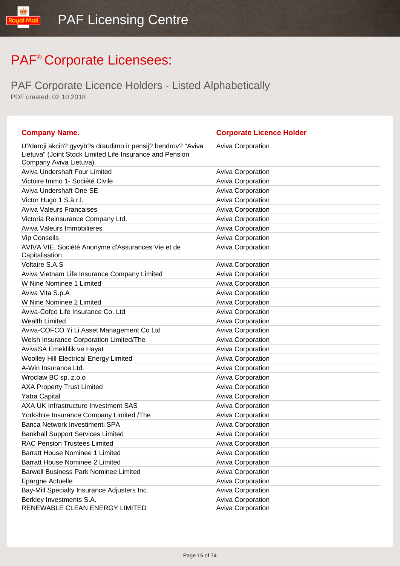PAF Corporate Licence Holders - Listed Alphabetically PDF created: 02 10 2018

#### **Company Name. Corporate Licence Holder** U?daroji akcin? gyvyb?s draudimo ir pensij? bendrov? "Aviva Lietuva" (Joint Stock Limited Life Insurance and Pension Company Aviva Lietuva) Aviva Corporation Aviva Undershaft Four Limited **Aviva Corporation** Aviva Corporation Victoire Immo 1- Société Civile **Aviva Corporation** Aviva Corporation Aviva Undershaft One SE Aviva Corporation Aviva Corporation Victor Hugo 1 S.à r.l. **Aviva Corporation** Aviva Corporation Aviva Valeurs Francaises **Aviva Corporation** Aviva Corporation Victoria Reinsurance Company Ltd. Aviva Corporation Aviva Valeurs Immobilieres **Aviva Corporation** Aviva Corporation Vip Conseils **Aviva Corporation** Aviva Corporation AVIVA VIE, Société Anonyme d'Assurances Vie et de **Capitalisation** Aviva Corporation Voltaire S.A.S **Aviva Corporation** Aviva Vietnam Life Insurance Company Limited **Aviva Corporation** W Nine Nominee 1 Limited Aviva Corporation Aviva Corporation Aviva Vita S.p.A **Aviva Corporation Aviva Corporation** W Nine Nominee 2 Limited Aviva Corporation Aviva-Cofco Life Insurance Co. Ltd Aviva Corporation Wealth Limited **Aviva Corporation** Aviva Corporation Aviva-COFCO Yi Li Asset Management Co Ltd Aviva Corporation Welsh Insurance Corporation Limited/The Aviva Corporation AvivaSA Emeklilik ve Hayat Aviva Corporation Woolley Hill Electrical Energy Limited **Aviva Corporation** Aviva Corporation A-Win Insurance Ltd. Aviva Corporation Aviva Corporation Wroclaw BC sp. z.o.o **Aviva Corporation** Aviva Corporation AXA Property Trust Limited AXA Property Trust Limited Yatra Capital Aviva Corporation Aviva Corporation AXA UK Infrastructure Investment SAS Axiva Corporation Yorkshire Insurance Company Limited /The Aviva Corporation Banca Network Investimenti SPA Aviva Corporation Bankhall Support Services Limited **Aviva Corporation** Aviva Corporation RAC Pension Trustees Limited **Aviva Corporation** Aviva Corporation Barratt House Nominee 1 Limited **Aviva Corporation** Aviva Corporation Barratt House Nominee 2 Limited **Aviva Corporation** Aviva Corporation Barwell Business Park Nominee Limited **Aviva Corporation** Aviva Corporation Epargne Actuelle **Aviva Corporation Aviva Corporation** Bay-Mill Specialty Insurance Adjusters Inc. **Auxilian Constructs** Aviva Corporation Berkley Investments S.A. Aviva Corporation Aviva Corporation

RENEWABLE CLEAN ENERGY LIMITED Aviva Corporation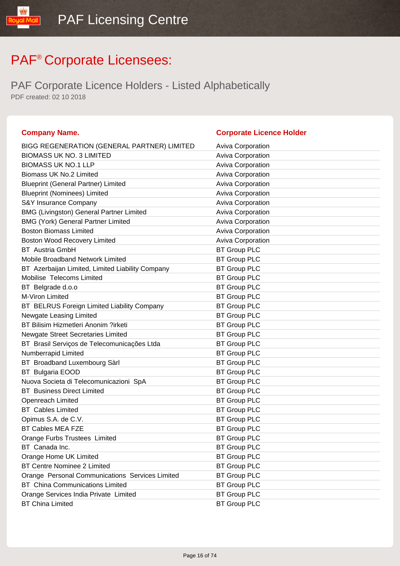| <b>Company Name.</b>                             | <b>Corporate Licence Holder</b> |
|--------------------------------------------------|---------------------------------|
| BIGG REGENERATION (GENERAL PARTNER) LIMITED      | <b>Aviva Corporation</b>        |
| <b>BIOMASS UK NO. 3 LIMITED</b>                  | Aviva Corporation               |
| <b>BIOMASS UK NO.1 LLP</b>                       | Aviva Corporation               |
| Biomass UK No.2 Limited                          | Aviva Corporation               |
| <b>Blueprint (General Partner) Limited</b>       | Aviva Corporation               |
| <b>Blueprint (Nominees) Limited</b>              | <b>Aviva Corporation</b>        |
| S&Y Insurance Company                            | Aviva Corporation               |
| <b>BMG (Livingston) General Partner Limited</b>  | Aviva Corporation               |
| <b>BMG (York) General Partner Limited</b>        | Aviva Corporation               |
| <b>Boston Biomass Limited</b>                    | <b>Aviva Corporation</b>        |
| <b>Boston Wood Recovery Limited</b>              | Aviva Corporation               |
| <b>BT</b> Austria GmbH                           | <b>BT Group PLC</b>             |
| Mobile Broadband Network Limited                 | <b>BT Group PLC</b>             |
| BT Azerbaijan Limited, Limited Liability Company | <b>BT Group PLC</b>             |
| Mobilise Telecoms Limited                        | <b>BT Group PLC</b>             |
| BT Belgrade d.o.o                                | <b>BT Group PLC</b>             |
| M-Viron Limited                                  | <b>BT Group PLC</b>             |
| BT BELRUS Foreign Limited Liability Company      | <b>BT Group PLC</b>             |
| Newgate Leasing Limited                          | <b>BT Group PLC</b>             |
| BT Bilisim Hizmetleri Anonim ?irketi             | <b>BT Group PLC</b>             |
| Newgate Street Secretaries Limited               | <b>BT Group PLC</b>             |
| BT Brasil Serviços de Telecomunicações Ltda      | <b>BT Group PLC</b>             |
| Numberrapid Limited                              | <b>BT Group PLC</b>             |
| BT Broadband Luxembourg Sàrl                     | <b>BT Group PLC</b>             |
| BT Bulgaria EOOD                                 | <b>BT Group PLC</b>             |
| Nuova Societa di Telecomunicazioni SpA           | <b>BT Group PLC</b>             |
| <b>BT</b> Business Direct Limited                | <b>BT Group PLC</b>             |
| Openreach Limited                                | <b>BT Group PLC</b>             |
| <b>BT</b> Cables Limited                         | <b>BT Group PLC</b>             |
| Opimus S.A. de C.V.                              | <b>BT Group PLC</b>             |
| BT Cables MEA FZE                                | <b>BT Group PLC</b>             |
| Orange Furbs Trustees Limited                    | <b>BT Group PLC</b>             |
| BT Canada Inc.                                   | <b>BT Group PLC</b>             |
| Orange Home UK Limited                           | <b>BT Group PLC</b>             |
| <b>BT Centre Nominee 2 Limited</b>               | <b>BT Group PLC</b>             |
| Orange Personal Communications Services Limited  | <b>BT Group PLC</b>             |
| <b>BT</b> China Communications Limited           | <b>BT Group PLC</b>             |
| Orange Services India Private Limited            | <b>BT Group PLC</b>             |
| <b>BT China Limited</b>                          | <b>BT Group PLC</b>             |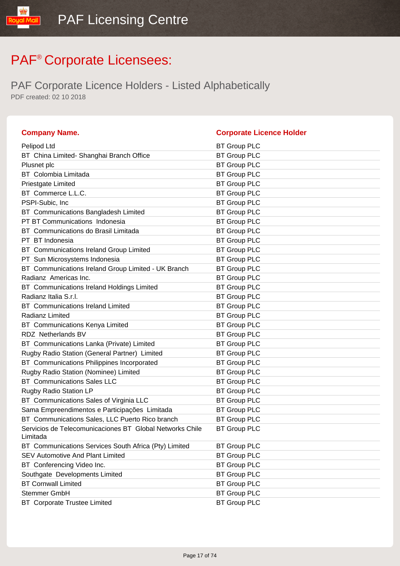PAF Corporate Licence Holders - Listed Alphabetically PDF created: 02 10 2018

lipM louo!

| <b>Company Name.</b>                                                 | <b>Corporate Licence Holder</b> |
|----------------------------------------------------------------------|---------------------------------|
| Pelipod Ltd                                                          | <b>BT Group PLC</b>             |
| BT China Limited- Shanghai Branch Office                             | <b>BT Group PLC</b>             |
| Plusnet plc                                                          | <b>BT Group PLC</b>             |
| <b>BT</b> Colombia Limitada                                          | <b>BT Group PLC</b>             |
| Priestgate Limited                                                   | <b>BT Group PLC</b>             |
| BT Commerce L.L.C.                                                   | <b>BT Group PLC</b>             |
| PSPI-Subic, Inc.                                                     | <b>BT Group PLC</b>             |
| BT Communications Bangladesh Limited                                 | <b>BT Group PLC</b>             |
| PT BT Communications Indonesia                                       | <b>BT Group PLC</b>             |
| BT Communications do Brasil Limitada                                 | <b>BT Group PLC</b>             |
| PT BT Indonesia                                                      | <b>BT Group PLC</b>             |
| BT Communications Ireland Group Limited                              | <b>BT Group PLC</b>             |
| PT Sun Microsystems Indonesia                                        | <b>BT Group PLC</b>             |
| BT Communications Ireland Group Limited - UK Branch                  | <b>BT Group PLC</b>             |
| Radianz Americas Inc.                                                | <b>BT Group PLC</b>             |
| BT Communications Ireland Holdings Limited                           | <b>BT Group PLC</b>             |
| Radianz Italia S.r.l.                                                | <b>BT Group PLC</b>             |
| <b>BT</b> Communications Ireland Limited                             | <b>BT Group PLC</b>             |
| Radianz Limited                                                      | <b>BT Group PLC</b>             |
| BT Communications Kenya Limited                                      | <b>BT Group PLC</b>             |
| RDZ Netherlands BV                                                   | <b>BT Group PLC</b>             |
| BT Communications Lanka (Private) Limited                            | <b>BT Group PLC</b>             |
| Rugby Radio Station (General Partner) Limited                        | <b>BT Group PLC</b>             |
| BT Communications Philippines Incorporated                           | <b>BT Group PLC</b>             |
| Rugby Radio Station (Nominee) Limited                                | <b>BT Group PLC</b>             |
| <b>BT</b> Communications Sales LLC                                   | <b>BT Group PLC</b>             |
| Rugby Radio Station LP                                               | <b>BT Group PLC</b>             |
| BT Communications Sales of Virginia LLC                              | <b>BT Group PLC</b>             |
| Sama Empreendimentos e Participações Limitada                        | <b>BT Group PLC</b>             |
| BT Communications Sales, LLC Puerto Rico branch                      | <b>BT Group PLC</b>             |
| Servicios de Telecomunicaciones BT Global Networks Chile<br>Limitada | <b>BT Group PLC</b>             |
| BT Communications Services South Africa (Pty) Limited                | <b>BT Group PLC</b>             |
| <b>SEV Automotive And Plant Limited</b>                              | <b>BT Group PLC</b>             |
| BT Conferencing Video Inc.                                           | <b>BT Group PLC</b>             |
| Southgate Developments Limited                                       | <b>BT Group PLC</b>             |
| <b>BT Cornwall Limited</b>                                           | <b>BT Group PLC</b>             |
| <b>Stemmer GmbH</b>                                                  | <b>BT Group PLC</b>             |
| <b>BT</b> Corporate Trustee Limited                                  | <b>BT Group PLC</b>             |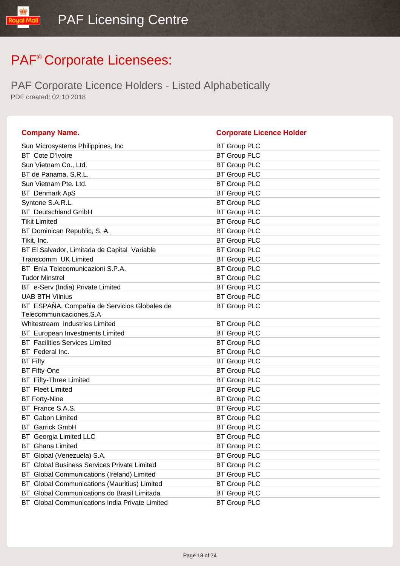| <b>Company Name.</b>                                                     | <b>Corporate Licence Holder</b> |
|--------------------------------------------------------------------------|---------------------------------|
| Sun Microsystems Philippines, Inc.                                       | <b>BT Group PLC</b>             |
| <b>BT</b> Cote D'Ivoire                                                  | <b>BT Group PLC</b>             |
| Sun Vietnam Co., Ltd.                                                    | <b>BT Group PLC</b>             |
| BT de Panama, S.R.L.                                                     | <b>BT Group PLC</b>             |
| Sun Vietnam Pte. Ltd.                                                    | <b>BT Group PLC</b>             |
| <b>BT</b> Denmark ApS                                                    | <b>BT Group PLC</b>             |
| Syntone S.A.R.L.                                                         | <b>BT Group PLC</b>             |
| <b>BT</b> Deutschland GmbH                                               | <b>BT Group PLC</b>             |
| <b>Tikit Limited</b>                                                     | <b>BT Group PLC</b>             |
| BT Dominican Republic, S. A.                                             | <b>BT Group PLC</b>             |
| Tikit, Inc.                                                              | <b>BT Group PLC</b>             |
| BT El Salvador, Limitada de Capital Variable                             | <b>BT Group PLC</b>             |
| Transcomm UK Limited                                                     | <b>BT Group PLC</b>             |
| BT Enìa Telecomunicazioni S.P.A.                                         | <b>BT Group PLC</b>             |
| <b>Tudor Minstrel</b>                                                    | <b>BT Group PLC</b>             |
| BT e-Serv (India) Private Limited                                        | <b>BT Group PLC</b>             |
| <b>UAB BTH Vilnius</b>                                                   | <b>BT Group PLC</b>             |
| BT ESPAÑA, Compañia de Servicios Globales de<br>Telecommunicaciones, S.A | <b>BT Group PLC</b>             |
| Whitestream Industries Limited                                           | <b>BT Group PLC</b>             |
| BT European Investments Limited                                          | <b>BT Group PLC</b>             |
| <b>BT</b> Facilities Services Limited                                    | <b>BT Group PLC</b>             |
| BT Federal Inc.                                                          | <b>BT Group PLC</b>             |
| <b>BT Fifty</b>                                                          | <b>BT Group PLC</b>             |
| <b>BT Fifty-One</b>                                                      | <b>BT Group PLC</b>             |
| <b>BT</b> Fifty-Three Limited                                            | <b>BT Group PLC</b>             |
| <b>BT</b> Fleet Limited                                                  | <b>BT Group PLC</b>             |
| <b>BT Forty-Nine</b>                                                     | <b>BT Group PLC</b>             |
| BT France S.A.S.                                                         | <b>BT Group PLC</b>             |
| <b>BT</b> Gabon Limited                                                  | <b>BT Group PLC</b>             |
| <b>BT</b> Garrick GmbH                                                   | <b>BT Group PLC</b>             |
| <b>BT</b> Georgia Limited LLC                                            | <b>BT Group PLC</b>             |
| <b>BT</b> Ghana Limited                                                  | <b>BT Group PLC</b>             |
| BT Global (Venezuela) S.A.                                               | <b>BT Group PLC</b>             |
| <b>Global Business Services Private Limited</b><br>ВT                    | <b>BT Group PLC</b>             |
| BT Global Communications (Ireland) Limited                               | <b>BT Group PLC</b>             |
| BT Global Communications (Mauritius) Limited                             | <b>BT Group PLC</b>             |
| Global Communications do Brasil Limitada<br>BT                           | <b>BT Group PLC</b>             |
| BT Global Communications India Private Limited                           | <b>BT Group PLC</b>             |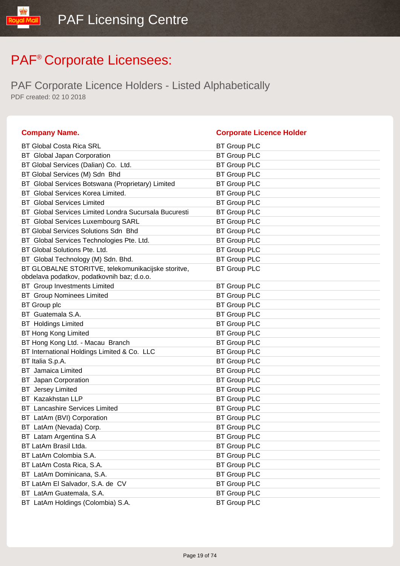| <b>Company Name.</b>                                  | <b>Corporate Licence Holder</b> |
|-------------------------------------------------------|---------------------------------|
| <b>BT Global Costa Rica SRL</b>                       | <b>BT Group PLC</b>             |
| BT Global Japan Corporation                           | <b>BT Group PLC</b>             |
| BT Global Services (Dalian) Co. Ltd.                  | <b>BT Group PLC</b>             |
| BT Global Services (M) Sdn Bhd                        | <b>BT Group PLC</b>             |
| BT Global Services Botswana (Proprietary) Limited     | <b>BT Group PLC</b>             |
| BT Global Services Korea Limited.                     | <b>BT Group PLC</b>             |
| <b>BT</b> Global Services Limited                     | <b>BT Group PLC</b>             |
| BT Global Services Limited Londra Sucursala Bucuresti | <b>BT Group PLC</b>             |
| <b>BT</b> Global Services Luxembourg SARL             | <b>BT Group PLC</b>             |
| BT Global Services Solutions Sdn Bhd                  | <b>BT Group PLC</b>             |
| BT Global Services Technologies Pte. Ltd.             | <b>BT Group PLC</b>             |
| BT Global Solutions Pte. Ltd.                         | <b>BT Group PLC</b>             |
| BT Global Technology (M) Sdn. Bhd.                    | <b>BT Group PLC</b>             |
| BT GLOBALNE STORITVE, telekomunikacijske storitve,    | <b>BT Group PLC</b>             |
| obdelava podatkov, podatkovnih baz; d.o.o.            |                                 |
| <b>BT</b> Group Investments Limited                   | <b>BT Group PLC</b>             |
| <b>BT</b> Group Nominees Limited                      | <b>BT Group PLC</b>             |
| <b>BT</b> Group plc                                   | <b>BT Group PLC</b>             |
| BT Guatemala S.A.                                     | <b>BT Group PLC</b>             |
| <b>BT</b> Holdings Limited                            | <b>BT Group PLC</b>             |
| <b>BT Hong Kong Limited</b>                           | <b>BT Group PLC</b>             |
| BT Hong Kong Ltd. - Macau Branch                      | <b>BT Group PLC</b>             |
| BT International Holdings Limited & Co. LLC           | <b>BT Group PLC</b>             |
| BT Italia S.p.A.                                      | <b>BT Group PLC</b>             |
| <b>BT</b> Jamaica Limited                             | <b>BT Group PLC</b>             |
| <b>BT</b> Japan Corporation                           | <b>BT Group PLC</b>             |
| <b>BT</b> Jersey Limited                              | <b>BT Group PLC</b>             |
| BT Kazakhstan LLP                                     | <b>BT Group PLC</b>             |
| <b>BT</b> Lancashire Services Limited                 | <b>BT Group PLC</b>             |
| BT LatAm (BVI) Corporation                            | <b>BT Group PLC</b>             |
| BT LatAm (Nevada) Corp.                               | <b>BT Group PLC</b>             |
| BT Latam Argentina S.A                                | <b>BT Group PLC</b>             |
| BT LatAm Brasil Ltda.                                 | <b>BT Group PLC</b>             |
| BT LatAm Colombia S.A.                                | <b>BT Group PLC</b>             |
| BT LatAm Costa Rica, S.A.                             | <b>BT Group PLC</b>             |
| BT LatAm Dominicana, S.A.                             | <b>BT Group PLC</b>             |
| BT LatAm El Salvador, S.A. de CV                      | <b>BT Group PLC</b>             |
| BT LatAm Guatemala, S.A.                              | <b>BT Group PLC</b>             |
| BT LatAm Holdings (Colombia) S.A.                     | <b>BT Group PLC</b>             |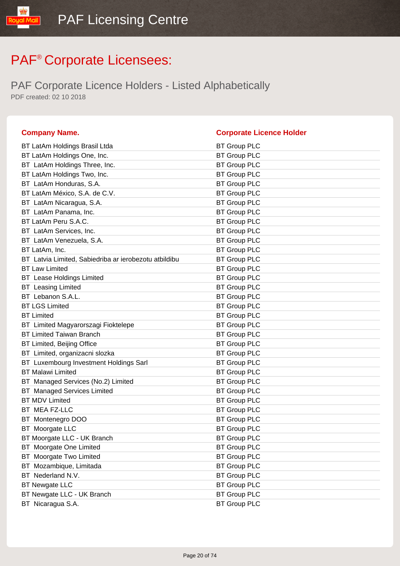| <b>Company Name.</b>                                  | <b>Corporate Licence Holder</b> |
|-------------------------------------------------------|---------------------------------|
| BT LatAm Holdings Brasil Ltda                         | <b>BT Group PLC</b>             |
| BT LatAm Holdings One, Inc.                           | <b>BT Group PLC</b>             |
| BT LatAm Holdings Three, Inc.                         | <b>BT Group PLC</b>             |
| BT LatAm Holdings Two, Inc.                           | <b>BT Group PLC</b>             |
| BT LatAm Honduras, S.A.                               | <b>BT Group PLC</b>             |
| BT LatAm México, S.A. de C.V.                         | <b>BT Group PLC</b>             |
| BT LatAm Nicaragua, S.A.                              | <b>BT Group PLC</b>             |
| BT LatAm Panama, Inc.                                 | <b>BT Group PLC</b>             |
| BT LatAm Peru S.A.C.                                  | <b>BT Group PLC</b>             |
| BT LatAm Services, Inc.                               | <b>BT Group PLC</b>             |
| BT LatAm Venezuela, S.A.                              | <b>BT Group PLC</b>             |
| BT LatAm, Inc.                                        | <b>BT Group PLC</b>             |
| BT Latvia Limited, Sabiedriba ar ierobezotu atbildibu | <b>BT Group PLC</b>             |
| <b>BT Law Limited</b>                                 | <b>BT Group PLC</b>             |
| <b>BT</b> Lease Holdings Limited                      | <b>BT Group PLC</b>             |
| <b>BT</b> Leasing Limited                             | <b>BT Group PLC</b>             |
| BT Lebanon S.A.L.                                     | <b>BT Group PLC</b>             |
| <b>BT LGS Limited</b>                                 | <b>BT Group PLC</b>             |
| <b>BT Limited</b>                                     | <b>BT Group PLC</b>             |
| BT Limited Magyarorszagi Fioktelepe                   | <b>BT Group PLC</b>             |
| <b>BT Limited Taiwan Branch</b>                       | <b>BT Group PLC</b>             |
| BT Limited, Beijing Office                            | <b>BT Group PLC</b>             |
| BT Limited, organizacni slozka                        | <b>BT Group PLC</b>             |
| BT Luxembourg Investment Holdings Sarl                | <b>BT Group PLC</b>             |
| <b>BT Malawi Limited</b>                              | <b>BT Group PLC</b>             |
| BT Managed Services (No.2) Limited                    | <b>BT Group PLC</b>             |
| <b>BT</b> Managed Services Limited                    | <b>BT Group PLC</b>             |
| <b>BT MDV Limited</b>                                 | <b>BT Group PLC</b>             |
| BT MEA FZ-LLC                                         | <b>BT Group PLC</b>             |
| BT Montenegro DOO                                     | <b>BT Group PLC</b>             |
| BT Moorgate LLC                                       | <b>BT Group PLC</b>             |
| BT Moorgate LLC - UK Branch                           | <b>BT Group PLC</b>             |
| <b>BT</b> Moorgate One Limited                        | <b>BT Group PLC</b>             |
| BT Moorgate Two Limited                               | <b>BT Group PLC</b>             |
| BT Mozambique, Limitada                               | <b>BT Group PLC</b>             |
| BT Nederland N.V.                                     | <b>BT Group PLC</b>             |
| <b>BT Newgate LLC</b>                                 | <b>BT Group PLC</b>             |
| BT Newgate LLC - UK Branch                            | <b>BT Group PLC</b>             |
| BT Nicaragua S.A.                                     | <b>BT Group PLC</b>             |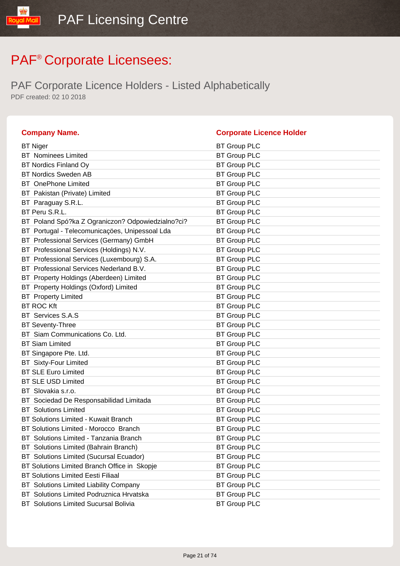| <b>Company Name.</b>                               | <b>Corporate Licence Holder</b> |
|----------------------------------------------------|---------------------------------|
| <b>BT Niger</b>                                    | <b>BT Group PLC</b>             |
| <b>BT</b> Nominees Limited                         | <b>BT Group PLC</b>             |
| <b>BT Nordics Finland Oy</b>                       | <b>BT Group PLC</b>             |
| <b>BT Nordics Sweden AB</b>                        | <b>BT Group PLC</b>             |
| <b>BT</b> OnePhone Limited                         | <b>BT Group PLC</b>             |
| BT Pakistan (Private) Limited                      | <b>BT Group PLC</b>             |
| Paraguay S.R.L.<br>BT.                             | <b>BT Group PLC</b>             |
| BT Peru S.R.L.                                     | <b>BT Group PLC</b>             |
| BT Poland Spó?ka Z Ograniczon? Odpowiedzialno?ci?  | <b>BT Group PLC</b>             |
| Portugal - Telecomunicações, Unipessoal Lda<br>BT. | <b>BT Group PLC</b>             |
| BT Professional Services (Germany) GmbH            | <b>BT Group PLC</b>             |
| BT Professional Services (Holdings) N.V.           | <b>BT Group PLC</b>             |
| Professional Services (Luxembourg) S.A.<br>BT.     | <b>BT Group PLC</b>             |
| BT Professional Services Nederland B.V.            | <b>BT Group PLC</b>             |
| BT Property Holdings (Aberdeen) Limited            | <b>BT Group PLC</b>             |
| Property Holdings (Oxford) Limited<br>BT           | <b>BT Group PLC</b>             |
| <b>BT</b> Property Limited                         | <b>BT Group PLC</b>             |
| <b>BT ROC Kft</b>                                  | <b>BT Group PLC</b>             |
| BT Services S.A.S                                  | <b>BT Group PLC</b>             |
| <b>BT Seventy-Three</b>                            | <b>BT Group PLC</b>             |
| BT Siam Communications Co. Ltd.                    | <b>BT Group PLC</b>             |
| <b>BT Siam Limited</b>                             | <b>BT Group PLC</b>             |
| BT Singapore Pte. Ltd.                             | <b>BT Group PLC</b>             |
| <b>BT</b> Sixty-Four Limited                       | <b>BT Group PLC</b>             |
| <b>BT SLE Euro Limited</b>                         | <b>BT Group PLC</b>             |
| <b>BT SLE USD Limited</b>                          | <b>BT Group PLC</b>             |
| BT Slovakia s.r.o.                                 | <b>BT Group PLC</b>             |
| BT Sociedad De Responsabilidad Limitada            | <b>BT Group PLC</b>             |
| <b>BT</b> Solutions Limited                        | <b>BT Group PLC</b>             |
| BT Solutions Limited - Kuwait Branch               | <b>BT Group PLC</b>             |
| BT Solutions Limited - Morocco Branch              | <b>BT Group PLC</b>             |
| BT Solutions Limited - Tanzania Branch             | <b>BT Group PLC</b>             |
| Solutions Limited (Bahrain Branch)<br>BT           | <b>BT Group PLC</b>             |
| Solutions Limited (Sucursal Ecuador)<br>BT.        | <b>BT Group PLC</b>             |
| BT Solutions Limited Branch Office in Skopje       | <b>BT Group PLC</b>             |
| <b>BT Solutions Limited Eesti Filiaal</b>          | <b>BT Group PLC</b>             |
| Solutions Limited Liability Company<br>ВT          | <b>BT Group PLC</b>             |
| Solutions Limited Podruznica Hrvatska<br>BT        | <b>BT Group PLC</b>             |
| <b>BT</b> Solutions Limited Sucursal Bolivia       | <b>BT Group PLC</b>             |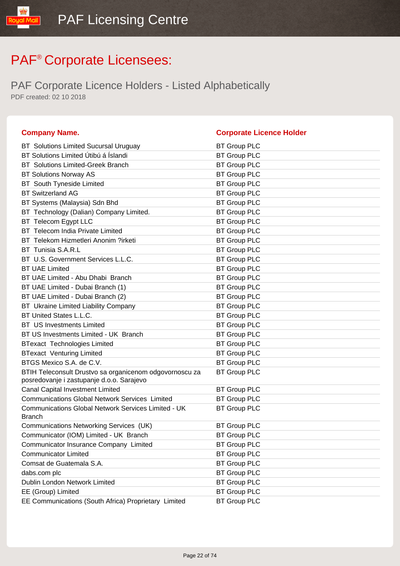| <b>Company Name.</b>                                                                                 | <b>Corporate Licence Holder</b> |
|------------------------------------------------------------------------------------------------------|---------------------------------|
| <b>BT</b> Solutions Limited Sucursal Uruguay                                                         | <b>BT Group PLC</b>             |
| BT Solutions Limited Útibú á Íslandi                                                                 | <b>BT Group PLC</b>             |
| <b>BT</b> Solutions Limited-Greek Branch                                                             | <b>BT Group PLC</b>             |
| <b>BT Solutions Norway AS</b>                                                                        | <b>BT Group PLC</b>             |
| <b>BT</b> South Tyneside Limited                                                                     | <b>BT Group PLC</b>             |
| <b>BT Switzerland AG</b>                                                                             | <b>BT Group PLC</b>             |
| BT Systems (Malaysia) Sdn Bhd                                                                        | <b>BT Group PLC</b>             |
| BT Technology (Dalian) Company Limited.                                                              | <b>BT Group PLC</b>             |
| BT Telecom Egypt LLC                                                                                 | <b>BT Group PLC</b>             |
| BT Telecom India Private Limited                                                                     | <b>BT Group PLC</b>             |
| BT Telekom Hizmetleri Anonim ?irketi                                                                 | <b>BT Group PLC</b>             |
| BT Tunisia S.A.R.L                                                                                   | <b>BT Group PLC</b>             |
| BT U.S. Government Services L.L.C.                                                                   | <b>BT Group PLC</b>             |
| <b>BT UAE Limited</b>                                                                                | <b>BT Group PLC</b>             |
| BT UAE Limited - Abu Dhabi Branch                                                                    | <b>BT Group PLC</b>             |
| BT UAE Limited - Dubai Branch (1)                                                                    | <b>BT Group PLC</b>             |
| BT UAE Limited - Dubai Branch (2)                                                                    | <b>BT Group PLC</b>             |
| BT Ukraine Limited Liability Company                                                                 | <b>BT Group PLC</b>             |
| BT United States L.L.C.                                                                              | <b>BT Group PLC</b>             |
| <b>BT</b> US Investments Limited                                                                     | <b>BT Group PLC</b>             |
| BT US Investments Limited - UK Branch                                                                | <b>BT Group PLC</b>             |
| <b>BTexact Technologies Limited</b>                                                                  | <b>BT Group PLC</b>             |
| <b>BTexact Venturing Limited</b>                                                                     | <b>BT Group PLC</b>             |
| BTGS Mexico S.A. de C.V.                                                                             | <b>BT Group PLC</b>             |
| BTIH Teleconsult Drustvo sa organicenom odgovornoscu za<br>posredovanje i zastupanje d.o.o. Sarajevo | <b>BT Group PLC</b>             |
| <b>Canal Capital Investment Limited</b>                                                              | <b>BT Group PLC</b>             |
| <b>Communications Global Network Services Limited</b>                                                | <b>BT Group PLC</b>             |
| <b>Communications Global Network Services Limited - UK</b><br><b>Branch</b>                          | <b>BT Group PLC</b>             |
| Communications Networking Services (UK)                                                              | <b>BT Group PLC</b>             |
| Communicator (IOM) Limited - UK Branch                                                               | <b>BT Group PLC</b>             |
| Communicator Insurance Company Limited                                                               | <b>BT Group PLC</b>             |
| <b>Communicator Limited</b>                                                                          | <b>BT Group PLC</b>             |
| Comsat de Guatemala S.A.                                                                             | <b>BT Group PLC</b>             |
| dabs.com plc                                                                                         | <b>BT Group PLC</b>             |
| Dublin London Network Limited                                                                        | <b>BT Group PLC</b>             |
| EE (Group) Limited                                                                                   | <b>BT Group PLC</b>             |
| EE Communications (South Africa) Proprietary Limited                                                 | <b>BT Group PLC</b>             |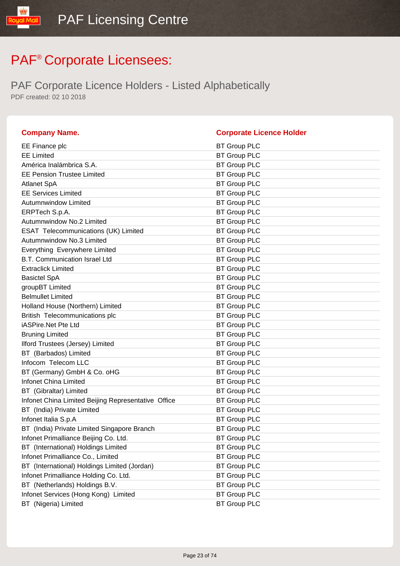| <b>Company Name.</b>                                | <b>Corporate Licence Holder</b> |
|-----------------------------------------------------|---------------------------------|
| EE Finance plc                                      | <b>BT Group PLC</b>             |
| <b>EE Limited</b>                                   | <b>BT Group PLC</b>             |
| América Inalámbrica S.A.                            | <b>BT Group PLC</b>             |
| <b>EE Pension Trustee Limited</b>                   | <b>BT Group PLC</b>             |
| <b>Atlanet SpA</b>                                  | <b>BT Group PLC</b>             |
| <b>EE Services Limited</b>                          | <b>BT Group PLC</b>             |
| <b>Autumnwindow Limited</b>                         | <b>BT Group PLC</b>             |
| ERPTech S.p.A.                                      | <b>BT Group PLC</b>             |
| Autumnwindow No.2 Limited                           | <b>BT Group PLC</b>             |
| <b>ESAT Telecommunications (UK) Limited</b>         | <b>BT Group PLC</b>             |
| Autumnwindow No.3 Limited                           | <b>BT Group PLC</b>             |
| Everything Everywhere Limited                       | <b>BT Group PLC</b>             |
| <b>B.T. Communication Israel Ltd</b>                | <b>BT Group PLC</b>             |
| <b>Extraclick Limited</b>                           | <b>BT Group PLC</b>             |
| <b>Basictel SpA</b>                                 | <b>BT Group PLC</b>             |
| groupBT Limited                                     | <b>BT Group PLC</b>             |
| <b>Belmullet Limited</b>                            | <b>BT Group PLC</b>             |
| Holland House (Northern) Limited                    | <b>BT Group PLC</b>             |
| British Telecommunications plc                      | <b>BT Group PLC</b>             |
| iASPire.Net Pte Ltd                                 | <b>BT Group PLC</b>             |
| <b>Bruning Limited</b>                              | <b>BT Group PLC</b>             |
| Ilford Trustees (Jersey) Limited                    | <b>BT Group PLC</b>             |
| BT (Barbados) Limited                               | <b>BT Group PLC</b>             |
| Infocom Telecom LLC                                 | <b>BT Group PLC</b>             |
| BT (Germany) GmbH & Co. oHG                         | <b>BT Group PLC</b>             |
| Infonet China Limited                               | <b>BT Group PLC</b>             |
| BT (Gibraltar) Limited                              | <b>BT Group PLC</b>             |
| Infonet China Limited Beijing Representative Office | <b>BT Group PLC</b>             |
| BT (India) Private Limited                          | <b>BT Group PLC</b>             |
| Infonet Italia S.p.A                                | <b>BT Group PLC</b>             |
| BT (India) Private Limited Singapore Branch         | <b>BT Group PLC</b>             |
| Infonet Primalliance Beijing Co. Ltd.               | <b>BT Group PLC</b>             |
| BT (International) Holdings Limited                 | <b>BT Group PLC</b>             |
| Infonet Primalliance Co., Limited                   | <b>BT Group PLC</b>             |
| BT (International) Holdings Limited (Jordan)        | <b>BT Group PLC</b>             |
| Infonet Primalliance Holding Co. Ltd.               | <b>BT Group PLC</b>             |
| BT (Netherlands) Holdings B.V.                      | <b>BT Group PLC</b>             |
| Infonet Services (Hong Kong) Limited                | <b>BT Group PLC</b>             |
| BT (Nigeria) Limited                                | <b>BT Group PLC</b>             |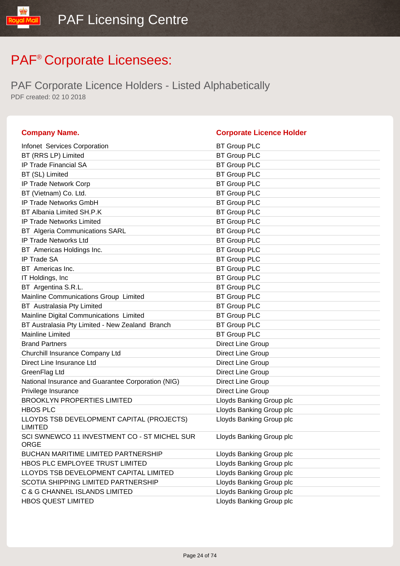| <b>Company Name.</b>                                        | <b>Corporate Licence Holder</b> |
|-------------------------------------------------------------|---------------------------------|
| Infonet Services Corporation                                | <b>BT Group PLC</b>             |
| BT (RRS LP) Limited                                         | <b>BT Group PLC</b>             |
| <b>IP Trade Financial SA</b>                                | <b>BT Group PLC</b>             |
| BT (SL) Limited                                             | <b>BT Group PLC</b>             |
| IP Trade Network Corp                                       | <b>BT Group PLC</b>             |
| BT (Vietnam) Co. Ltd.                                       | <b>BT Group PLC</b>             |
| IP Trade Networks GmbH                                      | <b>BT Group PLC</b>             |
| BT Albania Limited SH.P.K                                   | <b>BT Group PLC</b>             |
| <b>IP Trade Networks Limited</b>                            | <b>BT Group PLC</b>             |
| <b>BT</b> Algeria Communications SARL                       | <b>BT Group PLC</b>             |
| IP Trade Networks Ltd                                       | <b>BT Group PLC</b>             |
| BT Americas Holdings Inc.                                   | <b>BT Group PLC</b>             |
| <b>IP Trade SA</b>                                          | <b>BT Group PLC</b>             |
| BT Americas Inc.                                            | <b>BT Group PLC</b>             |
| IT Holdings, Inc.                                           | <b>BT Group PLC</b>             |
| BT Argentina S.R.L.                                         | <b>BT Group PLC</b>             |
| Mainline Communications Group Limited                       | <b>BT Group PLC</b>             |
| BT Australasia Pty Limited                                  | <b>BT Group PLC</b>             |
| Mainline Digital Communications Limited                     | <b>BT Group PLC</b>             |
| BT Australasia Pty Limited - New Zealand Branch             | <b>BT Group PLC</b>             |
| <b>Mainline Limited</b>                                     | <b>BT Group PLC</b>             |
| <b>Brand Partners</b>                                       | Direct Line Group               |
| Churchill Insurance Company Ltd                             | Direct Line Group               |
| Direct Line Insurance Ltd                                   | Direct Line Group               |
| GreenFlag Ltd                                               | Direct Line Group               |
| National Insurance and Guarantee Corporation (NIG)          | Direct Line Group               |
| Privilege Insurance                                         | Direct Line Group               |
| <b>BROOKLYN PROPERTIES LIMITED</b>                          | Lloyds Banking Group plc        |
| <b>HBOS PLC</b>                                             | Lloyds Banking Group plc        |
| LLOYDS TSB DEVELOPMENT CAPITAL (PROJECTS)<br><b>LIMITED</b> | Lloyds Banking Group plc        |
| SCI SWNEWCO 11 INVESTMENT CO - ST MICHEL SUR<br><b>ORGE</b> | Lloyds Banking Group plc        |
| <b>BUCHAN MARITIME LIMITED PARTNERSHIP</b>                  | Lloyds Banking Group plc        |
| HBOS PLC EMPLOYEE TRUST LIMITED                             | Lloyds Banking Group plc        |
| LLOYDS TSB DEVELOPMENT CAPITAL LIMITED                      | Lloyds Banking Group plc        |
| SCOTIA SHIPPING LIMITED PARTNERSHIP                         | Lloyds Banking Group plc        |
| C & G CHANNEL ISLANDS LIMITED                               | Lloyds Banking Group plc        |
| <b>HBOS QUEST LIMITED</b>                                   | Lloyds Banking Group plc        |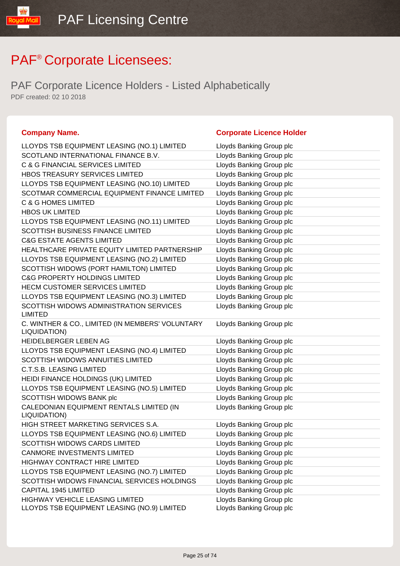PAF Corporate Licence Holders - Listed Alphabetically PDF created: 02 10 2018

#### **Company Name. Corporate Licence Holder** LLOYDS TSB EQUIPMENT LEASING (NO.1) LIMITED Lloyds Banking Group plc SCOTLAND INTERNATIONAL FINANCE B.V. Lloyds Banking Group plc C & G FINANCIAL SERVICES LIMITED LIGY Lloyds Banking Group plc HBOS TREASURY SERVICES LIMITED LIGHT Lloyds Banking Group plc LLOYDS TSB EQUIPMENT LEASING (NO.10) LIMITED Lloyds Banking Group plc SCOTMAR COMMERCIAL EQUIPMENT FINANCE LIMITED Lloyds Banking Group plc C & G HOMES LIMITED LET CONSIDER THE LOYDS Banking Group plc HBOS UK LIMITED **Example 20** and the Lloyds Banking Group plc LLOYDS TSB EQUIPMENT LEASING (NO.11) LIMITED Lloyds Banking Group plc SCOTTISH BUSINESS FINANCE LIMITED Lloyds Banking Group plc C&G ESTATE AGENTS LIMITED **Example 20** Lloyds Banking Group plc HEALTHCARE PRIVATE EQUITY LIMITED PARTNERSHIP Lloyds Banking Group plc LLOYDS TSB EQUIPMENT LEASING (NO.2) LIMITED Lloyds Banking Group plc SCOTTISH WIDOWS (PORT HAMILTON) LIMITED Lloyds Banking Group plc C&G PROPERTY HOLDINGS LIMITED Loyds Banking Group plc HECM CUSTOMER SERVICES LIMITED LIMITED LIDyds Banking Group plc LLOYDS TSB EQUIPMENT LEASING (NO.3) LIMITED Lloyds Banking Group plc SCOTTISH WIDOWS ADMINISTRATION SERVICES LIMITED Lloyds Banking Group plc C. WINTHER & CO., LIMITED (IN MEMBERS' VOLUNTARY LIQUIDATION) Lloyds Banking Group plc HEIDELBERGER LEBEN AG **Letter and Luis and Lloyds Banking Group plc** LLOYDS TSB EQUIPMENT LEASING (NO.4) LIMITED Lloyds Banking Group plc SCOTTISH WIDOWS ANNUITIES LIMITED LIMITED Lloyds Banking Group plc C.T.S.B. LEASING LIMITED **Latter and Limitation** Lloyds Banking Group plc HEIDI FINANCE HOLDINGS (UK) LIMITED Lloyds Banking Group plc LLOYDS TSB EQUIPMENT LEASING (NO.5) LIMITED Lloyds Banking Group plc SCOTTISH WIDOWS BANK plc **Example 20 SECOTTISH WIDOWS BANK** plc CALEDONIAN EQUIPMENT RENTALS LIMITED (IN LIQUIDATION) Lloyds Banking Group plc HIGH STREET MARKETING SERVICES S.A. Lloyds Banking Group plc LLOYDS TSB EQUIPMENT LEASING (NO.6) LIMITED Lloyds Banking Group plc SCOTTISH WIDOWS CARDS LIMITED Loyds Banking Group plc CANMORE INVESTMENTS LIMITED LIMITED Lloyds Banking Group plc HIGHWAY CONTRACT HIRE LIMITED LIMITED Lloyds Banking Group plc LLOYDS TSB EQUIPMENT LEASING (NO.7) LIMITED Lloyds Banking Group plc SCOTTISH WIDOWS FINANCIAL SERVICES HOLDINGS Lloyds Banking Group plc CAPITAL 1945 LIMITED Lloyds Banking Group plc HIGHWAY VEHICLE LEASING LIMITED LIGHT Lloyds Banking Group plc LLOYDS TSB EQUIPMENT LEASING (NO.9) LIMITED Lloyds Banking Group plc

Page 25 of 74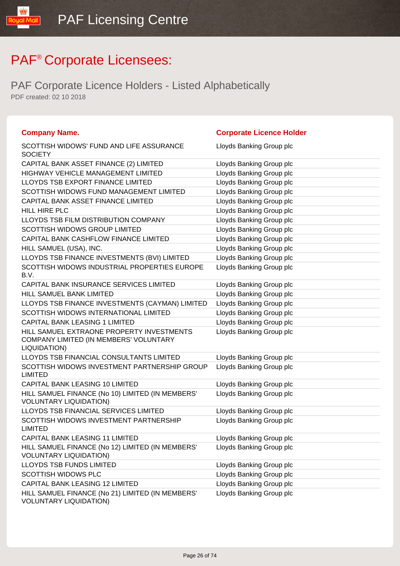| <b>Company Name.</b>                                                                                | <b>Corporate Licence Holder</b> |
|-----------------------------------------------------------------------------------------------------|---------------------------------|
| SCOTTISH WIDOWS' FUND AND LIFE ASSURANCE<br><b>SOCIETY</b>                                          | Lloyds Banking Group plc        |
| CAPITAL BANK ASSET FINANCE (2) LIMITED                                                              | Lloyds Banking Group plc        |
| HIGHWAY VEHICLE MANAGEMENT LIMITED                                                                  | Lloyds Banking Group plc        |
| LLOYDS TSB EXPORT FINANCE LIMITED                                                                   | Lloyds Banking Group plc        |
| SCOTTISH WIDOWS FUND MANAGEMENT LIMITED                                                             | Lloyds Banking Group plc        |
| CAPITAL BANK ASSET FINANCE LIMITED                                                                  | Lloyds Banking Group plc        |
| HILL HIRE PLC                                                                                       | Lloyds Banking Group plc        |
| LLOYDS TSB FILM DISTRIBUTION COMPANY                                                                | Lloyds Banking Group plc        |
| SCOTTISH WIDOWS GROUP LIMITED                                                                       | Lloyds Banking Group plc        |
| CAPITAL BANK CASHFLOW FINANCE LIMITED                                                               | Lloyds Banking Group plc        |
| HILL SAMUEL (USA), INC.                                                                             | Lloyds Banking Group plc        |
| LLOYDS TSB FINANCE INVESTMENTS (BVI) LIMITED                                                        | Lloyds Banking Group plc        |
| SCOTTISH WIDOWS INDUSTRIAL PROPERTIES EUROPE<br>B.V.                                                | Lloyds Banking Group plc        |
| CAPITAL BANK INSURANCE SERVICES LIMITED                                                             | Lloyds Banking Group plc        |
| HILL SAMUEL BANK LIMITED                                                                            | Lloyds Banking Group plc        |
| LLOYDS TSB FINANCE INVESTMENTS (CAYMAN) LIMITED                                                     | Lloyds Banking Group plc        |
| SCOTTISH WIDOWS INTERNATIONAL LIMITED                                                               | Lloyds Banking Group plc        |
| <b>CAPITAL BANK LEASING 1 LIMITED</b>                                                               | Lloyds Banking Group plc        |
| HILL SAMUEL EXTRAONE PROPERTY INVESTMENTS<br>COMPANY LIMITED (IN MEMBERS' VOLUNTARY<br>LIQUIDATION) | Lloyds Banking Group plc        |
| LLOYDS TSB FINANCIAL CONSULTANTS LIMITED                                                            | Lloyds Banking Group plc        |
| SCOTTISH WIDOWS INVESTMENT PARTNERSHIP GROUP<br><b>LIMITED</b>                                      | Lloyds Banking Group plc        |
| CAPITAL BANK LEASING 10 LIMITED                                                                     | Lloyds Banking Group plc        |
| HILL SAMUEL FINANCE (No 10) LIMITED (IN MEMBERS'<br><b>VOLUNTARY LIQUIDATION)</b>                   | Lloyds Banking Group plc        |
| LLOYDS TSB FINANCIAL SERVICES LIMITED                                                               | Lloyds Banking Group plc        |
| SCOTTISH WIDOWS INVESTMENT PARTNERSHIP<br><b>LIMITED</b>                                            | Lloyds Banking Group plc        |
| CAPITAL BANK LEASING 11 LIMITED                                                                     | Lloyds Banking Group plc        |
| HILL SAMUEL FINANCE (No 12) LIMITED (IN MEMBERS'<br><b>VOLUNTARY LIQUIDATION)</b>                   | Lloyds Banking Group plc        |
| <b>LLOYDS TSB FUNDS LIMITED</b>                                                                     | Lloyds Banking Group plc        |
| SCOTTISH WIDOWS PLC                                                                                 | Lloyds Banking Group plc        |
| CAPITAL BANK LEASING 12 LIMITED                                                                     | Lloyds Banking Group plc        |
| HILL SAMUEL FINANCE (No 21) LIMITED (IN MEMBERS'<br><b>VOLUNTARY LIQUIDATION)</b>                   | Lloyds Banking Group plc        |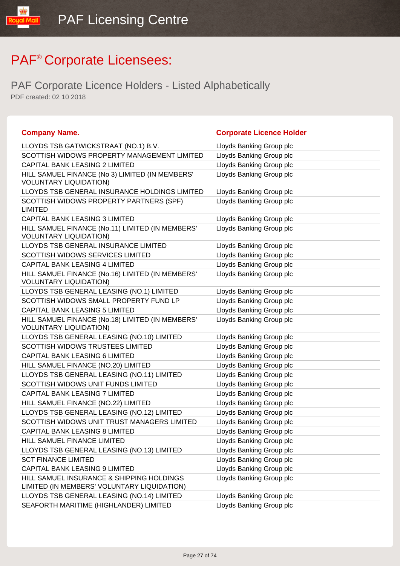| <b>Company Name.</b>                                                                     | <b>Corporate Licence Holder</b> |
|------------------------------------------------------------------------------------------|---------------------------------|
| LLOYDS TSB GATWICKSTRAAT (NO.1) B.V.                                                     | Lloyds Banking Group plc        |
| SCOTTISH WIDOWS PROPERTY MANAGEMENT LIMITED                                              | Lloyds Banking Group plc        |
| CAPITAL BANK LEASING 2 LIMITED                                                           | Lloyds Banking Group plc        |
| HILL SAMUEL FINANCE (No 3) LIMITED (IN MEMBERS'<br><b>VOLUNTARY LIQUIDATION)</b>         | Lloyds Banking Group plc        |
| LLOYDS TSB GENERAL INSURANCE HOLDINGS LIMITED                                            | Lloyds Banking Group plc        |
| SCOTTISH WIDOWS PROPERTY PARTNERS (SPF)<br><b>LIMITED</b>                                | Lloyds Banking Group plc        |
| <b>CAPITAL BANK LEASING 3 LIMITED</b>                                                    | Lloyds Banking Group plc        |
| HILL SAMUEL FINANCE (No.11) LIMITED (IN MEMBERS'<br><b>VOLUNTARY LIQUIDATION)</b>        | Lloyds Banking Group plc        |
| LLOYDS TSB GENERAL INSURANCE LIMITED                                                     | Lloyds Banking Group plc        |
| <b>SCOTTISH WIDOWS SERVICES LIMITED</b>                                                  | Lloyds Banking Group plc        |
| <b>CAPITAL BANK LEASING 4 LIMITED</b>                                                    | Lloyds Banking Group plc        |
| HILL SAMUEL FINANCE (No.16) LIMITED (IN MEMBERS'<br><b>VOLUNTARY LIQUIDATION)</b>        | Lloyds Banking Group plc        |
| LLOYDS TSB GENERAL LEASING (NO.1) LIMITED                                                | Lloyds Banking Group plc        |
| SCOTTISH WIDOWS SMALL PROPERTY FUND LP                                                   | Lloyds Banking Group plc        |
| CAPITAL BANK LEASING 5 LIMITED                                                           | Lloyds Banking Group plc        |
| HILL SAMUEL FINANCE (No.18) LIMITED (IN MEMBERS'<br><b>VOLUNTARY LIQUIDATION)</b>        | Lloyds Banking Group plc        |
| LLOYDS TSB GENERAL LEASING (NO.10) LIMITED                                               | Lloyds Banking Group plc        |
| <b>SCOTTISH WIDOWS TRUSTEES LIMITED</b>                                                  | Lloyds Banking Group plc        |
| CAPITAL BANK LEASING 6 LIMITED                                                           | Lloyds Banking Group plc        |
| HILL SAMUEL FINANCE (NO.20) LIMITED                                                      | Lloyds Banking Group plc        |
| LLOYDS TSB GENERAL LEASING (NO.11) LIMITED                                               | Lloyds Banking Group plc        |
| SCOTTISH WIDOWS UNIT FUNDS LIMITED                                                       | Lloyds Banking Group plc        |
| <b>CAPITAL BANK LEASING 7 LIMITED</b>                                                    | Lloyds Banking Group plc        |
| HILL SAMUEL FINANCE (NO.22) LIMITED                                                      | Lloyds Banking Group plc        |
| LLOYDS TSB GENERAL LEASING (NO.12) LIMITED                                               | Lloyds Banking Group plc        |
| SCOTTISH WIDOWS UNIT TRUST MANAGERS LIMITED                                              | Lloyds Banking Group plc        |
| CAPITAL BANK LEASING 8 LIMITED                                                           | Lloyds Banking Group plc        |
| HILL SAMUEL FINANCE LIMITED                                                              | Lloyds Banking Group plc        |
| LLOYDS TSB GENERAL LEASING (NO.13) LIMITED                                               | Lloyds Banking Group plc        |
| <b>SCT FINANCE LIMITED</b>                                                               | Lloyds Banking Group plc        |
| CAPITAL BANK LEASING 9 LIMITED                                                           | Lloyds Banking Group plc        |
| HILL SAMUEL INSURANCE & SHIPPING HOLDINGS<br>LIMITED (IN MEMBERS' VOLUNTARY LIQUIDATION) | Lloyds Banking Group plc        |
| LLOYDS TSB GENERAL LEASING (NO.14) LIMITED                                               | Lloyds Banking Group plc        |
| SEAFORTH MARITIME (HIGHLANDER) LIMITED                                                   | Lloyds Banking Group plc        |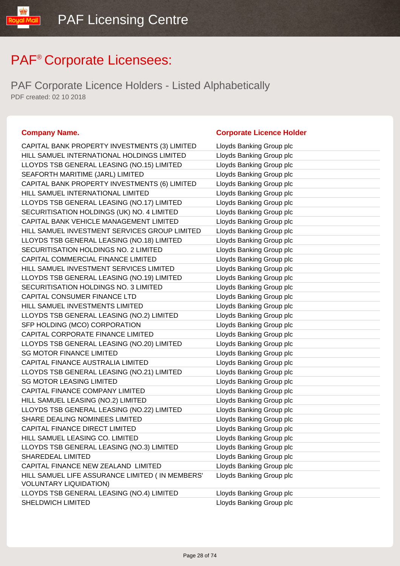PAF Corporate Licence Holders - Listed Alphabetically PDF created: 02 10 2018

CAPITAL BANK PR HILL SAMUEL INTE LLOYDS TSB GENI SEAFORTH MARIT CAPITAL BANK PR HILL SAMUEL INTE LLOYDS TSB GENI SECURITISATION CAPITAL BANK VE HILL SAMUEL INVE LLOYDS TSB GENI SECURITISATION CAPITAL COMMER HILL SAMUEL INVE LLOYDS TSB GENI SECURITISATION CAPITAL CONSUM HILL SAMUEL INVE LLOYDS TSB GENI SFP HOLDING (MC CAPITAL CORPOR LLOYDS TSB GENE **SG MOTOR FINAN** CAPITAL FINANCE LLOYDS TSB GENI **SG MOTOR LEASIN** CAPITAL FINANCE HILL SAMUEL LEA LLOYDS TSB GENE SHARE DEALING N CAPITAL FINANCE HILL SAMUEL LEA LLOYDS TSB GENI SHAREDEAL LIMIT CAPITAL FINANCE HILL SAMUEL LIFE **VOLUNTARY LIQU** LLOYDS TSB GENI SHELDWICH LIMIT

#### **Company Name. Company Name. Company Name. Company Name. Company Name. Company Name. Company Name. Company Name. Company Name. Company Name. Company Name. Company Name. Company Name. Company Name.**

| OPERTY INVESTMENTS (3) LIMITED                       | Lloyds Banking Group plc |
|------------------------------------------------------|--------------------------|
| ERNATIONAL HOLDINGS LIMITED                          | Lloyds Banking Group plc |
| ERAL LEASING (NO.15) LIMITED                         | Lloyds Banking Group plc |
| IME (JARL) LIMITED                                   | Lloyds Banking Group plc |
| OPERTY INVESTMENTS (6) LIMITED                       | Lloyds Banking Group plc |
| ERNATIONAL LIMITED                                   | Lloyds Banking Group plc |
| ERAL LEASING (NO.17) LIMITED                         | Lloyds Banking Group plc |
| HOLDINGS (UK) NO. 4 LIMITED                          | Lloyds Banking Group plc |
| <b>HICLE MANAGEMENT LIMITED</b>                      | Lloyds Banking Group plc |
| <b>ESTMENT SERVICES GROUP LIMITED</b>                | Lloyds Banking Group plc |
| ERAL LEASING (NO.18) LIMITED                         | Lloyds Banking Group plc |
| HOLDINGS NO. 2 LIMITED                               | Lloyds Banking Group plc |
| <b>CIAL FINANCE LIMITED</b>                          | Lloyds Banking Group plc |
| <b>ESTMENT SERVICES LIMITED</b>                      | Lloyds Banking Group plc |
| ERAL LEASING (NO.19) LIMITED                         | Lloyds Banking Group plc |
| HOLDINGS NO. 3 LIMITED                               | Lloyds Banking Group plc |
| IER FINANCE LTD                                      | Lloyds Banking Group plc |
| <b>ESTMENTS LIMITED</b>                              | Lloyds Banking Group plc |
| ERAL LEASING (NO.2) LIMITED                          | Lloyds Banking Group plc |
| CO) CORPORATION                                      | Lloyds Banking Group plc |
| ATE FINANCE LIMITED                                  | Lloyds Banking Group plc |
| ERAL LEASING (NO.20) LIMITED                         | Lloyds Banking Group plc |
| CE LIMITED                                           | Lloyds Banking Group plc |
| AUSTRALIA LIMITED                                    | Lloyds Banking Group plc |
| ERAL LEASING (NO.21) LIMITED                         | Lloyds Banking Group plc |
| NG LIMITED                                           | Lloyds Banking Group plc |
| <b>COMPANY LIMITED</b>                               | Lloyds Banking Group plc |
| SING (NO.2) LIMITED                                  | Lloyds Banking Group plc |
| ERAL LEASING (NO.22) LIMITED                         | Lloyds Banking Group plc |
| <b>JOMINEES LIMITED</b>                              | Lloyds Banking Group plc |
| <b>DIRECT LIMITED</b>                                | Lloyds Banking Group plc |
| SING CO. LIMITED                                     | Lloyds Banking Group plc |
| ERAL LEASING (NO.3) LIMITED                          | Lloyds Banking Group plc |
| ED.                                                  | Lloyds Banking Group plc |
| NEW ZEALAND LIMITED                                  | Lloyds Banking Group plc |
| : ASSURANCE LIMITED ( IN MEMBERS'<br><b>IDATION)</b> | Lloyds Banking Group plc |
| ERAL LEASING (NO.4) LIMITED                          | Lloyds Banking Group plc |
| ΈD                                                   | Lloyds Banking Group plc |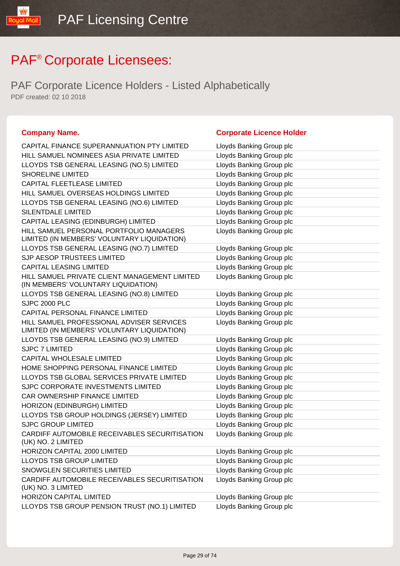PAF Corporate Licence Holders - Listed Alphabetically PDF created: 02 10 2018

#### **Company Name. Company Name. Company Name. Company Name. Company Name. Company Name. Company Name. Company Name. Company Name. Company Name. Company Name. Company Name. Company Name. Company Name.**

| CAPITAL FINANCE SUPERANNUATION PTY LIMITED                                               | Lloyds Banking Group plc |
|------------------------------------------------------------------------------------------|--------------------------|
| HILL SAMUEL NOMINEES ASIA PRIVATE LIMITED                                                | Lloyds Banking Group plc |
| LLOYDS TSB GENERAL LEASING (NO.5) LIMITED                                                | Lloyds Banking Group plc |
| <b>SHORELINE LIMITED</b>                                                                 | Lloyds Banking Group plc |
| CAPITAL FLEETLEASE LIMITED                                                               | Lloyds Banking Group plc |
| HILL SAMUEL OVERSEAS HOLDINGS LIMITED                                                    | Lloyds Banking Group plc |
| LLOYDS TSB GENERAL LEASING (NO.6) LIMITED                                                | Lloyds Banking Group plc |
| <b>SILENTDALE LIMITED</b>                                                                | Lloyds Banking Group plc |
| CAPITAL LEASING (EDINBURGH) LIMITED                                                      | Lloyds Banking Group plc |
| HILL SAMUEL PERSONAL PORTFOLIO MANAGERS<br>LIMITED (IN MEMBERS' VOLUNTARY LIQUIDATION)   | Lloyds Banking Group plc |
| LLOYDS TSB GENERAL LEASING (NO.7) LIMITED                                                | Lloyds Banking Group plc |
| SJP AESOP TRUSTEES LIMITED                                                               | Lloyds Banking Group plc |
| <b>CAPITAL LEASING LIMITED</b>                                                           | Lloyds Banking Group plc |
| HILL SAMUEL PRIVATE CLIENT MANAGEMENT LIMITED<br>(IN MEMBERS' VOLUNTARY LIQUIDATION)     | Lloyds Banking Group plc |
| LLOYDS TSB GENERAL LEASING (NO.8) LIMITED                                                | Lloyds Banking Group plc |
| <b>SJPC 2000 PLC</b>                                                                     | Lloyds Banking Group plc |
| CAPITAL PERSONAL FINANCE LIMITED                                                         | Lloyds Banking Group plc |
| HILL SAMUEL PROFESSIONAL ADVISER SERVICES<br>LIMITED (IN MEMBERS' VOLUNTARY LIQUIDATION) | Lloyds Banking Group plc |
| LLOYDS TSB GENERAL LEASING (NO.9) LIMITED                                                | Lloyds Banking Group plc |
| <b>SJPC 7 LIMITED</b>                                                                    | Lloyds Banking Group plc |
| CAPITAL WHOLESALE LIMITED                                                                | Lloyds Banking Group plc |
| HOME SHOPPING PERSONAL FINANCE LIMITED                                                   | Lloyds Banking Group plc |
| LLOYDS TSB GLOBAL SERVICES PRIVATE LIMITED                                               | Lloyds Banking Group plc |
| SJPC CORPORATE INVESTMENTS LIMITED                                                       | Lloyds Banking Group plc |
| CAR OWNERSHIP FINANCE LIMITED                                                            | Lloyds Banking Group plc |
| HORIZON (EDINBURGH) LIMITED                                                              | Lloyds Banking Group plc |
| LLOYDS TSB GROUP HOLDINGS (JERSEY) LIMITED                                               | Lloyds Banking Group plc |
| <b>SJPC GROUP LIMITED</b>                                                                | Lloyds Banking Group plc |
| CARDIFF AUTOMOBILE RECEIVABLES SECURITISATION<br>(UK) NO. 2 LIMITED                      | Lloyds Banking Group plc |
| HORIZON CAPITAL 2000 LIMITED                                                             | Lloyds Banking Group plc |
| LLOYDS TSB GROUP LIMITED                                                                 | Lloyds Banking Group plc |
| SNOWGLEN SECURITIES LIMITED                                                              | Lloyds Banking Group plc |
| CARDIFF AUTOMOBILE RECEIVABLES SECURITISATION<br>(UK) NO. 3 LIMITED                      | Lloyds Banking Group plc |
| <b>HORIZON CAPITAL LIMITED</b>                                                           | Lloyds Banking Group plc |
| LLOYDS TSB GROUP PENSION TRUST (NO.1) LIMITED                                            | Lloyds Banking Group plc |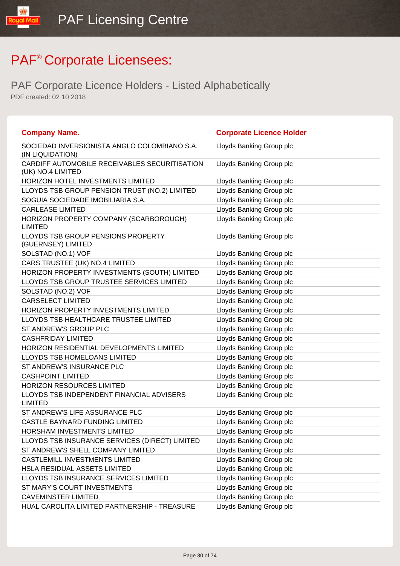| <b>Company Name.</b>                                               | <b>Corporate Licence Holder</b> |
|--------------------------------------------------------------------|---------------------------------|
| SOCIEDAD INVERSIONISTA ANGLO COLOMBIANO S.A.<br>(IN LIQUIDATION)   | Lloyds Banking Group plc        |
| CARDIFF AUTOMOBILE RECEIVABLES SECURITISATION<br>(UK) NO.4 LIMITED | Lloyds Banking Group plc        |
| HORIZON HOTEL INVESTMENTS LIMITED                                  | Lloyds Banking Group plc        |
| LLOYDS TSB GROUP PENSION TRUST (NO.2) LIMITED                      | Lloyds Banking Group plc        |
| SOGUIA SOCIEDADE IMOBILIARIA S.A.                                  | Lloyds Banking Group plc        |
| <b>CARLEASE LIMITED</b>                                            | Lloyds Banking Group plc        |
| HORIZON PROPERTY COMPANY (SCARBOROUGH)<br><b>LIMITED</b>           | Lloyds Banking Group plc        |
| LLOYDS TSB GROUP PENSIONS PROPERTY<br>(GUERNSEY) LIMITED           | Lloyds Banking Group plc        |
| SOLSTAD (NO.1) VOF                                                 | Lloyds Banking Group plc        |
| CARS TRUSTEE (UK) NO.4 LIMITED                                     | Lloyds Banking Group plc        |
| HORIZON PROPERTY INVESTMENTS (SOUTH) LIMITED                       | Lloyds Banking Group plc        |
| LLOYDS TSB GROUP TRUSTEE SERVICES LIMITED                          | Lloyds Banking Group plc        |
| SOLSTAD (NO.2) VOF                                                 | Lloyds Banking Group plc        |
| <b>CARSELECT LIMITED</b>                                           | Lloyds Banking Group plc        |
| <b>HORIZON PROPERTY INVESTMENTS LIMITED</b>                        | Lloyds Banking Group plc        |
| LLOYDS TSB HEALTHCARE TRUSTEE LIMITED                              | Lloyds Banking Group plc        |
| ST ANDREW'S GROUP PLC                                              | Lloyds Banking Group plc        |
| <b>CASHFRIDAY LIMITED</b>                                          | Lloyds Banking Group plc        |
| <b>HORIZON RESIDENTIAL DEVELOPMENTS LIMITED</b>                    | Lloyds Banking Group plc        |
| LLOYDS TSB HOMELOANS LIMITED                                       | Lloyds Banking Group plc        |
| ST ANDREW'S INSURANCE PLC                                          | Lloyds Banking Group plc        |
| <b>CASHPOINT LIMITED</b>                                           | Lloyds Banking Group plc        |
| <b>HORIZON RESOURCES LIMITED</b>                                   | Lloyds Banking Group plc        |
| LLOYDS TSB INDEPENDENT FINANCIAL ADVISERS<br><b>LIMITED</b>        | Lloyds Banking Group plc        |
| ST ANDREW'S LIFE ASSURANCE PLC                                     | Lloyds Banking Group plc        |
| CASTLE BAYNARD FUNDING LIMITED                                     | Lloyds Banking Group plc        |
| HORSHAM INVESTMENTS LIMITED                                        | Lloyds Banking Group plc        |
| LLOYDS TSB INSURANCE SERVICES (DIRECT) LIMITED                     | Lloyds Banking Group plc        |
| ST ANDREW'S SHELL COMPANY LIMITED                                  | Lloyds Banking Group plc        |
| <b>CASTLEMILL INVESTMENTS LIMITED</b>                              | Lloyds Banking Group plc        |
| HSLA RESIDUAL ASSETS LIMITED                                       | Lloyds Banking Group plc        |
| LLOYDS TSB INSURANCE SERVICES LIMITED                              | Lloyds Banking Group plc        |
| ST MARY'S COURT INVESTMENTS                                        | Lloyds Banking Group plc        |
| <b>CAVEMINSTER LIMITED</b>                                         | Lloyds Banking Group plc        |
| HUAL CAROLITA LIMITED PARTNERSHIP - TREASURE                       | Lloyds Banking Group plc        |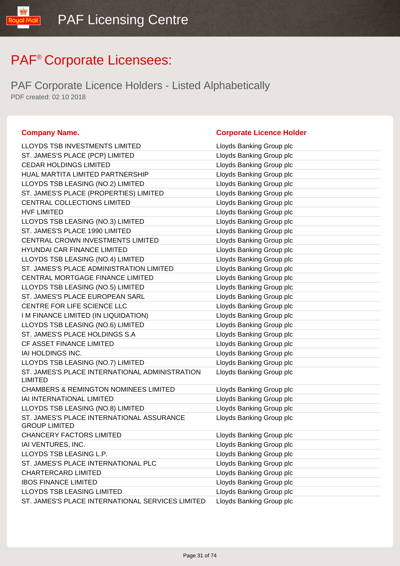PAF Corporate Licence Holders - Listed Alphabetically PDF created: 02 10 2018

#### **Company Name. Corporate Licence Holder** LLOYDS TSB INVESTMENTS LIMITED Lattitude the Lloyds Banking Group plc ST. JAMES'S PLACE (PCP) LIMITED Lattitude the Lloyds Banking Group plc CEDAR HOLDINGS LIMITED LINE Lloyds Banking Group plc HUAL MARTITA LIMITED PARTNERSHIP LIMIT LIOYDS Banking Group plc LLOYDS TSB LEASING (NO.2) LIMITED LIDYDS Banking Group plc ST. JAMES'S PLACE (PROPERTIES) LIMITED Lloyds Banking Group plc CENTRAL COLLECTIONS LIMITED LIMITED LIOYDS Banking Group plc HVF LIMITED **Letter and Struck and Struck and Struck and Struck and Struck and Struck and Struck and Struck and Struck and Struck and Struck and Struck and Struck and Struck and Struck and Struck and Struck and Struck and** LLOYDS TSB LEASING (NO.3) LIMITED Lloyds Banking Group plc ST. JAMES'S PLACE 1990 LIMITED LIDYD Lloyds Banking Group plc CENTRAL CROWN INVESTMENTS LIMITED LIOYDIS Banking Group plc HYUNDAI CAR FINANCE LIMITED LATTER LOYDIS Banking Group plc LLOYDS TSB LEASING (NO.4) LIMITED Lloyds Banking Group plc ST. JAMES'S PLACE ADMINISTRATION LIMITED Lloyds Banking Group plc CENTRAL MORTGAGE FINANCE LIMITED Lloyds Banking Group plc LLOYDS TSB LEASING (NO.5) LIMITED LIOYDS Banking Group plc ST. JAMES'S PLACE EUROPEAN SARL Lloyds Banking Group plc CENTRE FOR LIFE SCIENCE LLC Love by Lloyds Banking Group plc IM FINANCE LIMITED (IN LIQUIDATION) Lloyds Banking Group plc LLOYDS TSB LEASING (NO.6) LIMITED LIOYDS Banking Group plc ST. JAMES'S PLACE HOLDINGS S.A Lloyds Banking Group plc CF ASSET FINANCE LIMITED **Limitation** Lloyds Banking Group plc IAI HOLDINGS INC. **Lloyds Banking Group plc Let up to the Unit of Alberta Control** LLOYDS TSB LEASING (NO.7) LIMITED LIDYDS Banking Group plc ST. JAMES'S PLACE INTERNATIONAL ADMINISTRATION LIMITED Lloyds Banking Group plc CHAMBERS & REMINGTON NOMINEES LIMITED Lloyds Banking Group plc IAI INTERNATIONAL LIMITED LOVE CONTROLLER THE RESERVE TO LOVE BANKING Group plc LLOYDS TSB LEASING (NO.8) LIMITED Lloyds Banking Group plc ST. JAMES'S PLACE INTERNATIONAL ASSURANCE GROUP LIMITED Lloyds Banking Group plc CHANCERY FACTORS LIMITED **Example 20** Lloyds Banking Group plc IAI VENTURES, INC. **Lista and Server Control Control Control Control Control Control Control Control Control Control Control Control Control Control Control Control Control Control Control Control Control Control Control C** LLOYDS TSB LEASING L.P. **Let up a little of the USA COVIDS** Lloyds Banking Group plc ST. JAMES'S PLACE INTERNATIONAL PLC Lloyds Banking Group plc CHARTERCARD LIMITED Lloyds Banking Group plc IBOS FINANCE LIMITED **Loyds Banking Group plc** LLOYDS TSB LEASING LIMITED Lloyds Banking Group plc

ST. JAMES'S PLACE INTERNATIONAL SERVICES LIMITED Lloyds Banking Group plc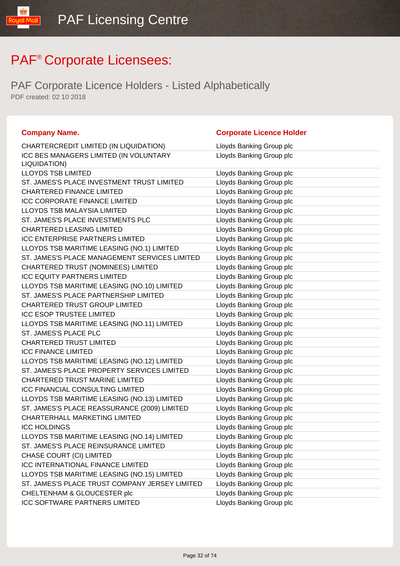| <b>Company Name.</b>                                   | <b>Corporate Licence Holder</b> |
|--------------------------------------------------------|---------------------------------|
| CHARTERCREDIT LIMITED (IN LIQUIDATION)                 | Lloyds Banking Group plc        |
| ICC BES MANAGERS LIMITED (IN VOLUNTARY<br>LIQUIDATION) | Lloyds Banking Group plc        |
| <b>LLOYDS TSB LIMITED</b>                              | Lloyds Banking Group plc        |
| ST. JAMES'S PLACE INVESTMENT TRUST LIMITED             | Lloyds Banking Group plc        |
| <b>CHARTERED FINANCE LIMITED</b>                       | Lloyds Banking Group plc        |
| <b>ICC CORPORATE FINANCE LIMITED</b>                   | Lloyds Banking Group plc        |
| LLOYDS TSB MALAYSIA LIMITED                            | Lloyds Banking Group plc        |
| ST. JAMES'S PLACE INVESTMENTS PLC                      | Lloyds Banking Group plc        |
| <b>CHARTERED LEASING LIMITED</b>                       | Lloyds Banking Group plc        |
| <b>ICC ENTERPRISE PARTNERS LIMITED</b>                 | Lloyds Banking Group plc        |
| LLOYDS TSB MARITIME LEASING (NO.1) LIMITED             | Lloyds Banking Group plc        |
| ST. JAMES'S PLACE MANAGEMENT SERVICES LIMITED          | Lloyds Banking Group plc        |
| CHARTERED TRUST (NOMINEES) LIMITED                     | Lloyds Banking Group plc        |
| <b>ICC EQUITY PARTNERS LIMITED</b>                     | Lloyds Banking Group plc        |
| LLOYDS TSB MARITIME LEASING (NO.10) LIMITED            | Lloyds Banking Group plc        |
| ST. JAMES'S PLACE PARTNERSHIP LIMITED                  | Lloyds Banking Group plc        |
| CHARTERED TRUST GROUP LIMITED                          | Lloyds Banking Group plc        |
| <b>ICC ESOP TRUSTEE LIMITED</b>                        | Lloyds Banking Group plc        |
| LLOYDS TSB MARITIME LEASING (NO.11) LIMITED            | Lloyds Banking Group plc        |
| ST. JAMES'S PLACE PLC                                  | Lloyds Banking Group plc        |
| <b>CHARTERED TRUST LIMITED</b>                         | Lloyds Banking Group plc        |
| <b>ICC FINANCE LIMITED</b>                             | Lloyds Banking Group plc        |
| LLOYDS TSB MARITIME LEASING (NO.12) LIMITED            | Lloyds Banking Group plc        |
| ST. JAMES'S PLACE PROPERTY SERVICES LIMITED            | Lloyds Banking Group plc        |
| CHARTERED TRUST MARINE LIMITED                         | Lloyds Banking Group plc        |
| <b>ICC FINANCIAL CONSULTING LIMITED</b>                | Lloyds Banking Group plc        |
| LLOYDS TSB MARITIME LEASING (NO.13) LIMITED            | Lloyds Banking Group plc        |
| ST. JAMES'S PLACE REASSURANCE (2009) LIMITED           | Lloyds Banking Group plc        |
| CHARTERHALL MARKETING LIMITED                          | Lloyds Banking Group plc        |
| <b>ICC HOLDINGS</b>                                    | Lloyds Banking Group plc        |
| LLOYDS TSB MARITIME LEASING (NO.14) LIMITED            | Lloyds Banking Group plc        |
| ST. JAMES'S PLACE REINSURANCE LIMITED                  | Lloyds Banking Group plc        |
| CHASE COURT (CI) LIMITED                               | Lloyds Banking Group plc        |
| <b>ICC INTERNATIONAL FINANCE LIMITED</b>               | Lloyds Banking Group plc        |
| LLOYDS TSB MARITIME LEASING (NO.15) LIMITED            | Lloyds Banking Group plc        |
| ST. JAMES'S PLACE TRUST COMPANY JERSEY LIMITED         | Lloyds Banking Group plc        |
| CHELTENHAM & GLOUCESTER plc                            | Lloyds Banking Group plc        |
| ICC SOFTWARE PARTNERS LIMITED                          | Lloyds Banking Group plc        |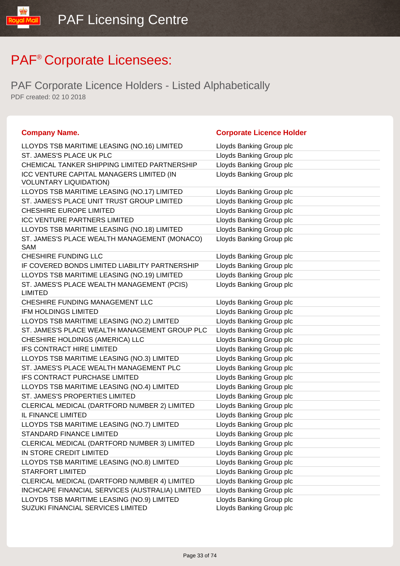| <b>Company Name.</b>                                                            | <b>Corporate Licence Holder</b>                      |
|---------------------------------------------------------------------------------|------------------------------------------------------|
| LLOYDS TSB MARITIME LEASING (NO.16) LIMITED                                     | Lloyds Banking Group plc                             |
| ST. JAMES'S PLACE UK PLC                                                        | Lloyds Banking Group plc                             |
| CHEMICAL TANKER SHIPPING LIMITED PARTNERSHIP                                    | Lloyds Banking Group plc                             |
| ICC VENTURE CAPITAL MANAGERS LIMITED (IN<br><b>VOLUNTARY LIQUIDATION)</b>       | Lloyds Banking Group plc                             |
| LLOYDS TSB MARITIME LEASING (NO.17) LIMITED                                     | Lloyds Banking Group plc                             |
| ST. JAMES'S PLACE UNIT TRUST GROUP LIMITED                                      | Lloyds Banking Group plc                             |
| CHESHIRE EUROPE LIMITED                                                         | Lloyds Banking Group plc                             |
| ICC VENTURE PARTNERS LIMITED                                                    | Lloyds Banking Group plc                             |
| LLOYDS TSB MARITIME LEASING (NO.18) LIMITED                                     | Lloyds Banking Group plc                             |
| ST. JAMES'S PLACE WEALTH MANAGEMENT (MONACO)<br>SAM                             | Lloyds Banking Group plc                             |
| CHESHIRE FUNDING LLC                                                            | Lloyds Banking Group plc                             |
| IF COVERED BONDS LIMITED LIABILITY PARTNERSHIP                                  | Lloyds Banking Group plc                             |
| LLOYDS TSB MARITIME LEASING (NO.19) LIMITED                                     | Lloyds Banking Group plc                             |
| ST. JAMES'S PLACE WEALTH MANAGEMENT (PCIS)<br><b>LIMITED</b>                    | Lloyds Banking Group plc                             |
| CHESHIRE FUNDING MANAGEMENT LLC                                                 | Lloyds Banking Group plc                             |
| <b>IFM HOLDINGS LIMITED</b>                                                     | Lloyds Banking Group plc                             |
| LLOYDS TSB MARITIME LEASING (NO.2) LIMITED                                      | Lloyds Banking Group plc                             |
| ST. JAMES'S PLACE WEALTH MANAGEMENT GROUP PLC                                   | Lloyds Banking Group plc                             |
| CHESHIRE HOLDINGS (AMERICA) LLC                                                 | Lloyds Banking Group plc                             |
| IFS CONTRACT HIRE LIMITED                                                       | Lloyds Banking Group plc                             |
| LLOYDS TSB MARITIME LEASING (NO.3) LIMITED                                      | Lloyds Banking Group plc                             |
| ST. JAMES'S PLACE WEALTH MANAGEMENT PLC                                         | Lloyds Banking Group plc                             |
| IFS CONTRACT PURCHASE LIMITED                                                   | Lloyds Banking Group plc                             |
| LLOYDS TSB MARITIME LEASING (NO.4) LIMITED                                      | Lloyds Banking Group plc                             |
| ST. JAMES'S PROPERTIES LIMITED                                                  | Lloyds Banking Group plc                             |
| CLERICAL MEDICAL (DARTFORD NUMBER 2) LIMITED                                    | Lloyds Banking Group plc                             |
| IL FINANCE LIMITED                                                              | Lloyds Banking Group plc                             |
| LLOYDS TSB MARITIME LEASING (NO.7) LIMITED                                      | Lloyds Banking Group plc                             |
| STANDARD FINANCE LIMITED                                                        | Lloyds Banking Group plc                             |
| CLERICAL MEDICAL (DARTFORD NUMBER 3) LIMITED                                    | Lloyds Banking Group plc                             |
| IN STORE CREDIT LIMITED                                                         | Lloyds Banking Group plc                             |
| LLOYDS TSB MARITIME LEASING (NO.8) LIMITED                                      | Lloyds Banking Group plc                             |
| <b>STARFORT LIMITED</b>                                                         | Lloyds Banking Group plc                             |
| CLERICAL MEDICAL (DARTFORD NUMBER 4) LIMITED                                    | Lloyds Banking Group plc                             |
| INCHCAPE FINANCIAL SERVICES (AUSTRALIA) LIMITED                                 | Lloyds Banking Group plc                             |
| LLOYDS TSB MARITIME LEASING (NO.9) LIMITED<br>SUZUKI FINANCIAL SERVICES LIMITED | Lloyds Banking Group plc<br>Lloyds Banking Group plc |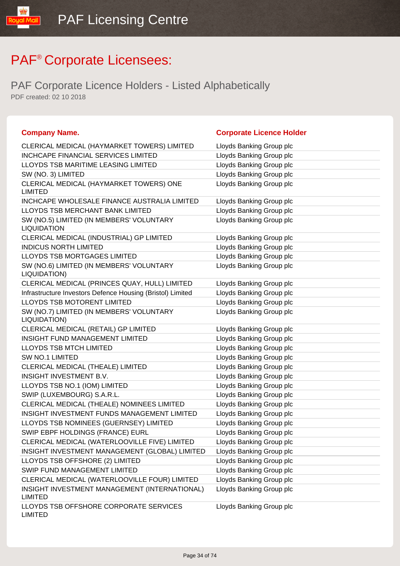| <b>Company Name.</b>                                            | <b>Corporate Licence Holder</b> |
|-----------------------------------------------------------------|---------------------------------|
| CLERICAL MEDICAL (HAYMARKET TOWERS) LIMITED                     | Lloyds Banking Group plc        |
| <b>INCHCAPE FINANCIAL SERVICES LIMITED</b>                      | Lloyds Banking Group plc        |
| LLOYDS TSB MARITIME LEASING LIMITED                             | Lloyds Banking Group plc        |
| SW (NO. 3) LIMITED                                              | Lloyds Banking Group plc        |
| CLERICAL MEDICAL (HAYMARKET TOWERS) ONE<br><b>LIMITED</b>       | Lloyds Banking Group plc        |
| INCHCAPE WHOLESALE FINANCE AUSTRALIA LIMITED                    | Lloyds Banking Group plc        |
| LLOYDS TSB MERCHANT BANK LIMITED                                | Lloyds Banking Group plc        |
| SW (NO.5) LIMITED (IN MEMBERS' VOLUNTARY<br><b>LIQUIDATION</b>  | Lloyds Banking Group plc        |
| CLERICAL MEDICAL (INDUSTRIAL) GP LIMITED                        | Lloyds Banking Group plc        |
| <b>INDICUS NORTH LIMITED</b>                                    | Lloyds Banking Group plc        |
| LLOYDS TSB MORTGAGES LIMITED                                    | Lloyds Banking Group plc        |
| SW (NO.6) LIMITED (IN MEMBERS' VOLUNTARY<br>LIQUIDATION)        | Lloyds Banking Group plc        |
| CLERICAL MEDICAL (PRINCES QUAY, HULL) LIMITED                   | Lloyds Banking Group plc        |
| Infrastructure Investors Defence Housing (Bristol) Limited      | Lloyds Banking Group plc        |
| <b>LLOYDS TSB MOTORENT LIMITED</b>                              | Lloyds Banking Group plc        |
| SW (NO.7) LIMITED (IN MEMBERS' VOLUNTARY<br>LIQUIDATION)        | Lloyds Banking Group plc        |
| CLERICAL MEDICAL (RETAIL) GP LIMITED                            | Lloyds Banking Group plc        |
| <b>INSIGHT FUND MANAGEMENT LIMITED</b>                          | Lloyds Banking Group plc        |
| <b>LLOYDS TSB MTCH LIMITED</b>                                  | Lloyds Banking Group plc        |
| SW NO.1 LIMITED                                                 | Lloyds Banking Group plc        |
| CLERICAL MEDICAL (THEALE) LIMITED                               | Lloyds Banking Group plc        |
| INSIGHT INVESTMENT B.V.                                         | Lloyds Banking Group plc        |
| LLOYDS TSB NO.1 (IOM) LIMITED                                   | Lloyds Banking Group plc        |
| SWIP (LUXEMBOURG) S.A.R.L.                                      | Lloyds Banking Group plc        |
| CLERICAL MEDICAL (THEALE) NOMINEES LIMITED                      | Lloyds Banking Group plc        |
| INSIGHT INVESTMENT FUNDS MANAGEMENT LIMITED                     | Lloyds Banking Group plc        |
| LLOYDS TSB NOMINEES (GUERNSEY) LIMITED                          | Lloyds Banking Group plc        |
| SWIP EBPF HOLDINGS (FRANCE) EURL                                | Lloyds Banking Group plc        |
| CLERICAL MEDICAL (WATERLOOVILLE FIVE) LIMITED                   | Lloyds Banking Group plc        |
| INSIGHT INVESTMENT MANAGEMENT (GLOBAL) LIMITED                  | Lloyds Banking Group plc        |
| LLOYDS TSB OFFSHORE (2) LIMITED                                 | Lloyds Banking Group plc        |
| SWIP FUND MANAGEMENT LIMITED                                    | Lloyds Banking Group plc        |
| CLERICAL MEDICAL (WATERLOOVILLE FOUR) LIMITED                   | Lloyds Banking Group plc        |
| INSIGHT INVESTMENT MANAGEMENT (INTERNATIONAL)<br><b>LIMITED</b> | Lloyds Banking Group plc        |
| LLOYDS TSB OFFSHORE CORPORATE SERVICES<br><b>LIMITED</b>        | Lloyds Banking Group plc        |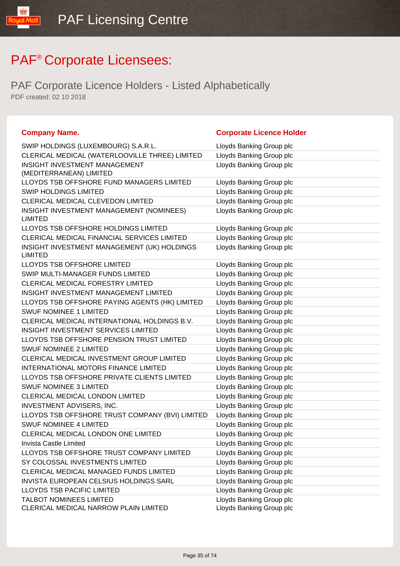| <b>Company Name.</b>                                                    | <b>Corporate Licence Holder</b>                      |
|-------------------------------------------------------------------------|------------------------------------------------------|
| SWIP HOLDINGS (LUXEMBOURG) S.A.R.L.                                     | Lloyds Banking Group plc                             |
| CLERICAL MEDICAL (WATERLOOVILLE THREE) LIMITED                          | Lloyds Banking Group plc                             |
| <b>INSIGHT INVESTMENT MANAGEMENT</b><br>(MEDITERRANEAN) LIMITED         | Lloyds Banking Group plc                             |
| LLOYDS TSB OFFSHORE FUND MANAGERS LIMITED                               | Lloyds Banking Group plc                             |
| <b>SWIP HOLDINGS LIMITED</b>                                            | Lloyds Banking Group plc                             |
| CLERICAL MEDICAL CLEVEDON LIMITED                                       | Lloyds Banking Group plc                             |
| INSIGHT INVESTMENT MANAGEMENT (NOMINEES)<br><b>LIMITED</b>              | Lloyds Banking Group plc                             |
| LLOYDS TSB OFFSHORE HOLDINGS LIMITED                                    | Lloyds Banking Group plc                             |
| CLERICAL MEDICAL FINANCIAL SERVICES LIMITED                             | Lloyds Banking Group plc                             |
| INSIGHT INVESTMENT MANAGEMENT (UK) HOLDINGS<br><b>LIMITED</b>           | Lloyds Banking Group plc                             |
| LLOYDS TSB OFFSHORE LIMITED                                             | Lloyds Banking Group plc                             |
| SWIP MULTI-MANAGER FUNDS LIMITED                                        | Lloyds Banking Group plc                             |
| CLERICAL MEDICAL FORESTRY LIMITED                                       | Lloyds Banking Group plc                             |
| INSIGHT INVESTMENT MANAGEMENT LIMITED                                   | Lloyds Banking Group plc                             |
| LLOYDS TSB OFFSHORE PAYING AGENTS (HK) LIMITED                          | Lloyds Banking Group plc                             |
| <b>SWUF NOMINEE 1 LIMITED</b>                                           | Lloyds Banking Group plc                             |
| CLERICAL MEDICAL INTERNATIONAL HOLDINGS B.V.                            | Lloyds Banking Group plc                             |
| <b>INSIGHT INVESTMENT SERVICES LIMITED</b>                              | Lloyds Banking Group plc                             |
| LLOYDS TSB OFFSHORE PENSION TRUST LIMITED                               | Lloyds Banking Group plc                             |
| <b>SWUF NOMINEE 2 LIMITED</b>                                           | Lloyds Banking Group plc                             |
| CLERICAL MEDICAL INVESTMENT GROUP LIMITED                               | Lloyds Banking Group plc                             |
| <b>INTERNATIONAL MOTORS FINANCE LIMITED</b>                             | Lloyds Banking Group plc                             |
| LLOYDS TSB OFFSHORE PRIVATE CLIENTS LIMITED                             | Lloyds Banking Group plc                             |
| <b>SWUF NOMINEE 3 LIMITED</b>                                           | Lloyds Banking Group plc                             |
| CLERICAL MEDICAL LONDON LIMITED                                         | Lloyds Banking Group plc                             |
| INVESTMENT ADVISERS, INC.                                               | Lloyds Banking Group plc                             |
| LLOYDS TSB OFFSHORE TRUST COMPANY (BVI) LIMITED                         | Lloyds Banking Group plc                             |
| <b>SWUF NOMINEE 4 LIMITED</b>                                           | Lloyds Banking Group plc                             |
| CLERICAL MEDICAL LONDON ONE LIMITED                                     | Lloyds Banking Group plc                             |
| Invista Castle Limited                                                  | Lloyds Banking Group plc                             |
| LLOYDS TSB OFFSHORE TRUST COMPANY LIMITED                               | Lloyds Banking Group plc                             |
| SY COLOSSAL INVESTMENTS LIMITED                                         | Lloyds Banking Group plc                             |
| CLERICAL MEDICAL MANAGED FUNDS LIMITED                                  | Lloyds Banking Group plc                             |
| INVISTA EUROPEAN CELSIUS HOLDINGS SARL                                  | Lloyds Banking Group plc                             |
| <b>LLOYDS TSB PACIFIC LIMITED</b>                                       | Lloyds Banking Group plc                             |
| <b>TALBOT NOMINEES LIMITED</b><br>CLERICAL MEDICAL NARROW PLAIN LIMITED | Lloyds Banking Group plc<br>Lloyds Banking Group plc |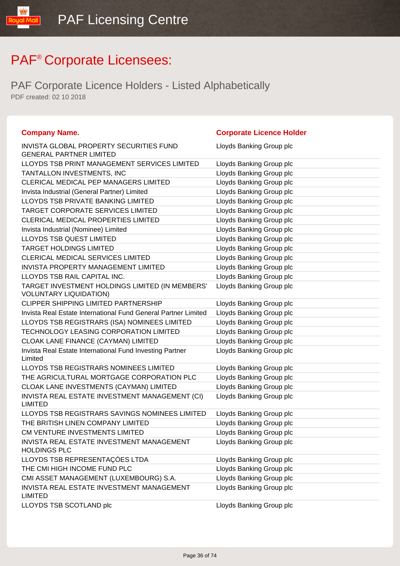| <b>Company Name.</b>                                                             | <b>Corporate Licence Holder</b> |
|----------------------------------------------------------------------------------|---------------------------------|
| <b>INVISTA GLOBAL PROPERTY SECURITIES FUND</b><br><b>GENERAL PARTNER LIMITED</b> | Lloyds Banking Group plc        |
| LLOYDS TSB PRINT MANAGEMENT SERVICES LIMITED                                     | Lloyds Banking Group plc        |
| TANTALLON INVESTMENTS, INC                                                       | Lloyds Banking Group plc        |
| CLERICAL MEDICAL PEP MANAGERS LIMITED                                            | Lloyds Banking Group plc        |
| Invista Industrial (General Partner) Limited                                     | Lloyds Banking Group plc        |
| LLOYDS TSB PRIVATE BANKING LIMITED                                               | Lloyds Banking Group plc        |
| TARGET CORPORATE SERVICES LIMITED                                                | Lloyds Banking Group plc        |
| <b>CLERICAL MEDICAL PROPERTIES LIMITED</b>                                       | Lloyds Banking Group plc        |
| Invista Industrial (Nominee) Limited                                             | Lloyds Banking Group plc        |
| <b>LLOYDS TSB QUEST LIMITED</b>                                                  | Lloyds Banking Group plc        |
| <b>TARGET HOLDINGS LIMITED</b>                                                   | Lloyds Banking Group plc        |
| CLERICAL MEDICAL SERVICES LIMITED                                                | Lloyds Banking Group plc        |
| INVISTA PROPERTY MANAGEMENT LIMITED                                              | Lloyds Banking Group plc        |
| LLOYDS TSB RAIL CAPITAL INC.                                                     | Lloyds Banking Group plc        |
| TARGET INVESTMENT HOLDINGS LIMITED (IN MEMBERS'<br><b>VOLUNTARY LIQUIDATION)</b> | Lloyds Banking Group plc        |
| <b>CLIPPER SHIPPING LIMITED PARTNERSHIP</b>                                      | Lloyds Banking Group plc        |
| Invista Real Estate International Fund General Partner Limited                   | Lloyds Banking Group plc        |
| LLOYDS TSB REGISTRARS (ISA) NOMINEES LIMITED                                     | Lloyds Banking Group plc        |
| TECHNOLOGY LEASING CORPORATION LIMITED                                           | Lloyds Banking Group plc        |
| CLOAK LANE FINANCE (CAYMAN) LIMITED                                              | Lloyds Banking Group plc        |
| Invista Real Estate International Fund Investing Partner<br>Limited              | Lloyds Banking Group plc        |
| LLOYDS TSB REGISTRARS NOMINEES LIMITED                                           | Lloyds Banking Group plc        |
| THE AGRICULTURAL MORTGAGE CORPORATION PLC                                        | Lloyds Banking Group plc        |
| CLOAK LANE INVESTMENTS (CAYMAN) LIMITED                                          | Lloyds Banking Group plc        |
| INVISTA REAL ESTATE INVESTMENT MANAGEMENT (CI)<br><b>LIMITED</b>                 | Lloyds Banking Group plc        |
| LLOYDS TSB REGISTRARS SAVINGS NOMINEES LIMITED                                   | Lloyds Banking Group plc        |
| THE BRITISH LINEN COMPANY LIMITED                                                | Lloyds Banking Group plc        |
| CM VENTURE INVESTMENTS LIMITED                                                   | Lloyds Banking Group plc        |
| INVISTA REAL ESTATE INVESTMENT MANAGEMENT<br><b>HOLDINGS PLC</b>                 | Lloyds Banking Group plc        |
| LLOYDS TSB REPRESENTAÇÕES LTDA                                                   | Lloyds Banking Group plc        |
| THE CMI HIGH INCOME FUND PLC                                                     | Lloyds Banking Group plc        |
| CMI ASSET MANAGEMENT (LUXEMBOURG) S.A.                                           | Lloyds Banking Group plc        |
| INVISTA REAL ESTATE INVESTMENT MANAGEMENT<br><b>LIMITED</b>                      | Lloyds Banking Group plc        |
| LLOYDS TSB SCOTLAND plc                                                          | Lloyds Banking Group plc        |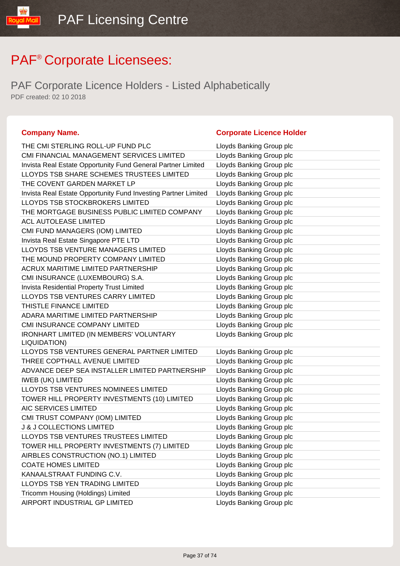PAF Corporate Licence Holders - Listed Alphabetically PDF created: 02 10 2018

| THE CMI STERLING ROLL-UP FUND PLC                              | Lloyds Banking Group plc |
|----------------------------------------------------------------|--------------------------|
| CMI FINANCIAL MANAGEMENT SERVICES LIMITED                      | Lloyds Banking Group plc |
| Invista Real Estate Opportunity Fund General Partner Limited   | Lloyds Banking Group plc |
| LLOYDS TSB SHARE SCHEMES TRUSTEES LIMITED                      | Lloyds Banking Group plc |
| THE COVENT GARDEN MARKET LP                                    | Lloyds Banking Group plc |
| Invista Real Estate Opportunity Fund Investing Partner Limited | Lloyds Banking Group plc |
| LLOYDS TSB STOCKBROKERS LIMITED                                | Lloyds Banking Group plc |
| THE MORTGAGE BUSINESS PUBLIC LIMITED COMPANY                   | Lloyds Banking Group plc |
| <b>ACL AUTOLEASE LIMITED</b>                                   | Lloyds Banking Group plc |
| CMI FUND MANAGERS (IOM) LIMITED                                | Lloyds Banking Group plc |
| Invista Real Estate Singapore PTE LTD                          | Lloyds Banking Group plc |
| LLOYDS TSB VENTURE MANAGERS LIMITED                            | Lloyds Banking Group plc |
| THE MOUND PROPERTY COMPANY LIMITED                             | Lloyds Banking Group plc |
| <b>ACRUX MARITIME LIMITED PARTNERSHIP</b>                      | Lloyds Banking Group plc |
| CMI INSURANCE (LUXEMBOURG) S.A.                                | Lloyds Banking Group plc |
| <b>Invista Residential Property Trust Limited</b>              | Lloyds Banking Group plc |
| LLOYDS TSB VENTURES CARRY LIMITED                              | Lloyds Banking Group plc |
| THISTLE FINANCE LIMITED                                        | Lloyds Banking Group plc |
| ADARA MARITIME LIMITED PARTNERSHIP                             | Lloyds Banking Group plc |
| CMI INSURANCE COMPANY LIMITED                                  | Lloyds Banking Group plc |
| <b>IRONHART LIMITED (IN MEMBERS' VOLUNTARY</b><br>LIQUIDATION) | Lloyds Banking Group plc |
| LLOYDS TSB VENTURES GENERAL PARTNER LIMITED                    | Lloyds Banking Group plc |
| THREE COPTHALL AVENUE LIMITED                                  | Lloyds Banking Group plc |
| ADVANCE DEEP SEA INSTALLER LIMITED PARTNERSHIP                 | Lloyds Banking Group plc |
| <b>IWEB (UK) LIMITED</b>                                       | Lloyds Banking Group plc |
| LLOYDS TSB VENTURES NOMINEES LIMITED                           | Lloyds Banking Group plc |
| TOWER HILL PROPERTY INVESTMENTS (10) LIMITED                   | Lloyds Banking Group plc |
| AIC SERVICES LIMITED                                           | Lloyds Banking Group plc |
| CMI TRUST COMPANY (IOM) LIMITED                                | Lloyds Banking Group plc |
| <b>J &amp; J COLLECTIONS LIMITED</b>                           | Lloyds Banking Group plc |
| LLOYDS TSB VENTURES TRUSTEES LIMITED                           | Lloyds Banking Group plc |
| TOWER HILL PROPERTY INVESTMENTS (7) LIMITED                    | Lloyds Banking Group plc |
| AIRBLES CONSTRUCTION (NO.1) LIMITED                            | Lloyds Banking Group plc |
| <b>COATE HOMES LIMITED</b>                                     | Lloyds Banking Group plc |
| KANAALSTRAAT FUNDING C.V.                                      | Lloyds Banking Group plc |
| LLOYDS TSB YEN TRADING LIMITED                                 | Lloyds Banking Group plc |
| Tricomm Housing (Holdings) Limited                             | Lloyds Banking Group plc |
| AIRPORT INDUSTRIAL GP LIMITED                                  | Lloyds Banking Group plc |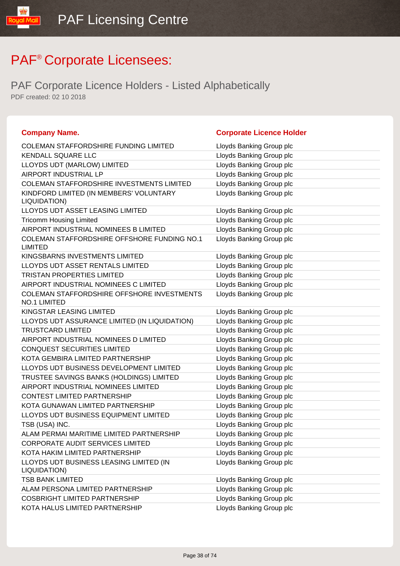IlipM lipu

| <b>Company Name.</b>                                          | <b>Corporate Licence Holder</b> |
|---------------------------------------------------------------|---------------------------------|
| <b>COLEMAN STAFFORDSHIRE FUNDING LIMITED</b>                  | Lloyds Banking Group plc        |
| <b>KENDALL SQUARE LLC</b>                                     | Lloyds Banking Group plc        |
| LLOYDS UDT (MARLOW) LIMITED                                   | Lloyds Banking Group plc        |
| AIRPORT INDUSTRIAL LP                                         | Lloyds Banking Group plc        |
| <b>COLEMAN STAFFORDSHIRE INVESTMENTS LIMITED</b>              | Lloyds Banking Group plc        |
| KINDFORD LIMITED (IN MEMBERS' VOLUNTARY<br>LIQUIDATION)       | Lloyds Banking Group plc        |
| LLOYDS UDT ASSET LEASING LIMITED                              | Lloyds Banking Group plc        |
| <b>Tricomm Housing Limited</b>                                | Lloyds Banking Group plc        |
| AIRPORT INDUSTRIAL NOMINEES B LIMITED                         | Lloyds Banking Group plc        |
| COLEMAN STAFFORDSHIRE OFFSHORE FUNDING NO.1<br><b>LIMITED</b> | Lloyds Banking Group plc        |
| KINGSBARNS INVESTMENTS LIMITED                                | Lloyds Banking Group plc        |
| LLOYDS UDT ASSET RENTALS LIMITED                              | Lloyds Banking Group plc        |
| <b>TRISTAN PROPERTIES LIMITED</b>                             | Lloyds Banking Group plc        |
| AIRPORT INDUSTRIAL NOMINEES C LIMITED                         | Lloyds Banking Group plc        |
| COLEMAN STAFFORDSHIRE OFFSHORE INVESTMENTS<br>NO.1 LIMITED    | Lloyds Banking Group plc        |
| KINGSTAR LEASING LIMITED                                      | Lloyds Banking Group plc        |
| LLOYDS UDT ASSURANCE LIMITED (IN LIQUIDATION)                 | Lloyds Banking Group plc        |
| <b>TRUSTCARD LIMITED</b>                                      | Lloyds Banking Group plc        |
| AIRPORT INDUSTRIAL NOMINEES D LIMITED                         | Lloyds Banking Group plc        |
| <b>CONQUEST SECURITIES LIMITED</b>                            | Lloyds Banking Group plc        |
| KOTA GEMBIRA LIMITED PARTNERSHIP                              | Lloyds Banking Group plc        |
| LLOYDS UDT BUSINESS DEVELOPMENT LIMITED                       | Lloyds Banking Group plc        |
| TRUSTEE SAVINGS BANKS (HOLDINGS) LIMITED                      | Lloyds Banking Group plc        |
| AIRPORT INDUSTRIAL NOMINEES LIMITED                           | Lloyds Banking Group plc        |
| <b>CONTEST LIMITED PARTNERSHIP</b>                            | Lloyds Banking Group plc        |
| KOTA GUNAWAN LIMITED PARTNERSHIP                              | Lloyds Banking Group plc        |
| LLOYDS UDT BUSINESS EQUIPMENT LIMITED                         | Lloyds Banking Group plc        |
| TSB (USA) INC.                                                | Lloyds Banking Group plc        |
| ALAM PERMAI MARITIME LIMITED PARTNERSHIP                      | Lloyds Banking Group plc        |
| <b>CORPORATE AUDIT SERVICES LIMITED</b>                       | Lloyds Banking Group plc        |
| KOTA HAKIM LIMITED PARTNERSHIP                                | Lloyds Banking Group plc        |
| LLOYDS UDT BUSINESS LEASING LIMITED (IN<br>LIQUIDATION)       | Lloyds Banking Group plc        |
| <b>TSB BANK LIMITED</b>                                       | Lloyds Banking Group plc        |
| ALAM PERSONA LIMITED PARTNERSHIP                              | Lloyds Banking Group plc        |
| <b>COSBRIGHT LIMITED PARTNERSHIP</b>                          | Lloyds Banking Group plc        |
| KOTA HALUS LIMITED PARTNERSHIP                                | Lloyds Banking Group plc        |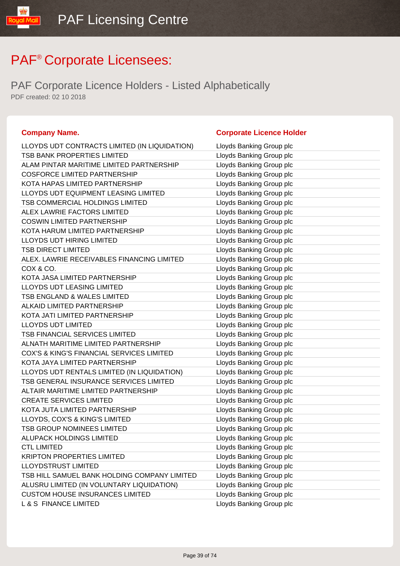| <b>Company Name.</b>                          | <b>Corporate Licence Holder</b> |
|-----------------------------------------------|---------------------------------|
| LLOYDS UDT CONTRACTS LIMITED (IN LIQUIDATION) | Lloyds Banking Group plc        |
| TSB BANK PROPERTIES LIMITED                   | Lloyds Banking Group plc        |
| ALAM PINTAR MARITIME LIMITED PARTNERSHIP      | Lloyds Banking Group plc        |
| <b>COSFORCE LIMITED PARTNERSHIP</b>           | Lloyds Banking Group plc        |
| KOTA HAPAS LIMITED PARTNERSHIP                | Lloyds Banking Group plc        |
| LLOYDS UDT EQUIPMENT LEASING LIMITED          | Lloyds Banking Group plc        |
| TSB COMMERCIAL HOLDINGS LIMITED               | Lloyds Banking Group plc        |
| ALEX LAWRIE FACTORS LIMITED                   | Lloyds Banking Group plc        |
| <b>COSWIN LIMITED PARTNERSHIP</b>             | Lloyds Banking Group plc        |
| KOTA HARUM LIMITED PARTNERSHIP                | Lloyds Banking Group plc        |
| LLOYDS UDT HIRING LIMITED                     | Lloyds Banking Group plc        |
| <b>TSB DIRECT LIMITED</b>                     | Lloyds Banking Group plc        |
| ALEX. LAWRIE RECEIVABLES FINANCING LIMITED    | Lloyds Banking Group plc        |
| COX & CO.                                     | Lloyds Banking Group plc        |
| KOTA JASA LIMITED PARTNERSHIP                 | Lloyds Banking Group plc        |
| <b>LLOYDS UDT LEASING LIMITED</b>             | Lloyds Banking Group plc        |
| TSB ENGLAND & WALES LIMITED                   | Lloyds Banking Group plc        |
| <b>ALKAID LIMITED PARTNERSHIP</b>             | Lloyds Banking Group plc        |
| KOTA JATI LIMITED PARTNERSHIP                 | Lloyds Banking Group plc        |
| <b>LLOYDS UDT LIMITED</b>                     | Lloyds Banking Group plc        |
| TSB FINANCIAL SERVICES LIMITED                | Lloyds Banking Group plc        |
| ALNATH MARITIME LIMITED PARTNERSHIP           | Lloyds Banking Group plc        |
| COX'S & KING'S FINANCIAL SERVICES LIMITED     | Lloyds Banking Group plc        |
| KOTA JAYA LIMITED PARTNERSHIP                 | Lloyds Banking Group plc        |
| LLOYDS UDT RENTALS LIMITED (IN LIQUIDATION)   | Lloyds Banking Group plc        |
| TSB GENERAL INSURANCE SERVICES LIMITED        | Lloyds Banking Group plc        |
| ALTAIR MARITIME LIMITED PARTNERSHIP           | Lloyds Banking Group plc        |
| <b>CREATE SERVICES LIMITED</b>                | Lloyds Banking Group plc        |
| KOTA JUTA LIMITED PARTNERSHIP                 | Lloyds Banking Group plc        |
| LLOYDS, COX'S & KING'S LIMITED                | Lloyds Banking Group plc        |
| <b>TSB GROUP NOMINEES LIMITED</b>             | Lloyds Banking Group plc        |
| <b>ALUPACK HOLDINGS LIMITED</b>               | Lloyds Banking Group plc        |
| <b>CTL LIMITED</b>                            | Lloyds Banking Group plc        |
| <b>KRIPTON PROPERTIES LIMITED</b>             | Lloyds Banking Group plc        |
| <b>LLOYDSTRUST LIMITED</b>                    | Lloyds Banking Group plc        |
| TSB HILL SAMUEL BANK HOLDING COMPANY LIMITED  | Lloyds Banking Group plc        |
| ALUSRU LIMITED (IN VOLUNTARY LIQUIDATION)     | Lloyds Banking Group plc        |
| <b>CUSTOM HOUSE INSURANCES LIMITED</b>        | Lloyds Banking Group plc        |
| <b>L &amp; S FINANCE LIMITED</b>              | Lloyds Banking Group plc        |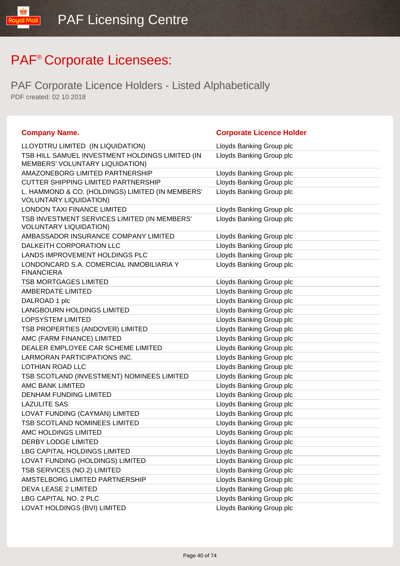| <b>Company Name.</b>                                                               | <b>Corporate Licence Holder</b> |
|------------------------------------------------------------------------------------|---------------------------------|
| LLOYDTRU LIMITED (IN LIQUIDATION)                                                  | Lloyds Banking Group plc        |
| TSB HILL SAMUEL INVESTMENT HOLDINGS LIMITED (IN<br>MEMBERS' VOLUNTARY LIQUIDATION) | Lloyds Banking Group plc        |
| AMAZONEBORG LIMITED PARTNERSHIP                                                    | Lloyds Banking Group plc        |
| <b>CUTTER SHIPPING LIMITED PARTNERSHIP</b>                                         | Lloyds Banking Group plc        |
| L. HAMMOND & CO. (HOLDINGS) LIMITED (IN MEMBERS'<br><b>VOLUNTARY LIQUIDATION)</b>  | Lloyds Banking Group plc        |
| <b>LONDON TAXI FINANCE LIMITED</b>                                                 | Lloyds Banking Group plc        |
| TSB INVESTMENT SERVICES LIMITED (IN MEMBERS'<br><b>VOLUNTARY LIQUIDATION)</b>      | Lloyds Banking Group plc        |
| AMBASSADOR INSURANCE COMPANY LIMITED                                               | Lloyds Banking Group plc        |
| DALKEITH CORPORATION LLC                                                           | Lloyds Banking Group plc        |
| LANDS IMPROVEMENT HOLDINGS PLC                                                     | Lloyds Banking Group plc        |
| LONDONCARD S.A. COMERCIAL INMOBILIARIA Y<br><b>FINANCIERA</b>                      | Lloyds Banking Group plc        |
| <b>TSB MORTGAGES LIMITED</b>                                                       | Lloyds Banking Group plc        |
| AMBERDATE LIMITED                                                                  | Lloyds Banking Group plc        |
| DALROAD 1 plc                                                                      | Lloyds Banking Group plc        |
| <b>LANGBOURN HOLDINGS LIMITED</b>                                                  | Lloyds Banking Group plc        |
| <b>LOPSYSTEM LIMITED</b>                                                           | Lloyds Banking Group plc        |
| TSB PROPERTIES (ANDOVER) LIMITED                                                   | Lloyds Banking Group plc        |
| AMC (FARM FINANCE) LIMITED                                                         | Lloyds Banking Group plc        |
| DEALER EMPLOYEE CAR SCHEME LIMITED                                                 | Lloyds Banking Group plc        |
| LARMORAN PARTICIPATIONS INC.                                                       | Lloyds Banking Group plc        |
| LOTHIAN ROAD LLC                                                                   | Lloyds Banking Group plc        |
| TSB SCOTLAND (INVESTMENT) NOMINEES LIMITED                                         | Lloyds Banking Group plc        |
| AMC BANK LIMITED                                                                   | Lloyds Banking Group plc        |
| <b>DENHAM FUNDING LIMITED</b>                                                      | Lloyds Banking Group plc        |
| <b>LAZULITE SAS</b>                                                                | Lloyds Banking Group plc        |
| LOVAT FUNDING (CAYMAN) LIMITED                                                     | Lloyds Banking Group plc        |
| TSB SCOTLAND NOMINEES LIMITED                                                      | Lloyds Banking Group plc        |
| AMC HOLDINGS LIMITED                                                               | Lloyds Banking Group plc        |
| <b>DERBY LODGE LIMITED</b>                                                         | Lloyds Banking Group plc        |
| LBG CAPITAL HOLDINGS LIMITED                                                       | Lloyds Banking Group plc        |
| LOVAT FUNDING (HOLDINGS) LIMITED                                                   | Lloyds Banking Group plc        |
| TSB SERVICES (NO.2) LIMITED                                                        | Lloyds Banking Group plc        |
| AMSTELBORG LIMITED PARTNERSHIP                                                     | Lloyds Banking Group plc        |
| DEVA LEASE 2 LIMITED                                                               | Lloyds Banking Group plc        |
| LBG CAPITAL NO. 2 PLC                                                              | Lloyds Banking Group plc        |
| LOVAT HOLDINGS (BVI) LIMITED                                                       | Lloyds Banking Group plc        |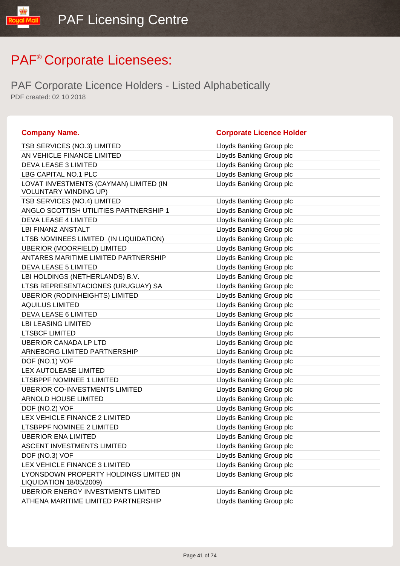| <b>Company Name.</b>                                               | <b>Corporate Licence Holder</b> |
|--------------------------------------------------------------------|---------------------------------|
| TSB SERVICES (NO.3) LIMITED                                        | Lloyds Banking Group plc        |
| AN VEHICLE FINANCE LIMITED                                         | Lloyds Banking Group plc        |
| DEVA LEASE 3 LIMITED                                               | Lloyds Banking Group plc        |
| LBG CAPITAL NO.1 PLC                                               | Lloyds Banking Group plc        |
| LOVAT INVESTMENTS (CAYMAN) LIMITED (IN                             | Lloyds Banking Group plc        |
| <b>VOLUNTARY WINDING UP)</b>                                       |                                 |
| TSB SERVICES (NO.4) LIMITED                                        | Lloyds Banking Group plc        |
| ANGLO SCOTTISH UTILITIES PARTNERSHIP 1                             | Lloyds Banking Group plc        |
| <b>DEVA LEASE 4 LIMITED</b>                                        | Lloyds Banking Group plc        |
| LBI FINANZ ANSTALT                                                 | Lloyds Banking Group plc        |
| LTSB NOMINEES LIMITED (IN LIQUIDATION)                             | Lloyds Banking Group plc        |
| <b>UBERIOR (MOORFIELD) LIMITED</b>                                 | Lloyds Banking Group plc        |
| ANTARES MARITIME LIMITED PARTNERSHIP                               | Lloyds Banking Group plc        |
| <b>DEVA LEASE 5 LIMITED</b>                                        | Lloyds Banking Group plc        |
| LBI HOLDINGS (NETHERLANDS) B.V.                                    | Lloyds Banking Group plc        |
| LTSB REPRESENTACIONES (URUGUAY) SA                                 | Lloyds Banking Group plc        |
| <b>UBERIOR (RODINHEIGHTS) LIMITED</b>                              | Lloyds Banking Group plc        |
| <b>AQUILUS LIMITED</b>                                             | Lloyds Banking Group plc        |
| <b>DEVA LEASE 6 LIMITED</b>                                        | Lloyds Banking Group plc        |
| <b>LBI LEASING LIMITED</b>                                         | Lloyds Banking Group plc        |
| <b>LTSBCF LIMITED</b>                                              | Lloyds Banking Group plc        |
| <b>UBERIOR CANADA LP LTD</b>                                       | Lloyds Banking Group plc        |
| ARNEBORG LIMITED PARTNERSHIP                                       | Lloyds Banking Group plc        |
| DOF (NO.1) VOF                                                     | Lloyds Banking Group plc        |
| LEX AUTOLEASE LIMITED                                              | Lloyds Banking Group plc        |
| <b>LTSBPPF NOMINEE 1 LIMITED</b>                                   | Lloyds Banking Group plc        |
| <b>UBERIOR CO-INVESTMENTS LIMITED</b>                              | Lloyds Banking Group plc        |
| <b>ARNOLD HOUSE LIMITED</b>                                        | Lloyds Banking Group plc        |
| DOF (NO.2) VOF                                                     | Lloyds Banking Group plc        |
| LEX VEHICLE FINANCE 2 LIMITED                                      | Lloyds Banking Group plc        |
| LTSBPPF NOMINEE 2 LIMITED                                          | Lloyds Banking Group plc        |
| <b>UBERIOR ENA LIMITED</b>                                         | Lloyds Banking Group plc        |
| ASCENT INVESTMENTS LIMITED                                         | Lloyds Banking Group plc        |
| DOF (NO.3) VOF                                                     | Lloyds Banking Group plc        |
| LEX VEHICLE FINANCE 3 LIMITED                                      | Lloyds Banking Group plc        |
| LYONSDOWN PROPERTY HOLDINGS LIMITED (IN<br>LIQUIDATION 18/05/2009) | Lloyds Banking Group plc        |
| <b>UBERIOR ENERGY INVESTMENTS LIMITED</b>                          | Lloyds Banking Group plc        |
| ATHENA MARITIME LIMITED PARTNERSHIP                                | Lloyds Banking Group plc        |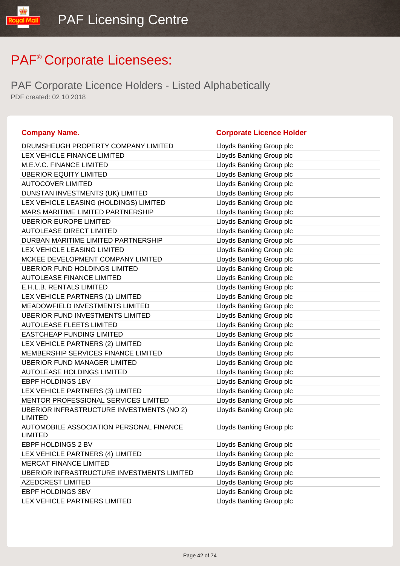| <b>Company Name.</b>                                        | <b>Corporate Licence Holder</b> |
|-------------------------------------------------------------|---------------------------------|
| DRUMSHEUGH PROPERTY COMPANY LIMITED                         | Lloyds Banking Group plc        |
| LEX VEHICLE FINANCE LIMITED                                 | Lloyds Banking Group plc        |
| M.E.V.C. FINANCE LIMITED                                    | Lloyds Banking Group plc        |
| <b>UBERIOR EQUITY LIMITED</b>                               | Lloyds Banking Group plc        |
| <b>AUTOCOVER LIMITED</b>                                    | Lloyds Banking Group plc        |
| DUNSTAN INVESTMENTS (UK) LIMITED                            | Lloyds Banking Group plc        |
| LEX VEHICLE LEASING (HOLDINGS) LIMITED                      | Lloyds Banking Group plc        |
| MARS MARITIME LIMITED PARTNERSHIP                           | Lloyds Banking Group plc        |
| <b>UBERIOR EUROPE LIMITED</b>                               | Lloyds Banking Group plc        |
| <b>AUTOLEASE DIRECT LIMITED</b>                             | Lloyds Banking Group plc        |
| DURBAN MARITIME LIMITED PARTNERSHIP                         | Lloyds Banking Group plc        |
| LEX VEHICLE LEASING LIMITED                                 | Lloyds Banking Group plc        |
| MCKEE DEVELOPMENT COMPANY LIMITED                           | Lloyds Banking Group plc        |
| <b>UBERIOR FUND HOLDINGS LIMITED</b>                        | Lloyds Banking Group plc        |
| <b>AUTOLEASE FINANCE LIMITED</b>                            | Lloyds Banking Group plc        |
| E.H.L.B. RENTALS LIMITED                                    | Lloyds Banking Group plc        |
| LEX VEHICLE PARTNERS (1) LIMITED                            | Lloyds Banking Group plc        |
| <b>MEADOWFIELD INVESTMENTS LIMITED</b>                      | Lloyds Banking Group plc        |
| <b>UBERIOR FUND INVESTMENTS LIMITED</b>                     | Lloyds Banking Group plc        |
| <b>AUTOLEASE FLEETS LIMITED</b>                             | Lloyds Banking Group plc        |
| <b>EASTCHEAP FUNDING LIMITED</b>                            | Lloyds Banking Group plc        |
| LEX VEHICLE PARTNERS (2) LIMITED                            | Lloyds Banking Group plc        |
| MEMBERSHIP SERVICES FINANCE LIMITED                         | Lloyds Banking Group plc        |
| <b>UBERIOR FUND MANAGER LIMITED</b>                         | Lloyds Banking Group plc        |
| <b>AUTOLEASE HOLDINGS LIMITED</b>                           | Lloyds Banking Group plc        |
| EBPF HOLDINGS 1BV                                           | Lloyds Banking Group plc        |
| LEX VEHICLE PARTNERS (3) LIMITED                            | Lloyds Banking Group plc        |
| MENTOR PROFESSIONAL SERVICES LIMITED                        | Lloyds Banking Group plc        |
| UBERIOR INFRASTRUCTURE INVESTMENTS (NO 2)<br><b>LIMITED</b> | Lloyds Banking Group plc        |
| AUTOMOBILE ASSOCIATION PERSONAL FINANCE<br><b>LIMITED</b>   | Lloyds Banking Group plc        |
| EBPF HOLDINGS 2 BV                                          | Lloyds Banking Group plc        |
| LEX VEHICLE PARTNERS (4) LIMITED                            | Lloyds Banking Group plc        |
| <b>MERCAT FINANCE LIMITED</b>                               | Lloyds Banking Group plc        |
| UBERIOR INFRASTRUCTURE INVESTMENTS LIMITED                  | Lloyds Banking Group plc        |
| AZEDCREST LIMITED                                           | Lloyds Banking Group plc        |
| EBPF HOLDINGS 3BV                                           | Lloyds Banking Group plc        |
| LEX VEHICLE PARTNERS LIMITED                                | Lloyds Banking Group plc        |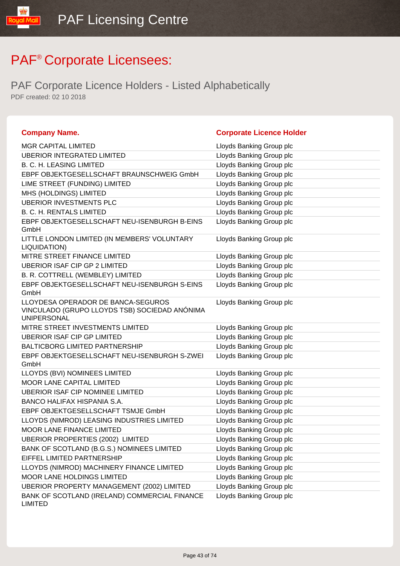IlipM lipu

| <b>Company Name.</b>                                                                                      | <b>Corporate Licence Holder</b> |
|-----------------------------------------------------------------------------------------------------------|---------------------------------|
| <b>MGR CAPITAL LIMITED</b>                                                                                | Lloyds Banking Group plc        |
| <b>UBERIOR INTEGRATED LIMITED</b>                                                                         | Lloyds Banking Group plc        |
| <b>B. C. H. LEASING LIMITED</b>                                                                           | Lloyds Banking Group plc        |
| EBPF OBJEKTGESELLSCHAFT BRAUNSCHWEIG GmbH                                                                 | Lloyds Banking Group plc        |
| LIME STREET (FUNDING) LIMITED                                                                             | Lloyds Banking Group plc        |
| MHS (HOLDINGS) LIMITED                                                                                    | Lloyds Banking Group plc        |
| <b>UBERIOR INVESTMENTS PLC</b>                                                                            | Lloyds Banking Group plc        |
| <b>B. C. H. RENTALS LIMITED</b>                                                                           | Lloyds Banking Group plc        |
| EBPF OBJEKTGESELLSCHAFT NEU-ISENBURGH B-EINS<br>GmbH                                                      | Lloyds Banking Group plc        |
| LITTLE LONDON LIMITED (IN MEMBERS' VOLUNTARY<br>LIQUIDATION)                                              | Lloyds Banking Group plc        |
| MITRE STREET FINANCE LIMITED                                                                              | Lloyds Banking Group plc        |
| <b>UBERIOR ISAF CIP GP 2 LIMITED</b>                                                                      | Lloyds Banking Group plc        |
| B. R. COTTRELL (WEMBLEY) LIMITED                                                                          | Lloyds Banking Group plc        |
| EBPF OBJEKTGESELLSCHAFT NEU-ISENBURGH S-EINS<br>GmbH                                                      | Lloyds Banking Group plc        |
| LLOYDESA OPERADOR DE BANCA-SEGUROS<br>VINCULADO (GRUPO LLOYDS TSB) SOCIEDAD ANÓNIMA<br><b>UNIPERSONAL</b> | Lloyds Banking Group plc        |
| MITRE STREET INVESTMENTS LIMITED                                                                          | Lloyds Banking Group plc        |
| <b>UBERIOR ISAF CIP GP LIMITED</b>                                                                        | Lloyds Banking Group plc        |
| <b>BALTICBORG LIMITED PARTNERSHIP</b>                                                                     | Lloyds Banking Group plc        |
| EBPF OBJEKTGESELLSCHAFT NEU-ISENBURGH S-ZWEI<br>GmbH                                                      | Lloyds Banking Group plc        |
| LLOYDS (BVI) NOMINEES LIMITED                                                                             | Lloyds Banking Group plc        |
| <b>MOOR LANE CAPITAL LIMITED</b>                                                                          | Lloyds Banking Group plc        |
| <b>UBERIOR ISAF CIP NOMINEE LIMITED</b>                                                                   | Lloyds Banking Group plc        |
| BANCO HALIFAX HISPANIA S.A.                                                                               | Lloyds Banking Group plc        |
| EBPF OBJEKTGESELLSCHAFT TSMJE GmbH                                                                        | Lloyds Banking Group plc        |
| LLOYDS (NIMROD) LEASING INDUSTRIES LIMITED                                                                | Lloyds Banking Group plc        |
| <b>MOOR LANE FINANCE LIMITED</b>                                                                          | Lloyds Banking Group plc        |
| <b>UBERIOR PROPERTIES (2002) LIMITED</b>                                                                  | Lloyds Banking Group plc        |
| BANK OF SCOTLAND (B.G.S.) NOMINEES LIMITED                                                                | Lloyds Banking Group plc        |
| EIFFEL LIMITED PARTNERSHIP                                                                                | Lloyds Banking Group plc        |
| LLOYDS (NIMROD) MACHINERY FINANCE LIMITED                                                                 | Lloyds Banking Group plc        |
| MOOR LANE HOLDINGS LIMITED                                                                                | Lloyds Banking Group plc        |
| <b>UBERIOR PROPERTY MANAGEMENT (2002) LIMITED</b>                                                         | Lloyds Banking Group plc        |
| BANK OF SCOTLAND (IRELAND) COMMERCIAL FINANCE<br><b>LIMITED</b>                                           | Lloyds Banking Group plc        |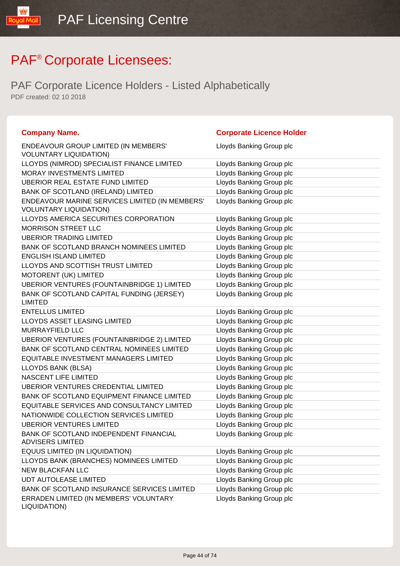IlipM lipu

| <b>Company Name.</b>                                                            | <b>Corporate Licence Holder</b> |
|---------------------------------------------------------------------------------|---------------------------------|
| ENDEAVOUR GROUP LIMITED (IN MEMBERS'<br><b>VOLUNTARY LIQUIDATION)</b>           | Lloyds Banking Group plc        |
| LLOYDS (NIMROD) SPECIALIST FINANCE LIMITED                                      | Lloyds Banking Group plc        |
| MORAY INVESTMENTS LIMITED                                                       | Lloyds Banking Group plc        |
| <b>UBERIOR REAL ESTATE FUND LIMITED</b>                                         | Lloyds Banking Group plc        |
| BANK OF SCOTLAND (IRELAND) LIMITED                                              | Lloyds Banking Group plc        |
| ENDEAVOUR MARINE SERVICES LIMITED (IN MEMBERS'<br><b>VOLUNTARY LIQUIDATION)</b> | Lloyds Banking Group plc        |
| LLOYDS AMERICA SECURITIES CORPORATION                                           | Lloyds Banking Group plc        |
| <b>MORRISON STREET LLC</b>                                                      | Lloyds Banking Group plc        |
| <b>UBERIOR TRADING LIMITED</b>                                                  | Lloyds Banking Group plc        |
| BANK OF SCOTLAND BRANCH NOMINEES LIMITED                                        | Lloyds Banking Group plc        |
| <b>ENGLISH ISLAND LIMITED</b>                                                   | Lloyds Banking Group plc        |
| LLOYDS AND SCOTTISH TRUST LIMITED                                               | Lloyds Banking Group plc        |
| MOTORENT (UK) LIMITED                                                           | Lloyds Banking Group plc        |
| UBERIOR VENTURES (FOUNTAINBRIDGE 1) LIMITED                                     | Lloyds Banking Group plc        |
| BANK OF SCOTLAND CAPITAL FUNDING (JERSEY)<br><b>LIMITED</b>                     | Lloyds Banking Group plc        |
| <b>ENTELLUS LIMITED</b>                                                         | Lloyds Banking Group plc        |
| <b>LLOYDS ASSET LEASING LIMITED</b>                                             | Lloyds Banking Group plc        |
| MURRAYFIELD LLC                                                                 | Lloyds Banking Group plc        |
| UBERIOR VENTURES (FOUNTAINBRIDGE 2) LIMITED                                     | Lloyds Banking Group plc        |
| BANK OF SCOTLAND CENTRAL NOMINEES LIMITED                                       | Lloyds Banking Group plc        |
| EQUITABLE INVESTMENT MANAGERS LIMITED                                           | Lloyds Banking Group plc        |
| LLOYDS BANK (BLSA)                                                              | Lloyds Banking Group plc        |
| NASCENT LIFE LIMITED                                                            | Lloyds Banking Group plc        |
| UBERIOR VENTURES CREDENTIAL LIMITED                                             | Lloyds Banking Group plc        |
| BANK OF SCOTLAND EQUIPMENT FINANCE LIMITED                                      | Lloyds Banking Group plc        |
| EQUITABLE SERVICES AND CONSULTANCY LIMITED                                      | Lloyds Banking Group plc        |
| NATIONWIDE COLLECTION SERVICES LIMITED                                          | Lloyds Banking Group plc        |
| <b>UBERIOR VENTURES LIMITED</b>                                                 | Lloyds Banking Group plc        |
| BANK OF SCOTLAND INDEPENDENT FINANCIAL<br><b>ADVISERS LIMITED</b>               | Lloyds Banking Group plc        |
| EQUUS LIMITED (IN LIQUIDATION)                                                  | Lloyds Banking Group plc        |
| LLOYDS BANK (BRANCHES) NOMINEES LIMITED                                         | Lloyds Banking Group plc        |
| <b>NEW BLACKFAN LLC</b>                                                         | Lloyds Banking Group plc        |
| <b>UDT AUTOLEASE LIMITED</b>                                                    | Lloyds Banking Group plc        |
| BANK OF SCOTLAND INSURANCE SERVICES LIMITED                                     | Lloyds Banking Group plc        |
| ERRADEN LIMITED (IN MEMBERS' VOLUNTARY<br>LIQUIDATION)                          | Lloyds Banking Group plc        |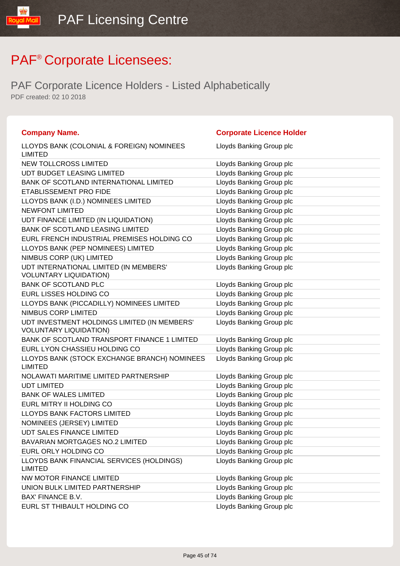| <b>Company Name.</b>                                                          | <b>Corporate Licence Holder</b> |
|-------------------------------------------------------------------------------|---------------------------------|
| LLOYDS BANK (COLONIAL & FOREIGN) NOMINEES<br><b>LIMITED</b>                   | Lloyds Banking Group plc        |
| <b>NEW TOLLCROSS LIMITED</b>                                                  | Lloyds Banking Group plc        |
| UDT BUDGET LEASING LIMITED                                                    | Lloyds Banking Group plc        |
| BANK OF SCOTLAND INTERNATIONAL LIMITED                                        | Lloyds Banking Group plc        |
| ETABLISSEMENT PRO FIDE                                                        | Lloyds Banking Group plc        |
| LLOYDS BANK (I.D.) NOMINEES LIMITED                                           | Lloyds Banking Group plc        |
| <b>NEWFONT LIMITED</b>                                                        | Lloyds Banking Group plc        |
| UDT FINANCE LIMITED (IN LIQUIDATION)                                          | Lloyds Banking Group plc        |
| <b>BANK OF SCOTLAND LEASING LIMITED</b>                                       | Lloyds Banking Group plc        |
| EURL FRENCH INDUSTRIAL PREMISES HOLDING CO                                    | Lloyds Banking Group plc        |
| LLOYDS BANK (PEP NOMINEES) LIMITED                                            | Lloyds Banking Group plc        |
| NIMBUS CORP (UK) LIMITED                                                      | Lloyds Banking Group plc        |
| UDT INTERNATIONAL LIMITED (IN MEMBERS'<br><b>VOLUNTARY LIQUIDATION)</b>       | Lloyds Banking Group plc        |
| <b>BANK OF SCOTLAND PLC</b>                                                   | Lloyds Banking Group plc        |
| EURL LISSES HOLDING CO                                                        | Lloyds Banking Group plc        |
| LLOYDS BANK (PICCADILLY) NOMINEES LIMITED                                     | Lloyds Banking Group plc        |
| NIMBUS CORP LIMITED                                                           | Lloyds Banking Group plc        |
| UDT INVESTMENT HOLDINGS LIMITED (IN MEMBERS'<br><b>VOLUNTARY LIQUIDATION)</b> | Lloyds Banking Group plc        |
| BANK OF SCOTLAND TRANSPORT FINANCE 1 LIMITED                                  | Lloyds Banking Group plc        |
| EURL LYON CHASSIEU HOLDING CO                                                 | Lloyds Banking Group plc        |
| LLOYDS BANK (STOCK EXCHANGE BRANCH) NOMINEES<br><b>LIMITED</b>                | Lloyds Banking Group plc        |
| NOLAWATI MARITIME LIMITED PARTNERSHIP                                         | Lloyds Banking Group plc        |
| <b>UDT LIMITED</b>                                                            | Lloyds Banking Group plc        |
| <b>BANK OF WALES LIMITED</b>                                                  | Lloyds Banking Group plc        |
| EURL MITRY II HOLDING CO                                                      | Lloyds Banking Group plc        |
| LLOYDS BANK FACTORS LIMITED                                                   | Lloyds Banking Group plc        |
| NOMINEES (JERSEY) LIMITED                                                     | Lloyds Banking Group plc        |
| <b>UDT SALES FINANCE LIMITED</b>                                              | Lloyds Banking Group plc        |
| <b>BAVARIAN MORTGAGES NO.2 LIMITED</b>                                        | Lloyds Banking Group plc        |
| EURL ORLY HOLDING CO                                                          | Lloyds Banking Group plc        |
| LLOYDS BANK FINANCIAL SERVICES (HOLDINGS)<br><b>LIMITED</b>                   | Lloyds Banking Group plc        |
| NW MOTOR FINANCE LIMITED                                                      | Lloyds Banking Group plc        |
| UNION BULK LIMITED PARTNERSHIP                                                | Lloyds Banking Group plc        |
| BAX' FINANCE B.V.                                                             | Lloyds Banking Group plc        |
| EURL ST THIBAULT HOLDING CO                                                   | Lloyds Banking Group plc        |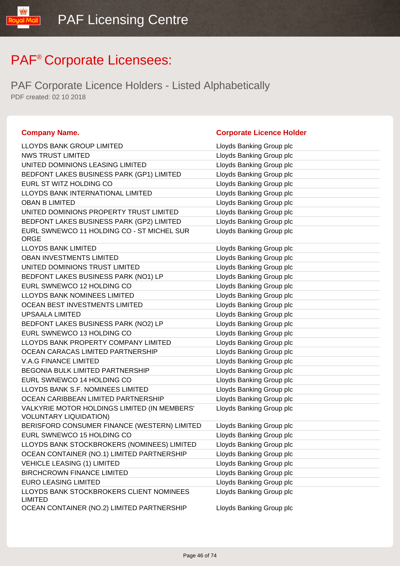| <b>Company Name.</b>                                                          | <b>Corporate Licence Holder</b> |
|-------------------------------------------------------------------------------|---------------------------------|
| LLOYDS BANK GROUP LIMITED                                                     | Lloyds Banking Group plc        |
| <b>NWS TRUST LIMITED</b>                                                      | Lloyds Banking Group plc        |
| UNITED DOMINIONS LEASING LIMITED                                              | Lloyds Banking Group plc        |
| BEDFONT LAKES BUSINESS PARK (GP1) LIMITED                                     | Lloyds Banking Group plc        |
| EURL ST WITZ HOLDING CO                                                       | Lloyds Banking Group plc        |
| LLOYDS BANK INTERNATIONAL LIMITED                                             | Lloyds Banking Group plc        |
| <b>OBAN B LIMITED</b>                                                         | Lloyds Banking Group plc        |
| UNITED DOMINIONS PROPERTY TRUST LIMITED                                       | Lloyds Banking Group plc        |
| BEDFONT LAKES BUSINESS PARK (GP2) LIMITED                                     | Lloyds Banking Group plc        |
| EURL SWNEWCO 11 HOLDING CO - ST MICHEL SUR<br><b>ORGE</b>                     | Lloyds Banking Group plc        |
| <b>LLOYDS BANK LIMITED</b>                                                    | Lloyds Banking Group plc        |
| OBAN INVESTMENTS LIMITED                                                      | Lloyds Banking Group plc        |
| UNITED DOMINIONS TRUST LIMITED                                                | Lloyds Banking Group plc        |
| BEDFONT LAKES BUSINESS PARK (NO1) LP                                          | Lloyds Banking Group plc        |
| EURL SWNEWCO 12 HOLDING CO                                                    | Lloyds Banking Group plc        |
| <b>LLOYDS BANK NOMINEES LIMITED</b>                                           | Lloyds Banking Group plc        |
| OCEAN BEST INVESTMENTS LIMITED                                                | Lloyds Banking Group plc        |
| <b>UPSAALA LIMITED</b>                                                        | Lloyds Banking Group plc        |
| BEDFONT LAKES BUSINESS PARK (NO2) LP                                          | Lloyds Banking Group plc        |
| EURL SWNEWCO 13 HOLDING CO                                                    | Lloyds Banking Group plc        |
| LLOYDS BANK PROPERTY COMPANY LIMITED                                          | Lloyds Banking Group plc        |
| OCEAN CARACAS LIMITED PARTNERSHIP                                             | Lloyds Banking Group plc        |
| <b>V.A.G FINANCE LIMITED</b>                                                  | Lloyds Banking Group plc        |
| <b>BEGONIA BULK LIMITED PARTNERSHIP</b>                                       | Lloyds Banking Group plc        |
| EURL SWNEWCO 14 HOLDING CO                                                    | Lloyds Banking Group plc        |
| LLOYDS BANK S.F. NOMINEES LIMITED                                             | Lloyds Banking Group plc        |
| OCEAN CARIBBEAN LIMITED PARTNERSHIP                                           | Lloyds Banking Group plc        |
| VALKYRIE MOTOR HOLDINGS LIMITED (IN MEMBERS'<br><b>VOLUNTARY LIQUIDATION)</b> | Lloyds Banking Group plc        |
| BERISFORD CONSUMER FINANCE (WESTERN) LIMITED                                  | Lloyds Banking Group plc        |
| EURL SWNEWCO 15 HOLDING CO                                                    | Lloyds Banking Group plc        |
| LLOYDS BANK STOCKBROKERS (NOMINEES) LIMITED                                   | Lloyds Banking Group plc        |
| OCEAN CONTAINER (NO.1) LIMITED PARTNERSHIP                                    | Lloyds Banking Group plc        |
| <b>VEHICLE LEASING (1) LIMITED</b>                                            | Lloyds Banking Group plc        |
| <b>BIRCHCROWN FINANCE LIMITED</b>                                             | Lloyds Banking Group plc        |
| <b>EURO LEASING LIMITED</b>                                                   | Lloyds Banking Group plc        |
| LLOYDS BANK STOCKBROKERS CLIENT NOMINEES<br><b>LIMITED</b>                    | Lloyds Banking Group plc        |
| OCEAN CONTAINER (NO.2) LIMITED PARTNERSHIP                                    | Lloyds Banking Group plc        |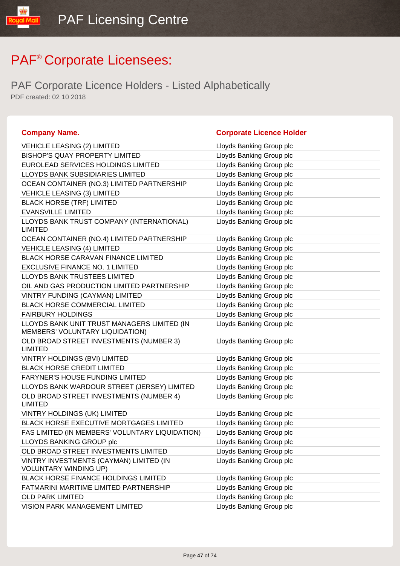| <b>Company Name.</b>                                                           | <b>Corporate Licence Holder</b> |
|--------------------------------------------------------------------------------|---------------------------------|
| <b>VEHICLE LEASING (2) LIMITED</b>                                             | Lloyds Banking Group plc        |
| <b>BISHOP'S QUAY PROPERTY LIMITED</b>                                          | Lloyds Banking Group plc        |
| EUROLEAD SERVICES HOLDINGS LIMITED                                             | Lloyds Banking Group plc        |
| LLOYDS BANK SUBSIDIARIES LIMITED                                               | Lloyds Banking Group plc        |
| OCEAN CONTAINER (NO.3) LIMITED PARTNERSHIP                                     | Lloyds Banking Group plc        |
| <b>VEHICLE LEASING (3) LIMITED</b>                                             | Lloyds Banking Group plc        |
| <b>BLACK HORSE (TRF) LIMITED</b>                                               | Lloyds Banking Group plc        |
| <b>EVANSVILLE LIMITED</b>                                                      | Lloyds Banking Group plc        |
| LLOYDS BANK TRUST COMPANY (INTERNATIONAL)<br><b>LIMITED</b>                    | Lloyds Banking Group plc        |
| OCEAN CONTAINER (NO.4) LIMITED PARTNERSHIP                                     | Lloyds Banking Group plc        |
| <b>VEHICLE LEASING (4) LIMITED</b>                                             | Lloyds Banking Group plc        |
| <b>BLACK HORSE CARAVAN FINANCE LIMITED</b>                                     | Lloyds Banking Group plc        |
| <b>EXCLUSIVE FINANCE NO. 1 LIMITED</b>                                         | Lloyds Banking Group plc        |
| LLOYDS BANK TRUSTEES LIMITED                                                   | Lloyds Banking Group plc        |
| OIL AND GAS PRODUCTION LIMITED PARTNERSHIP                                     | Lloyds Banking Group plc        |
| VINTRY FUNDING (CAYMAN) LIMITED                                                | Lloyds Banking Group plc        |
| <b>BLACK HORSE COMMERCIAL LIMITED</b>                                          | Lloyds Banking Group plc        |
| <b>FAIRBURY HOLDINGS</b>                                                       | Lloyds Banking Group plc        |
| LLOYDS BANK UNIT TRUST MANAGERS LIMITED (IN<br>MEMBERS' VOLUNTARY LIQUIDATION) | Lloyds Banking Group plc        |
| OLD BROAD STREET INVESTMENTS (NUMBER 3)<br><b>LIMITED</b>                      | Lloyds Banking Group plc        |
| VINTRY HOLDINGS (BVI) LIMITED                                                  | Lloyds Banking Group plc        |
| <b>BLACK HORSE CREDIT LIMITED</b>                                              | Lloyds Banking Group plc        |
| FARYNER'S HOUSE FUNDING LIMITED                                                | Lloyds Banking Group plc        |
| LLOYDS BANK WARDOUR STREET (JERSEY) LIMITED                                    | Lloyds Banking Group plc        |
| OLD BROAD STREET INVESTMENTS (NUMBER 4)<br><b>LIMITED</b>                      | Lloyds Banking Group plc        |
| VINTRY HOLDINGS (UK) LIMITED                                                   | Lloyds Banking Group plc        |
| <b>BLACK HORSE EXECUTIVE MORTGAGES LIMITED</b>                                 | Lloyds Banking Group plc        |
| FAS LIMITED (IN MEMBERS' VOLUNTARY LIQUIDATION)                                | Lloyds Banking Group plc        |
| LLOYDS BANKING GROUP plc                                                       | Lloyds Banking Group plc        |
| OLD BROAD STREET INVESTMENTS LIMITED                                           | Lloyds Banking Group plc        |
| VINTRY INVESTMENTS (CAYMAN) LIMITED (IN<br><b>VOLUNTARY WINDING UP)</b>        | Lloyds Banking Group plc        |
| BLACK HORSE FINANCE HOLDINGS LIMITED                                           | Lloyds Banking Group plc        |
| FATMARINI MARITIME LIMITED PARTNERSHIP                                         | Lloyds Banking Group plc        |
| <b>OLD PARK LIMITED</b>                                                        | Lloyds Banking Group plc        |
| VISION PARK MANAGEMENT LIMITED                                                 | Lloyds Banking Group plc        |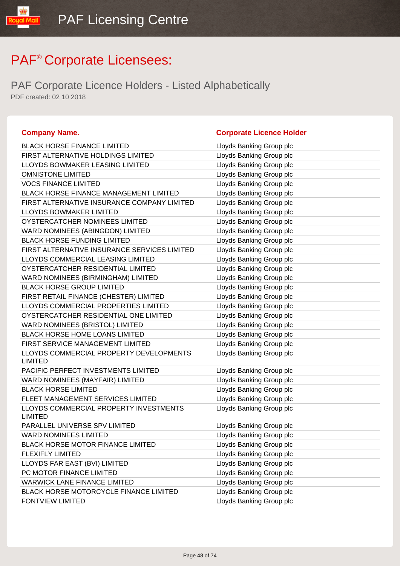PAF Corporate Licence Holders - Listed Alphabetically PDF created: 02 10 2018

#### **Company Name. Corporate Licence Holder**

#### BLACK HORSE FINANCE LIMITED LIGHT Lloyds Banking Group plc FIRST ALTERNATIVE HOLDINGS LIMITED Lloyds Banking Group plc LLOYDS BOWMAKER LEASING LIMITED LIGY Lloyds Banking Group plc OMNISTONE LIMITED **COMITABLE COMING A LIMITED** Lloyds Banking Group plc VOCS FINANCE LIMITED Loyds Banking Group plc BLACK HORSE FINANCE MANAGEMENT LIMITED Lloyds Banking Group plc FIRST ALTERNATIVE INSURANCE COMPANY LIMITED Lloyds Banking Group plc LLOYDS BOWMAKER LIMITED LIMITED Lloyds Banking Group plc OYSTERCATCHER NOMINEES LIMITED Loyds Banking Group plc WARD NOMINEES (ABINGDON) LIMITED Loyds Banking Group plc BLACK HORSE FUNDING LIMITED LATTER LOYDIS Banking Group plc FIRST ALTERNATIVE INSURANCE SERVICES LIMITED Lloyds Banking Group plc LLOYDS COMMERCIAL LEASING LIMITED LIMITED Lloyds Banking Group plc OYSTERCATCHER RESIDENTIAL LIMITED Lloyds Banking Group plc WARD NOMINEES (BIRMINGHAM) LIMITED Lloyds Banking Group plc BLACK HORSE GROUP LIMITED Lloyds Banking Group plc FIRST RETAIL FINANCE (CHESTER) LIMITED Loyds Banking Group plc LLOYDS COMMERCIAL PROPERTIES LIMITED Lloyds Banking Group plc OYSTERCATCHER RESIDENTIAL ONE LIMITED Lloyds Banking Group plc WARD NOMINEES (BRISTOL) LIMITED Lattitude the Lloyds Banking Group plc BLACK HORSE HOME LOANS LIMITED Lloyds Banking Group plc FIRST SERVICE MANAGEMENT LIMITED Lloyds Banking Group plc LLOYDS COMMERCIAL PROPERTY DEVELOPMENTS LIMITED Lloyds Banking Group plc PACIFIC PERFECT INVESTMENTS LIMITED LIDYDS Banking Group plc WARD NOMINEES (MAYFAIR) LIMITED LIMITED LIOYds Banking Group plc BLACK HORSE LIMITED **EXAMPLE 20** Eloyds Banking Group plc FLEET MANAGEMENT SERVICES LIMITED LIOYD Lloyds Banking Group plc LLOYDS COMMERCIAL PROPERTY INVESTMENTS LIMITED Lloyds Banking Group plc PARALLEL UNIVERSE SPV LIMITED Loyds Banking Group plc WARD NOMINEES LIMITED **Limitation** Lloyds Banking Group plc BLACK HORSE MOTOR FINANCE LIMITED Lloyds Banking Group plc FLEXIFLY LIMITED **Example 2** Lloyds Banking Group plc LLOYDS FAR EAST (BVI) LIMITED LIGHT Lloyds Banking Group plc PC MOTOR FINANCE LIMITED LIMITED LIDYD Lloyds Banking Group plc WARWICK LANE FINANCE LIMITED LIMITED Lloyds Banking Group plc BLACK HORSE MOTORCYCLE FINANCE LIMITED Lloyds Banking Group plc FONTVIEW LIMITED **EXAMPLE 2018 12 SET AND RESERVE TO A LOYD** Lloyds Banking Group plc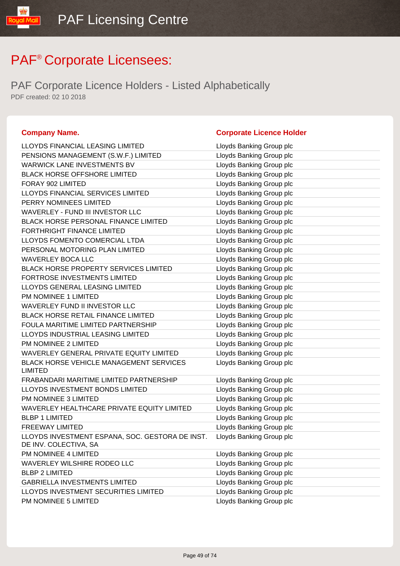PAF Corporate Licence Holders - Listed Alphabetically PDF created: 02 10 2018

#### **Company Name. Company Name. Company Name. Company Name. Company Name. Company Name. Company Name. Company Name. Company Name. Company Name. Company Name. Company Name. Company Name. Company Name.**

libMail

| LLOYDS FINANCIAL LEASING LIMITED                                         | Lloyds Banking Group plc |
|--------------------------------------------------------------------------|--------------------------|
| PENSIONS MANAGEMENT (S.W.F.) LIMITED                                     | Lloyds Banking Group plc |
| WARWICK LANE INVESTMENTS BV                                              | Lloyds Banking Group plc |
| <b>BLACK HORSE OFFSHORE LIMITED</b>                                      | Lloyds Banking Group plc |
| FORAY 902 LIMITED                                                        | Lloyds Banking Group plc |
| LLOYDS FINANCIAL SERVICES LIMITED                                        | Lloyds Banking Group plc |
| PERRY NOMINEES LIMITED                                                   | Lloyds Banking Group plc |
| WAVERLEY - FUND III INVESTOR LLC                                         | Lloyds Banking Group plc |
| <b>BLACK HORSE PERSONAL FINANCE LIMITED</b>                              | Lloyds Banking Group plc |
| <b>FORTHRIGHT FINANCE LIMITED</b>                                        | Lloyds Banking Group plc |
| LLOYDS FOMENTO COMERCIAL LTDA                                            | Lloyds Banking Group plc |
| PERSONAL MOTORING PLAN LIMITED                                           | Lloyds Banking Group plc |
| <b>WAVERLEY BOCA LLC</b>                                                 | Lloyds Banking Group plc |
| <b>BLACK HORSE PROPERTY SERVICES LIMITED</b>                             | Lloyds Banking Group plc |
| FORTROSE INVESTMENTS LIMITED                                             | Lloyds Banking Group plc |
| LLOYDS GENERAL LEASING LIMITED                                           | Lloyds Banking Group plc |
| PM NOMINEE 1 LIMITED                                                     | Lloyds Banking Group plc |
| WAVERLEY FUND II INVESTOR LLC                                            | Lloyds Banking Group plc |
| <b>BLACK HORSE RETAIL FINANCE LIMITED</b>                                | Lloyds Banking Group plc |
| FOULA MARITIME LIMITED PARTNERSHIP                                       | Lloyds Banking Group plc |
| LLOYDS INDUSTRIAL LEASING LIMITED                                        | Lloyds Banking Group plc |
| PM NOMINEE 2 LIMITED                                                     | Lloyds Banking Group plc |
| WAVERLEY GENERAL PRIVATE EQUITY LIMITED                                  | Lloyds Banking Group plc |
| <b>BLACK HORSE VEHICLE MANAGEMENT SERVICES</b><br><b>LIMITED</b>         | Lloyds Banking Group plc |
| FRABANDARI MARITIME LIMITED PARTNERSHIP                                  | Lloyds Banking Group plc |
| LLOYDS INVESTMENT BONDS LIMITED                                          | Lloyds Banking Group plc |
| PM NOMINEE 3 LIMITED                                                     | Lloyds Banking Group plc |
| WAVERLEY HEALTHCARE PRIVATE EQUITY LIMITED                               | Lloyds Banking Group plc |
| <b>BLBP 1 LIMITED</b>                                                    | Lloyds Banking Group plc |
| <b>FREEWAY LIMITED</b>                                                   | Lloyds Banking Group plc |
| LLOYDS INVESTMENT ESPANA, SOC. GESTORA DE INST.<br>DE INV. COLECTIVA, SA | Lloyds Banking Group plc |
| PM NOMINEE 4 LIMITED                                                     | Lloyds Banking Group plc |
| WAVERLEY WILSHIRE RODEO LLC                                              | Lloyds Banking Group plc |
| <b>BLBP 2 LIMITED</b>                                                    | Lloyds Banking Group plc |
| <b>GABRIELLA INVESTMENTS LIMITED</b>                                     | Lloyds Banking Group plc |
| LLOYDS INVESTMENT SECURITIES LIMITED                                     | Lloyds Banking Group plc |
| PM NOMINEE 5 LIMITED                                                     | Lloyds Banking Group plc |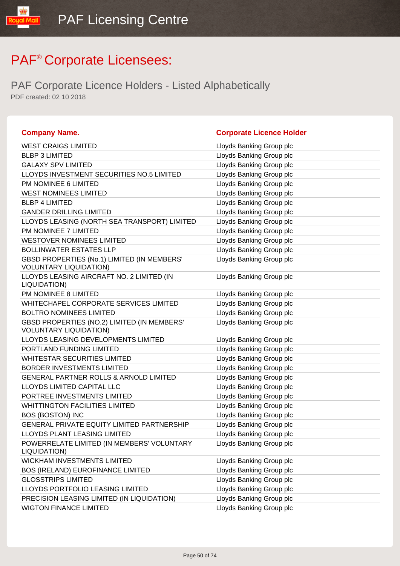| <b>Company Name.</b>                                                         | <b>Corporate Licence Holder</b> |
|------------------------------------------------------------------------------|---------------------------------|
| <b>WEST CRAIGS LIMITED</b>                                                   | Lloyds Banking Group plc        |
| <b>BLBP 3 LIMITED</b>                                                        | Lloyds Banking Group plc        |
| <b>GALAXY SPV LIMITED</b>                                                    | Lloyds Banking Group plc        |
| LLOYDS INVESTMENT SECURITIES NO.5 LIMITED                                    | Lloyds Banking Group plc        |
| PM NOMINEE 6 LIMITED                                                         | Lloyds Banking Group plc        |
| <b>WEST NOMINEES LIMITED</b>                                                 | Lloyds Banking Group plc        |
| <b>BLBP 4 LIMITED</b>                                                        | Lloyds Banking Group plc        |
| <b>GANDER DRILLING LIMITED</b>                                               | Lloyds Banking Group plc        |
| LLOYDS LEASING (NORTH SEA TRANSPORT) LIMITED                                 | Lloyds Banking Group plc        |
| PM NOMINEE 7 LIMITED                                                         | Lloyds Banking Group plc        |
| <b>WESTOVER NOMINEES LIMITED</b>                                             | Lloyds Banking Group plc        |
| <b>BOLLINWATER ESTATES LLP</b>                                               | Lloyds Banking Group plc        |
| GBSD PROPERTIES (No.1) LIMITED (IN MEMBERS'<br><b>VOLUNTARY LIQUIDATION)</b> | Lloyds Banking Group plc        |
| LLOYDS LEASING AIRCRAFT NO. 2 LIMITED (IN<br>LIQUIDATION)                    | Lloyds Banking Group plc        |
| PM NOMINEE 8 LIMITED                                                         | Lloyds Banking Group plc        |
| WHITECHAPEL CORPORATE SERVICES LIMITED                                       | Lloyds Banking Group plc        |
| <b>BOLTRO NOMINEES LIMITED</b>                                               | Lloyds Banking Group plc        |
| GBSD PROPERTIES (NO.2) LIMITED (IN MEMBERS'<br><b>VOLUNTARY LIQUIDATION)</b> | Lloyds Banking Group plc        |
| LLOYDS LEASING DEVELOPMENTS LIMITED                                          | Lloyds Banking Group plc        |
| PORTLAND FUNDING LIMITED                                                     | Lloyds Banking Group plc        |
| <b>WHITESTAR SECURITIES LIMITED</b>                                          | Lloyds Banking Group plc        |
| <b>BORDER INVESTMENTS LIMITED</b>                                            | Lloyds Banking Group plc        |
| <b>GENERAL PARTNER ROLLS &amp; ARNOLD LIMITED</b>                            | Lloyds Banking Group plc        |
| LLOYDS LIMITED CAPITAL LLC                                                   | Lloyds Banking Group plc        |
| PORTREE INVESTMENTS LIMITED                                                  | Lloyds Banking Group plc        |
| <b>WHITTINGTON FACILITIES LIMITED</b>                                        | Lloyds Banking Group plc        |
| <b>BOS (BOSTON) INC</b>                                                      | Lloyds Banking Group plc        |
| GENERAL PRIVATE EQUITY LIMITED PARTNERSHIP                                   | Lloyds Banking Group plc        |
| <b>LLOYDS PLANT LEASING LIMITED</b>                                          | Lloyds Banking Group plc        |
| POWERRELATE LIMITED (IN MEMBERS' VOLUNTARY<br>LIQUIDATION)                   | Lloyds Banking Group plc        |
| <b>WICKHAM INVESTMENTS LIMITED</b>                                           | Lloyds Banking Group plc        |
| <b>BOS (IRELAND) EUROFINANCE LIMITED</b>                                     | Lloyds Banking Group plc        |
| <b>GLOSSTRIPS LIMITED</b>                                                    | Lloyds Banking Group plc        |
| LLOYDS PORTFOLIO LEASING LIMITED                                             | Lloyds Banking Group plc        |
| PRECISION LEASING LIMITED (IN LIQUIDATION)                                   | Lloyds Banking Group plc        |
| <b>WIGTON FINANCE LIMITED</b>                                                | Lloyds Banking Group plc        |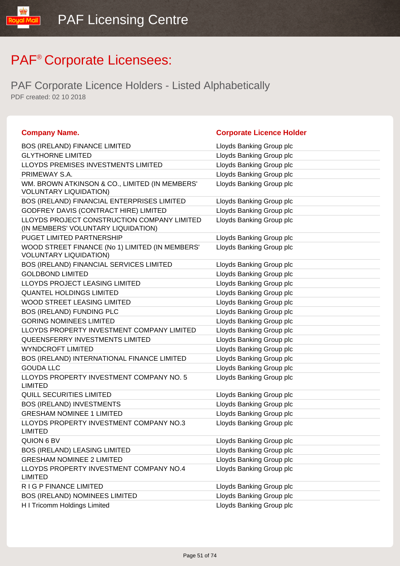| <b>Company Name.</b>                                                               | <b>Corporate Licence Holder</b> |
|------------------------------------------------------------------------------------|---------------------------------|
| <b>BOS (IRELAND) FINANCE LIMITED</b>                                               | Lloyds Banking Group plc        |
| <b>GLYTHORNE LIMITED</b>                                                           | Lloyds Banking Group plc        |
| LLOYDS PREMISES INVESTMENTS LIMITED                                                | Lloyds Banking Group plc        |
| PRIMEWAY S.A.                                                                      | Lloyds Banking Group plc        |
| WM. BROWN ATKINSON & CO., LIMITED (IN MEMBERS'<br><b>VOLUNTARY LIQUIDATION)</b>    | Lloyds Banking Group plc        |
| BOS (IRELAND) FINANCIAL ENTERPRISES LIMITED                                        | Lloyds Banking Group plc        |
| GODFREY DAVIS (CONTRACT HIRE) LIMITED                                              | Lloyds Banking Group plc        |
| LLOYDS PROJECT CONSTRUCTION COMPANY LIMITED<br>(IN MEMBERS' VOLUNTARY LIQUIDATION) | Lloyds Banking Group plc        |
| PUGET LIMITED PARTNERSHIP                                                          | Lloyds Banking Group plc        |
| WOOD STREET FINANCE (No 1) LIMITED (IN MEMBERS'<br><b>VOLUNTARY LIQUIDATION)</b>   | Lloyds Banking Group plc        |
| BOS (IRELAND) FINANCIAL SERVICES LIMITED                                           | Lloyds Banking Group plc        |
| <b>GOLDBOND LIMITED</b>                                                            | Lloyds Banking Group plc        |
| <b>LLOYDS PROJECT LEASING LIMITED</b>                                              | Lloyds Banking Group plc        |
| <b>QUANTEL HOLDINGS LIMITED</b>                                                    | Lloyds Banking Group plc        |
| WOOD STREET LEASING LIMITED                                                        | Lloyds Banking Group plc        |
| BOS (IRELAND) FUNDING PLC                                                          | Lloyds Banking Group plc        |
| <b>GORING NOMINEES LIMITED</b>                                                     | Lloyds Banking Group plc        |
| LLOYDS PROPERTY INVESTMENT COMPANY LIMITED                                         | Lloyds Banking Group plc        |
| QUEENSFERRY INVESTMENTS LIMITED                                                    | Lloyds Banking Group plc        |
| <b>WYNDCROFT LIMITED</b>                                                           | Lloyds Banking Group plc        |
| BOS (IRELAND) INTERNATIONAL FINANCE LIMITED                                        | Lloyds Banking Group plc        |
| <b>GOUDA LLC</b>                                                                   | Lloyds Banking Group plc        |
| LLOYDS PROPERTY INVESTMENT COMPANY NO. 5<br><b>LIMITED</b>                         | Lloyds Banking Group plc        |
| <b>QUILL SECURITIES LIMITED</b>                                                    | Lloyds Banking Group plc        |
| <b>BOS (IRELAND) INVESTMENTS</b>                                                   | Lloyds Banking Group plc        |
| <b>GRESHAM NOMINEE 1 LIMITED</b>                                                   | Lloyds Banking Group plc        |
| LLOYDS PROPERTY INVESTMENT COMPANY NO.3<br><b>LIMITED</b>                          | Lloyds Banking Group plc        |
| QUION 6 BV                                                                         | Lloyds Banking Group plc        |
| <b>BOS (IRELAND) LEASING LIMITED</b>                                               | Lloyds Banking Group plc        |
| <b>GRESHAM NOMINEE 2 LIMITED</b>                                                   | Lloyds Banking Group plc        |
| LLOYDS PROPERTY INVESTMENT COMPANY NO.4<br><b>LIMITED</b>                          | Lloyds Banking Group plc        |
| R I G P FINANCE LIMITED                                                            | Lloyds Banking Group plc        |
| <b>BOS (IRELAND) NOMINEES LIMITED</b>                                              | Lloyds Banking Group plc        |
| H I Tricomm Holdings Limited                                                       | Lloyds Banking Group plc        |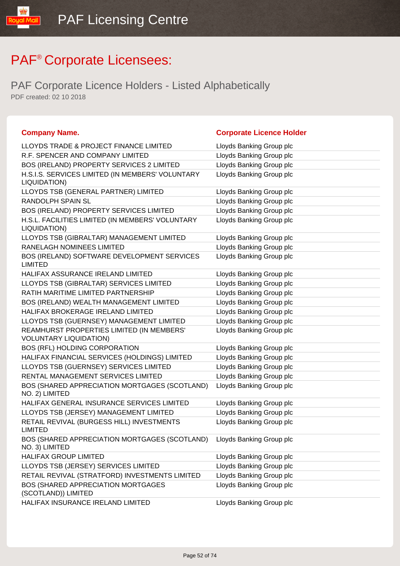| <b>Company Name.</b>                                                       | <b>Corporate Licence Holder</b> |
|----------------------------------------------------------------------------|---------------------------------|
| LLOYDS TRADE & PROJECT FINANCE LIMITED                                     | Lloyds Banking Group plc        |
| R.F. SPENCER AND COMPANY LIMITED                                           | Lloyds Banking Group plc        |
| BOS (IRELAND) PROPERTY SERVICES 2 LIMITED                                  | Lloyds Banking Group plc        |
| H.S.I.S. SERVICES LIMITED (IN MEMBERS' VOLUNTARY<br>LIQUIDATION)           | Lloyds Banking Group plc        |
| LLOYDS TSB (GENERAL PARTNER) LIMITED                                       | Lloyds Banking Group plc        |
| RANDOLPH SPAIN SL                                                          | Lloyds Banking Group plc        |
| BOS (IRELAND) PROPERTY SERVICES LIMITED                                    | Lloyds Banking Group plc        |
| H.S.L. FACILITIES LIMITED (IN MEMBERS' VOLUNTARY<br>LIQUIDATION)           | Lloyds Banking Group plc        |
| LLOYDS TSB (GIBRALTAR) MANAGEMENT LIMITED                                  | Lloyds Banking Group plc        |
| RANELAGH NOMINEES LIMITED                                                  | Lloyds Banking Group plc        |
| BOS (IRELAND) SOFTWARE DEVELOPMENT SERVICES<br><b>LIMITED</b>              | Lloyds Banking Group plc        |
| HALIFAX ASSURANCE IRELAND LIMITED                                          | Lloyds Banking Group plc        |
| LLOYDS TSB (GIBRALTAR) SERVICES LIMITED                                    | Lloyds Banking Group plc        |
| RATIH MARITIME LIMITED PARTNERSHIP                                         | Lloyds Banking Group plc        |
| BOS (IRELAND) WEALTH MANAGEMENT LIMITED                                    | Lloyds Banking Group plc        |
| HALIFAX BROKERAGE IRELAND LIMITED                                          | Lloyds Banking Group plc        |
| LLOYDS TSB (GUERNSEY) MANAGEMENT LIMITED                                   | Lloyds Banking Group plc        |
| REAMHURST PROPERTIES LIMITED (IN MEMBERS'<br><b>VOLUNTARY LIQUIDATION)</b> | Lloyds Banking Group plc        |
| BOS (RFL) HOLDING CORPORATION                                              | Lloyds Banking Group plc        |
| HALIFAX FINANCIAL SERVICES (HOLDINGS) LIMITED                              | Lloyds Banking Group plc        |
| LLOYDS TSB (GUERNSEY) SERVICES LIMITED                                     | Lloyds Banking Group plc        |
| RENTAL MANAGEMENT SERVICES LIMITED                                         | Lloyds Banking Group plc        |
| BOS (SHARED APPRECIATION MORTGAGES (SCOTLAND)<br>NO. 2) LIMITED            | Lloyds Banking Group plc        |
| HALIFAX GENERAL INSURANCE SERVICES LIMITED                                 | Lloyds Banking Group plc        |
| LLOYDS TSB (JERSEY) MANAGEMENT LIMITED                                     | Lloyds Banking Group plc        |
| RETAIL REVIVAL (BURGESS HILL) INVESTMENTS<br><b>LIMITED</b>                | Lloyds Banking Group plc        |
| BOS (SHARED APPRECIATION MORTGAGES (SCOTLAND)<br>NO. 3) LIMITED            | Lloyds Banking Group plc        |
| HALIFAX GROUP LIMITED                                                      | Lloyds Banking Group plc        |
| LLOYDS TSB (JERSEY) SERVICES LIMITED                                       | Lloyds Banking Group plc        |
| RETAIL REVIVAL (STRATFORD) INVESTMENTS LIMITED                             | Lloyds Banking Group plc        |
| BOS (SHARED APPRECIATION MORTGAGES<br>(SCOTLAND)) LIMITED                  | Lloyds Banking Group plc        |
| HALIFAX INSURANCE IRELAND LIMITED                                          | Lloyds Banking Group plc        |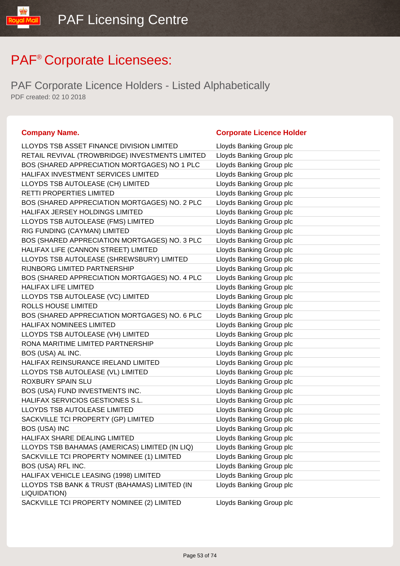PAF Corporate Licence Holders - Listed Alphabetically PDF created: 02 10 2018

| LLOYDS TSB ASSET FINANCE DIVISION LIMITED                     | Lloyds Banking Group plc |
|---------------------------------------------------------------|--------------------------|
| RETAIL REVIVAL (TROWBRIDGE) INVESTMENTS LIMITED               | Lloyds Banking Group plc |
| BOS (SHARED APPRECIATION MORTGAGES) NO 1 PLC                  | Lloyds Banking Group plc |
| HALIFAX INVESTMENT SERVICES LIMITED                           | Lloyds Banking Group plc |
| LLOYDS TSB AUTOLEASE (CH) LIMITED                             | Lloyds Banking Group plc |
| RETTI PROPERTIES LIMITED                                      | Lloyds Banking Group plc |
| BOS (SHARED APPRECIATION MORTGAGES) NO. 2 PLC                 | Lloyds Banking Group plc |
| HALIFAX JERSEY HOLDINGS LIMITED                               | Lloyds Banking Group plc |
| LLOYDS TSB AUTOLEASE (FMS) LIMITED                            | Lloyds Banking Group plc |
| RIG FUNDING (CAYMAN) LIMITED                                  | Lloyds Banking Group plc |
| BOS (SHARED APPRECIATION MORTGAGES) NO. 3 PLC                 | Lloyds Banking Group plc |
| HALIFAX LIFE (CANNON STREET) LIMITED                          | Lloyds Banking Group plc |
| LLOYDS TSB AUTOLEASE (SHREWSBURY) LIMITED                     | Lloyds Banking Group plc |
| RIJNBORG LIMITED PARTNERSHIP                                  | Lloyds Banking Group plc |
| BOS (SHARED APPRECIATION MORTGAGES) NO. 4 PLC                 | Lloyds Banking Group plc |
| <b>HALIFAX LIFE LIMITED</b>                                   | Lloyds Banking Group plc |
| LLOYDS TSB AUTOLEASE (VC) LIMITED                             | Lloyds Banking Group plc |
| ROLLS HOUSE LIMITED                                           | Lloyds Banking Group plc |
| BOS (SHARED APPRECIATION MORTGAGES) NO. 6 PLC                 | Lloyds Banking Group plc |
| HALIFAX NOMINEES LIMITED                                      | Lloyds Banking Group plc |
| LLOYDS TSB AUTOLEASE (VH) LIMITED                             | Lloyds Banking Group plc |
| RONA MARITIME LIMITED PARTNERSHIP                             | Lloyds Banking Group plc |
| BOS (USA) AL INC.                                             | Lloyds Banking Group plc |
| HALIFAX REINSURANCE IRELAND LIMITED                           | Lloyds Banking Group plc |
| LLOYDS TSB AUTOLEASE (VL) LIMITED                             | Lloyds Banking Group plc |
| ROXBURY SPAIN SLU                                             | Lloyds Banking Group plc |
| BOS (USA) FUND INVESTMENTS INC.                               | Lloyds Banking Group plc |
| HALIFAX SERVICIOS GESTIONES S.L.                              | Lloyds Banking Group plc |
| LLOYDS TSB AUTOLEASE LIMITED                                  | Lloyds Banking Group plc |
| SACKVILLE TCI PROPERTY (GP) LIMITED                           | Lloyds Banking Group plc |
| <b>BOS (USA) INC</b>                                          | Lloyds Banking Group plc |
| HALIFAX SHARE DEALING LIMITED                                 | Lloyds Banking Group plc |
| LLOYDS TSB BAHAMAS (AMERICAS) LIMITED (IN LIQ)                | Lloyds Banking Group plc |
| SACKVILLE TCI PROPERTY NOMINEE (1) LIMITED                    | Lloyds Banking Group plc |
| BOS (USA) RFL INC.                                            | Lloyds Banking Group plc |
| HALIFAX VEHICLE LEASING (1998) LIMITED                        | Lloyds Banking Group plc |
| LLOYDS TSB BANK & TRUST (BAHAMAS) LIMITED (IN<br>LIQUIDATION) | Lloyds Banking Group plc |
| SACKVILLE TCI PROPERTY NOMINEE (2) LIMITED                    | Lloyds Banking Group plc |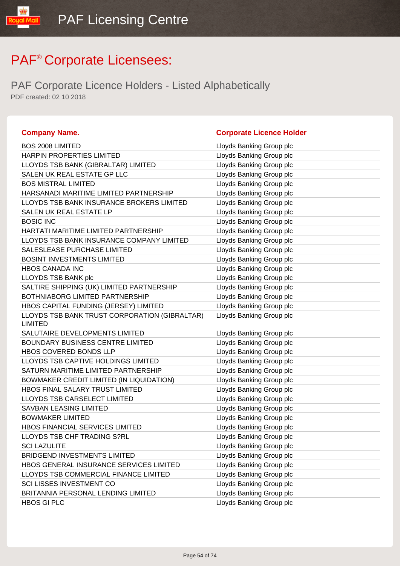| <b>Company Name.</b>                                            | <b>Corporate Licence Holder</b> |
|-----------------------------------------------------------------|---------------------------------|
| <b>BOS 2008 LIMITED</b>                                         | Lloyds Banking Group plc        |
| HARPIN PROPERTIES LIMITED                                       | Lloyds Banking Group plc        |
| LLOYDS TSB BANK (GIBRALTAR) LIMITED                             | Lloyds Banking Group plc        |
| SALEN UK REAL ESTATE GP LLC                                     | Lloyds Banking Group plc        |
| <b>BOS MISTRAL LIMITED</b>                                      | Lloyds Banking Group plc        |
| HARSANADI MARITIME LIMITED PARTNERSHIP                          | Lloyds Banking Group plc        |
| LLOYDS TSB BANK INSURANCE BROKERS LIMITED                       | Lloyds Banking Group plc        |
| SALEN UK REAL ESTATE LP                                         | Lloyds Banking Group plc        |
| <b>BOSIC INC</b>                                                | Lloyds Banking Group plc        |
| HARTATI MARITIME LIMITED PARTNERSHIP                            | Lloyds Banking Group plc        |
| LLOYDS TSB BANK INSURANCE COMPANY LIMITED                       | Lloyds Banking Group plc        |
| SALESLEASE PURCHASE LIMITED                                     | Lloyds Banking Group plc        |
| <b>BOSINT INVESTMENTS LIMITED</b>                               | Lloyds Banking Group plc        |
| <b>HBOS CANADA INC</b>                                          | Lloyds Banking Group plc        |
| LLOYDS TSB BANK plc                                             | Lloyds Banking Group plc        |
| SALTIRE SHIPPING (UK) LIMITED PARTNERSHIP                       | Lloyds Banking Group plc        |
| <b>BOTHNIABORG LIMITED PARTNERSHIP</b>                          | Lloyds Banking Group plc        |
| HBOS CAPITAL FUNDING (JERSEY) LIMITED                           | Lloyds Banking Group plc        |
| LLOYDS TSB BANK TRUST CORPORATION (GIBRALTAR)<br><b>LIMITED</b> | Lloyds Banking Group plc        |
| SALUTAIRE DEVELOPMENTS LIMITED                                  | Lloyds Banking Group plc        |
| BOUNDARY BUSINESS CENTRE LIMITED                                | Lloyds Banking Group plc        |
| HBOS COVERED BONDS LLP                                          | Lloyds Banking Group plc        |
| LLOYDS TSB CAPTIVE HOLDINGS LIMITED                             | Lloyds Banking Group plc        |
| SATURN MARITIME LIMITED PARTNERSHIP                             | Lloyds Banking Group plc        |
| BOWMAKER CREDIT LIMITED (IN LIQUIDATION)                        | Lloyds Banking Group plc        |
| HBOS FINAL SALARY TRUST LIMITED                                 | Lloyds Banking Group plc        |
| LLOYDS TSB CARSELECT LIMITED                                    | Lloyds Banking Group plc        |
| <b>SAVBAN LEASING LIMITED</b>                                   | Lloyds Banking Group plc        |
| <b>BOWMAKER LIMITED</b>                                         | Lloyds Banking Group plc        |
| HBOS FINANCIAL SERVICES LIMITED                                 | Lloyds Banking Group plc        |
| LLOYDS TSB CHF TRADING S?RL                                     | Lloyds Banking Group plc        |
| <b>SCI LAZULITE</b>                                             | Lloyds Banking Group plc        |
| <b>BRIDGEND INVESTMENTS LIMITED</b>                             | Lloyds Banking Group plc        |
| HBOS GENERAL INSURANCE SERVICES LIMITED                         | Lloyds Banking Group plc        |
| LLOYDS TSB COMMERCIAL FINANCE LIMITED                           | Lloyds Banking Group plc        |
| <b>SCI LISSES INVESTMENT CO</b>                                 | Lloyds Banking Group plc        |
| BRITANNIA PERSONAL LENDING LIMITED                              | Lloyds Banking Group plc        |
| <b>HBOS GI PLC</b>                                              | Lloyds Banking Group plc        |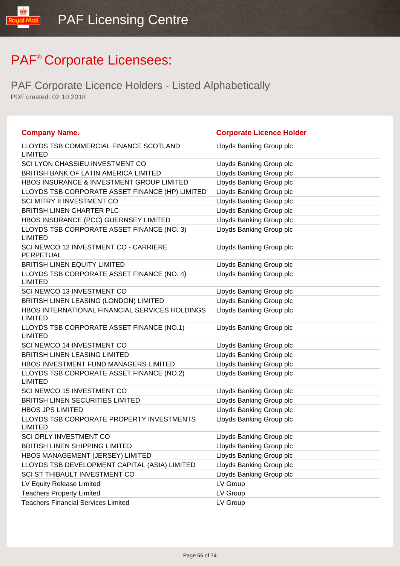| <b>Company Name.</b>                                             | <b>Corporate Licence Holder</b> |
|------------------------------------------------------------------|---------------------------------|
| LLOYDS TSB COMMERCIAL FINANCE SCOTLAND<br>LIMITED                | Lloyds Banking Group plc        |
| SCI LYON CHASSIEU INVESTMENT CO                                  | Lloyds Banking Group plc        |
| BRITISH BANK OF LATIN AMERICA LIMITED                            | Lloyds Banking Group plc        |
| HBOS INSURANCE & INVESTMENT GROUP LIMITED                        | Lloyds Banking Group plc        |
| LLOYDS TSB CORPORATE ASSET FINANCE (HP) LIMITED                  | Lloyds Banking Group plc        |
| <b>SCI MITRY II INVESTMENT CO</b>                                | Lloyds Banking Group plc        |
| <b>BRITISH LINEN CHARTER PLC</b>                                 | Lloyds Banking Group plc        |
| HBOS INSURANCE (PCC) GUERNSEY LIMITED                            | Lloyds Banking Group plc        |
| LLOYDS TSB CORPORATE ASSET FINANCE (NO. 3)<br><b>LIMITED</b>     | Lloyds Banking Group plc        |
| SCI NEWCO 12 INVESTMENT CO - CARRIERE<br><b>PERPETUAL</b>        | Lloyds Banking Group plc        |
| BRITISH LINEN EQUITY LIMITED                                     | Lloyds Banking Group plc        |
| LLOYDS TSB CORPORATE ASSET FINANCE (NO. 4)<br><b>LIMITED</b>     | Lloyds Banking Group plc        |
| SCI NEWCO 13 INVESTMENT CO                                       | Lloyds Banking Group plc        |
| BRITISH LINEN LEASING (LONDON) LIMITED                           | Lloyds Banking Group plc        |
| HBOS INTERNATIONAL FINANCIAL SERVICES HOLDINGS<br><b>LIMITED</b> | Lloyds Banking Group plc        |
| LLOYDS TSB CORPORATE ASSET FINANCE (NO.1)<br><b>LIMITED</b>      | Lloyds Banking Group plc        |
| SCI NEWCO 14 INVESTMENT CO                                       | Lloyds Banking Group plc        |
| <b>BRITISH LINEN LEASING LIMITED</b>                             | Lloyds Banking Group plc        |
| HBOS INVESTMENT FUND MANAGERS LIMITED                            | Lloyds Banking Group plc        |
| LLOYDS TSB CORPORATE ASSET FINANCE (NO.2)<br><b>LIMITED</b>      | Lloyds Banking Group plc        |
| SCI NEWCO 15 INVESTMENT CO                                       | Lloyds Banking Group plc        |
| <b>BRITISH LINEN SECURITIES LIMITED</b>                          | Lloyds Banking Group plc        |
| <b>HBOS JPS LIMITED</b>                                          | Lloyds Banking Group plc        |
| LLOYDS TSB CORPORATE PROPERTY INVESTMENTS<br><b>LIMITED</b>      | Lloyds Banking Group plc        |
| <b>SCI ORLY INVESTMENT CO</b>                                    | Lloyds Banking Group plc        |
| <b>BRITISH LINEN SHIPPING LIMITED</b>                            | Lloyds Banking Group plc        |
| HBOS MANAGEMENT (JERSEY) LIMITED                                 | Lloyds Banking Group plc        |
| LLOYDS TSB DEVELOPMENT CAPITAL (ASIA) LIMITED                    | Lloyds Banking Group plc        |
| SCI ST THIBAULT INVESTMENT CO                                    | Lloyds Banking Group plc        |
| LV Equity Release Limited                                        | LV Group                        |
| <b>Teachers Property Limited</b>                                 | LV Group                        |
| <b>Teachers Financial Services Limited</b>                       | LV Group                        |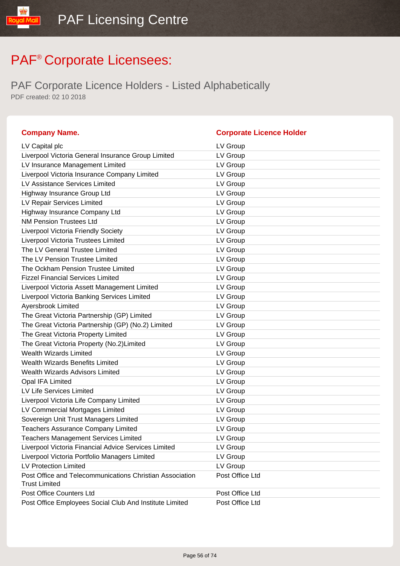| <b>Company Name.</b>                                                             | <b>Corporate Licence Holder</b> |
|----------------------------------------------------------------------------------|---------------------------------|
| LV Capital plc                                                                   | LV Group                        |
| Liverpool Victoria General Insurance Group Limited                               | LV Group                        |
| LV Insurance Management Limited                                                  | LV Group                        |
| Liverpool Victoria Insurance Company Limited                                     | LV Group                        |
| LV Assistance Services Limited                                                   | LV Group                        |
| Highway Insurance Group Ltd                                                      | LV Group                        |
| LV Repair Services Limited                                                       | LV Group                        |
| Highway Insurance Company Ltd                                                    | LV Group                        |
| <b>NM Pension Trustees Ltd</b>                                                   | LV Group                        |
| <b>Liverpool Victoria Friendly Society</b>                                       | LV Group                        |
| Liverpool Victoria Trustees Limited                                              | LV Group                        |
| The LV General Trustee Limited                                                   | LV Group                        |
| The LV Pension Trustee Limited                                                   | LV Group                        |
| The Ockham Pension Trustee Limited                                               | LV Group                        |
| <b>Fizzel Financial Services Limited</b>                                         | LV Group                        |
| Liverpool Victoria Assett Management Limited                                     | LV Group                        |
| Liverpool Victoria Banking Services Limited                                      | LV Group                        |
| Ayersbrook Limited                                                               | LV Group                        |
| The Great Victoria Partnership (GP) Limited                                      | LV Group                        |
| The Great Victoria Partnership (GP) (No.2) Limited                               | LV Group                        |
| The Great Victoria Property Limited                                              | LV Group                        |
| The Great Victoria Property (No.2)Limited                                        | LV Group                        |
| <b>Wealth Wizards Limited</b>                                                    | LV Group                        |
| <b>Wealth Wizards Benefits Limited</b>                                           | LV Group                        |
| <b>Wealth Wizards Advisors Limited</b>                                           | LV Group                        |
| Opal IFA Limited                                                                 | LV Group                        |
| LV Life Services Limited                                                         | LV Group                        |
| Liverpool Victoria Life Company Limited                                          | LV Group                        |
| LV Commercial Mortgages Limited                                                  | LV Group                        |
| Sovereign Unit Trust Managers Limited                                            | LV Group                        |
| <b>Teachers Assurance Company Limited</b>                                        | LV Group                        |
| <b>Teachers Management Services Limited</b>                                      | LV Group                        |
| Liverpool Victoria Financial Advice Services Limited                             | LV Group                        |
| Liverpool Victoria Portfolio Managers Limited                                    | LV Group                        |
| <b>LV Protection Limited</b>                                                     | LV Group                        |
| Post Office and Telecommunications Christian Association<br><b>Trust Limited</b> | Post Office Ltd                 |
| Post Office Counters Ltd                                                         | Post Office Ltd                 |
| Post Office Employees Social Club And Institute Limited                          | Post Office Ltd                 |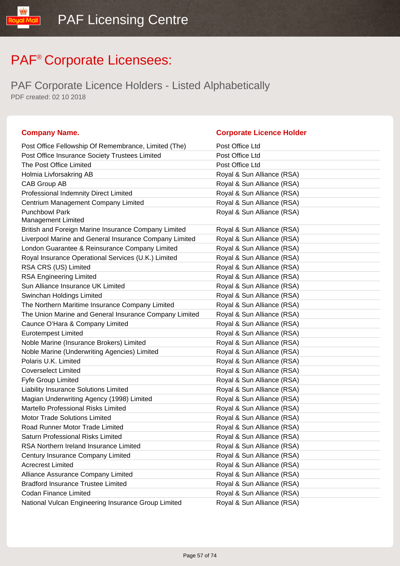| <b>Company Name.</b>                                   | <b>Corporate Licence Holder</b> |
|--------------------------------------------------------|---------------------------------|
| Post Office Fellowship Of Remembrance, Limited (The)   | Post Office Ltd                 |
| Post Office Insurance Society Trustees Limited         | Post Office Ltd                 |
| The Post Office Limited                                | Post Office Ltd                 |
| Holmia Livforsakring AB                                | Royal & Sun Alliance (RSA)      |
| CAB Group AB                                           | Royal & Sun Alliance (RSA)      |
| Professional Indemnity Direct Limited                  | Royal & Sun Alliance (RSA)      |
| Centrium Management Company Limited                    | Royal & Sun Alliance (RSA)      |
| <b>Punchbowl Park</b>                                  | Royal & Sun Alliance (RSA)      |
| <b>Management Limited</b>                              |                                 |
| British and Foreign Marine Insurance Company Limited   | Royal & Sun Alliance (RSA)      |
| Liverpool Marine and General Insurance Company Limited | Royal & Sun Alliance (RSA)      |
| London Guarantee & Reinsurance Company Limited         | Royal & Sun Alliance (RSA)      |
| Royal Insurance Operational Services (U.K.) Limited    | Royal & Sun Alliance (RSA)      |
| RSA CRS (US) Limited                                   | Royal & Sun Alliance (RSA)      |
| <b>RSA Engineering Limited</b>                         | Royal & Sun Alliance (RSA)      |
| Sun Alliance Insurance UK Limited                      | Royal & Sun Alliance (RSA)      |
| Swinchan Holdings Limited                              | Royal & Sun Alliance (RSA)      |
| The Northern Maritime Insurance Company Limited        | Royal & Sun Alliance (RSA)      |
| The Union Marine and General Insurance Company Limited | Royal & Sun Alliance (RSA)      |
| Caunce O'Hara & Company Limited                        | Royal & Sun Alliance (RSA)      |
| <b>Eurotempest Limited</b>                             | Royal & Sun Alliance (RSA)      |
| Noble Marine (Insurance Brokers) Limited               | Royal & Sun Alliance (RSA)      |
| Noble Marine (Underwriting Agencies) Limited           | Royal & Sun Alliance (RSA)      |
| Polaris U.K. Limited                                   | Royal & Sun Alliance (RSA)      |
| <b>Coverselect Limited</b>                             | Royal & Sun Alliance (RSA)      |
| Fyfe Group Limited                                     | Royal & Sun Alliance (RSA)      |
| Liability Insurance Solutions Limited                  | Royal & Sun Alliance (RSA)      |
| Magian Underwriting Agency (1998) Limited              | Royal & Sun Alliance (RSA)      |
| Martello Professional Risks Limited                    | Royal & Sun Alliance (RSA)      |
| Motor Trade Solutions Limited                          | Royal & Sun Alliance (RSA)      |
| Road Runner Motor Trade Limited                        | Royal & Sun Alliance (RSA)      |
| Saturn Professional Risks Limited                      | Royal & Sun Alliance (RSA)      |
| RSA Northern Ireland Insurance Limited                 | Royal & Sun Alliance (RSA)      |
| Century Insurance Company Limited                      | Royal & Sun Alliance (RSA)      |
| <b>Acrecrest Limited</b>                               | Royal & Sun Alliance (RSA)      |
| Alliance Assurance Company Limited                     | Royal & Sun Alliance (RSA)      |
| <b>Bradford Insurance Trustee Limited</b>              | Royal & Sun Alliance (RSA)      |
| <b>Codan Finance Limited</b>                           | Royal & Sun Alliance (RSA)      |
| National Vulcan Engineering Insurance Group Limited    | Royal & Sun Alliance (RSA)      |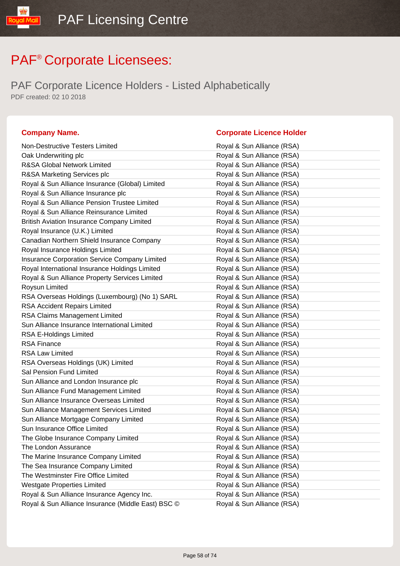PAF Corporate Licence Holders - Listed Alphabetically PDF created: 02 10 2018

#### **Company Name. Corporate Licence Holder** Non-Destructive Testers Limited **Royal & Sun Alliance (RSA)** Oak Underwriting plc **Community** Community Royal & Sun Alliance (RSA) R&SA Global Network Limited **RASA** Royal & Sun Alliance (RSA) R&SA Marketing Services plc **Royal & Sun Alliance (RSA)** Royal & Sun Alliance Insurance (Global) Limited Royal & Sun Alliance (RSA) Royal & Sun Alliance Insurance plc **Royal & Sun Alliance (RSA)** Royal & Sun Alliance Pension Trustee Limited **Royal & Sun Alliance (RSA)** Royal & Sun Alliance Reinsurance Limited **Royal & Sun Alliance (RSA)** British Aviation Insurance Company Limited Royal & Sun Alliance (RSA) Royal Insurance (U.K.) Limited Royal & Sun Alliance (RSA) Canadian Northern Shield Insurance Company **Royal & Sun Alliance (RSA)** Royal Insurance Holdings Limited **Royal & Sun Alliance (RSA)** Insurance Corporation Service Company Limited Royal & Sun Alliance (RSA) Royal International Insurance Holdings Limited Royal & Sun Alliance (RSA) Royal & Sun Alliance Property Services Limited Royal & Sun Alliance (RSA) Roysun Limited **Royal & Sun Alliance (RSA)** RSA Overseas Holdings (Luxembourg) (No 1) SARL Royal & Sun Alliance (RSA) RSA Accident Repairs Limited **Royal & Sun Alliance (RSA)** RSA Claims Management Limited **Royal & Sun Alliance (RSA)** Sun Alliance Insurance International Limited **Royal & Sun Alliance (RSA)** RSA E-Holdings Limited RSA E-Holdings Limited Royal & Sun Alliance (RSA) RSA Finance **Royal & Sun Alliance** (RSA) RSA Law Limited **Royal & Sun Alliance (RSA)** RSA Overseas Holdings (UK) Limited Royal & Sun Alliance (RSA) Sal Pension Fund Limited **Royal & Sun Alliance (RSA)** Sun Alliance and London Insurance plc Royal & Sun Alliance (RSA) Sun Alliance Fund Management Limited **Royal & Sun Alliance (RSA)** Sun Alliance Insurance Overseas Limited Royal & Sun Alliance (RSA) Sun Alliance Management Services Limited **Royal & Sun Alliance (RSA)** Sun Alliance Mortgage Company Limited **Royal & Sun Alliance (RSA)** Sun Insurance Office Limited **Royal & Sun Alliance (RSA)** The Globe Insurance Company Limited Royal & Sun Alliance (RSA) The London Assurance The London Assurance and Royal & Sun Alliance (RSA) The Marine Insurance Company Limited **Royal & Sun Alliance (RSA)** The Sea Insurance Company Limited Royal & Sun Alliance (RSA) The Westminster Fire Office Limited **Royal & Sun Alliance (RSA)** Westgate Properties Limited **Royal & Sun Alliance (RSA)** Royal & Sun Alliance Insurance Agency Inc. Royal & Sun Alliance (RSA) Royal & Sun Alliance Insurance (Middle East) BSC © Royal & Sun Alliance (RSA)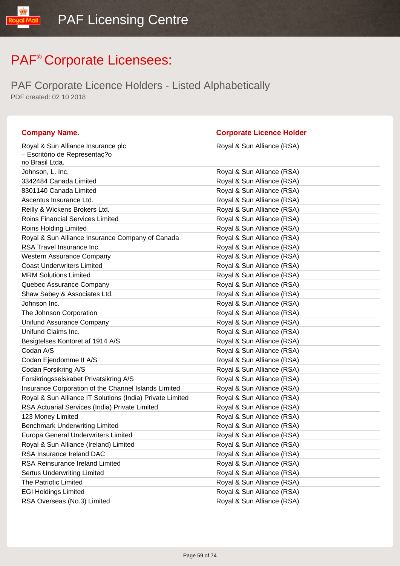PAF Corporate Licence Holders - Listed Alphabetically PDF created: 02 10 2018

Royal & Sun Alliance Insurance plc

#### **Company Name. Corporate Licence Holder**

Royal & Sun Alliance (RSA)

| - Escritório de Representaç?o                             |                            |
|-----------------------------------------------------------|----------------------------|
| no Brasil Ltda.                                           |                            |
| Johnson, L. Inc.                                          | Royal & Sun Alliance (RSA) |
| 3342484 Canada Limited                                    | Royal & Sun Alliance (RSA) |
| 8301140 Canada Limited                                    | Royal & Sun Alliance (RSA) |
| Ascentus Insurance Ltd.                                   | Royal & Sun Alliance (RSA) |
| Reilly & Wickens Brokers Ltd.                             | Royal & Sun Alliance (RSA) |
| <b>Roins Financial Services Limited</b>                   | Royal & Sun Alliance (RSA) |
| Roins Holding Limited                                     | Royal & Sun Alliance (RSA) |
| Royal & Sun Alliance Insurance Company of Canada          | Royal & Sun Alliance (RSA) |
| RSA Travel Insurance Inc.                                 | Royal & Sun Alliance (RSA) |
| Western Assurance Company                                 | Royal & Sun Alliance (RSA) |
| <b>Coast Underwriters Limited</b>                         | Royal & Sun Alliance (RSA) |
| <b>MRM Solutions Limited</b>                              | Royal & Sun Alliance (RSA) |
| Quebec Assurance Company                                  | Royal & Sun Alliance (RSA) |
| Shaw Sabey & Associates Ltd.                              | Royal & Sun Alliance (RSA) |
| Johnson Inc.                                              | Royal & Sun Alliance (RSA) |
| The Johnson Corporation                                   | Royal & Sun Alliance (RSA) |
| <b>Unifund Assurance Company</b>                          | Royal & Sun Alliance (RSA) |
| Unifund Claims Inc.                                       | Royal & Sun Alliance (RSA) |
| Besigtelses Kontoret af 1914 A/S                          | Royal & Sun Alliance (RSA) |
| Codan A/S                                                 | Royal & Sun Alliance (RSA) |
| Codan Ejendomme II A/S                                    | Royal & Sun Alliance (RSA) |
| Codan Forsikring A/S                                      | Royal & Sun Alliance (RSA) |
| Forsikringsselskabet Privatsikring A/S                    | Royal & Sun Alliance (RSA) |
| Insurance Corporation of the Channel Islands Limited      | Royal & Sun Alliance (RSA) |
| Royal & Sun Alliance IT Solutions (India) Private Limited | Royal & Sun Alliance (RSA) |
| RSA Actuarial Services (India) Private Limited            | Royal & Sun Alliance (RSA) |
| 123 Money Limited                                         | Royal & Sun Alliance (RSA) |
| <b>Benchmark Underwriting Limited</b>                     | Royal & Sun Alliance (RSA) |
| Europa General Underwriters Limited                       | Royal & Sun Alliance (RSA) |
| Royal & Sun Alliance (Ireland) Limited                    | Royal & Sun Alliance (RSA) |
| RSA Insurance Ireland DAC                                 | Royal & Sun Alliance (RSA) |
| <b>RSA Reinsurance Ireland Limited</b>                    | Royal & Sun Alliance (RSA) |
| <b>Sertus Underwriting Limited</b>                        | Royal & Sun Alliance (RSA) |
| The Patriotic Limited                                     | Royal & Sun Alliance (RSA) |
| <b>EGI Holdings Limited</b>                               | Royal & Sun Alliance (RSA) |
| RSA Overseas (No.3) Limited                               | Royal & Sun Alliance (RSA) |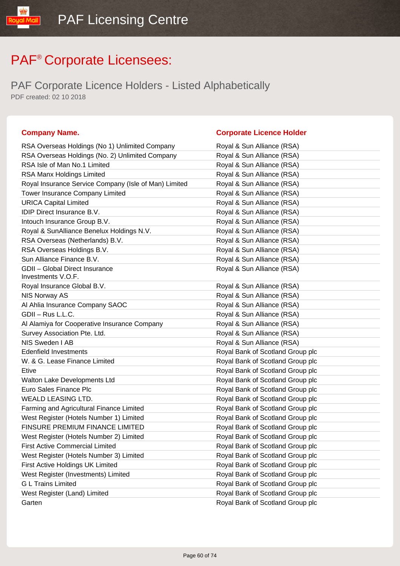PAF Corporate Licence Holders - Listed Alphabetically PDF created: 02 10 2018

#### **Company Name. Corporate Licence Holder** RSA Overseas Holdings (No 1) Unlimited Company Royal & Sun Alliance (RSA) RSA Overseas Holdings (No. 2) Unlimited Company Royal & Sun Alliance (RSA) RSA Isle of Man No.1 Limited RSA Isle of Man No.1 Limited Royal & Sun Alliance (RSA) RSA Manx Holdings Limited **Royal & Sun Alliance (RSA)** Royal Insurance Service Company (Isle of Man) Limited Royal & Sun Alliance (RSA) Tower Insurance Company Limited **Royal & Sun Alliance (RSA)** URICA Capital Limited **Royal & Sun Alliance (RSA)** IDIP Direct Insurance B.V. **Royal & Sun Alliance (RSA)** Intouch Insurance Group B.V. **Royal & Sun Alliance (RSA)** Royal & SunAlliance Benelux Holdings N.V. Royal & Sun Alliance (RSA) RSA Overseas (Netherlands) B.V. Royal & Sun Alliance (RSA) RSA Overseas Holdings B.V. Royal & Sun Alliance (RSA) Sun Alliance Finance B.V. **Royal & Sun Alliance (RSA)** GDII – Global Direct Insurance Investments V.O.F. Royal & Sun Alliance (RSA) Royal Insurance Global B.V. Royal & Sun Alliance (RSA) NIS Norway AS **Royal & Sun Alliance (RSA)** Al Ahlia Insurance Company SAOC Royal & Sun Alliance (RSA) GDII – Rus L.L.C. **Royal & Sun Alliance (RSA)** Al Alamiya for Cooperative Insurance Company Royal & Sun Alliance (RSA) Survey Association Pte. Ltd. And Royal & Sun Alliance (RSA) NIS Sweden I AB **Royal & Sun Alliance (RSA)** Edenfield Investments Royal Bank of Scotland Group plc W. & G. Lease Finance Limited **Royal Bank of Scotland Group plc** Etive **Example 2018** Etive Royal Bank of Scotland Group plc Walton Lake Developments Ltd **Royal Bank of Scotland Group plc** Royal Bank of Scotland Group plc Euro Sales Finance Plc **Euro Sales Finance Plc** Royal Bank of Scotland Group plc WEALD LEASING LTD. **Royal Bank of Scotland Group plc** Farming and Agricultural Finance Limited **Royal Bank of Scotland Group plc** West Register (Hotels Number 1) Limited Royal Bank of Scotland Group plc FINSURE PREMIUM FINANCE LIMITED Royal Bank of Scotland Group plc West Register (Hotels Number 2) Limited Royal Bank of Scotland Group plc First Active Commercial Limited **Royal Bank of Scotland Group plc** West Register (Hotels Number 3) Limited Royal Bank of Scotland Group plc First Active Holdings UK Limited **Royal Bank of Scotland Group plc** West Register (Investments) Limited Royal Bank of Scotland Group plc G L Trains Limited **Group planets and Critical Contract Contract Critical** Royal Bank of Scotland Group plc West Register (Land) Limited **Royal Bank of Scotland Group plc** Royal Bank of Scotland Group plc Garten **Garten Garten Garten Group plc Garten Group plc Group plc Group plc Group plc Group plc Group plc Group plc Group plc Group plc Group plc Group plc Group plc Group plc Group plc**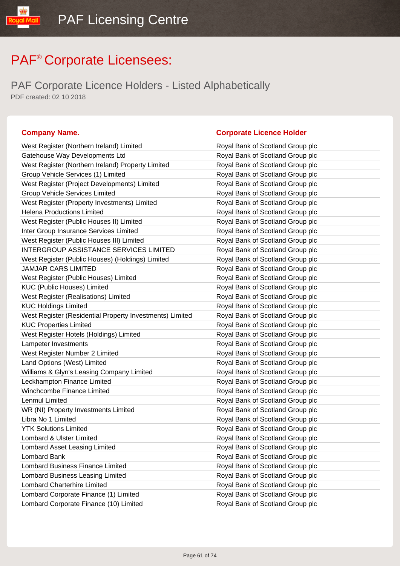PAF Corporate Licence Holders - Listed Alphabetically PDF created: 02 10 2018

| West Register (Northern Ireland) Limited                 | Royal Bank of Scotland Group plc |
|----------------------------------------------------------|----------------------------------|
| Gatehouse Way Developments Ltd                           | Royal Bank of Scotland Group plc |
| West Register (Northern Ireland) Property Limited        | Royal Bank of Scotland Group plc |
| Group Vehicle Services (1) Limited                       | Royal Bank of Scotland Group plc |
| West Register (Project Developments) Limited             | Royal Bank of Scotland Group plc |
| <b>Group Vehicle Services Limited</b>                    | Royal Bank of Scotland Group plc |
| West Register (Property Investments) Limited             | Royal Bank of Scotland Group plc |
| <b>Helena Productions Limited</b>                        | Royal Bank of Scotland Group plc |
| West Register (Public Houses II) Limited                 | Royal Bank of Scotland Group plc |
| Inter Group Insurance Services Limited                   | Royal Bank of Scotland Group plc |
| West Register (Public Houses III) Limited                | Royal Bank of Scotland Group plc |
| <b>INTERGROUP ASSISTANCE SERVICES LIMITED</b>            | Royal Bank of Scotland Group plc |
| West Register (Public Houses) (Holdings) Limited         | Royal Bank of Scotland Group plc |
| <b>JAMJAR CARS LIMITED</b>                               | Royal Bank of Scotland Group plc |
| West Register (Public Houses) Limited                    | Royal Bank of Scotland Group plc |
| <b>KUC (Public Houses) Limited</b>                       | Royal Bank of Scotland Group plc |
| West Register (Realisations) Limited                     | Royal Bank of Scotland Group plc |
| <b>KUC Holdings Limited</b>                              | Royal Bank of Scotland Group plc |
| West Register (Residential Property Investments) Limited | Royal Bank of Scotland Group plc |
| <b>KUC Properties Limited</b>                            | Royal Bank of Scotland Group plc |
| West Register Hotels (Holdings) Limited                  | Royal Bank of Scotland Group plc |
| Lampeter Investments                                     | Royal Bank of Scotland Group plc |
| West Register Number 2 Limited                           | Royal Bank of Scotland Group plc |
| Land Options (West) Limited                              | Royal Bank of Scotland Group plc |
| Williams & Glyn's Leasing Company Limited                | Royal Bank of Scotland Group plc |
| Leckhampton Finance Limited                              | Royal Bank of Scotland Group plc |
| Winchcombe Finance Limited                               | Royal Bank of Scotland Group plc |
| Lenmul Limited                                           | Royal Bank of Scotland Group plc |
| WR (NI) Property Investments Limited                     | Royal Bank of Scotland Group plc |
| Libra No 1 Limited                                       | Royal Bank of Scotland Group plc |
| <b>YTK Solutions Limited</b>                             | Royal Bank of Scotland Group plc |
| Lombard & Ulster Limited                                 | Royal Bank of Scotland Group plc |
| Lombard Asset Leasing Limited                            | Royal Bank of Scotland Group plc |
| <b>Lombard Bank</b>                                      | Royal Bank of Scotland Group plc |
| <b>Lombard Business Finance Limited</b>                  | Royal Bank of Scotland Group plc |
| Lombard Business Leasing Limited                         | Royal Bank of Scotland Group plc |
| <b>Lombard Charterhire Limited</b>                       | Royal Bank of Scotland Group plc |
| Lombard Corporate Finance (1) Limited                    | Royal Bank of Scotland Group plc |
| Lombard Corporate Finance (10) Limited                   | Royal Bank of Scotland Group plc |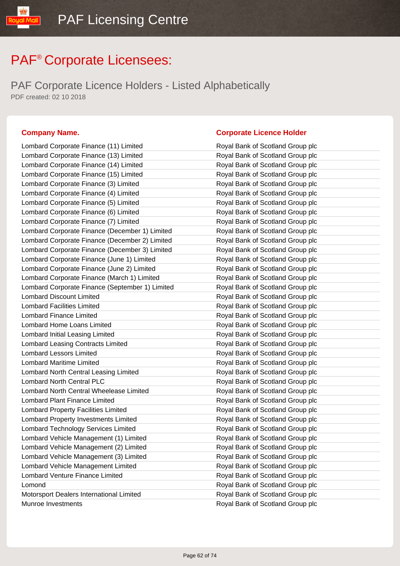PAF Corporate Licence Holders - Listed Alphabetically PDF created: 02 10 2018

#### **Company Name. Corporate Licence Holder**

| Lombard Corporate Finance (11) Limited          | Royal Bank of Scotland Group plc |
|-------------------------------------------------|----------------------------------|
| Lombard Corporate Finance (13) Limited          | Royal Bank of Scotland Group plc |
| Lombard Corporate Finance (14) Limited          | Royal Bank of Scotland Group plc |
| Lombard Corporate Finance (15) Limited          | Royal Bank of Scotland Group plc |
| Lombard Corporate Finance (3) Limited           | Royal Bank of Scotland Group plc |
| Lombard Corporate Finance (4) Limited           | Royal Bank of Scotland Group plc |
| Lombard Corporate Finance (5) Limited           | Royal Bank of Scotland Group plc |
| Lombard Corporate Finance (6) Limited           | Royal Bank of Scotland Group plc |
| Lombard Corporate Finance (7) Limited           | Royal Bank of Scotland Group plc |
| Lombard Corporate Finance (December 1) Limited  | Royal Bank of Scotland Group plc |
| Lombard Corporate Finance (December 2) Limited  | Royal Bank of Scotland Group plc |
| Lombard Corporate Finance (December 3) Limited  | Royal Bank of Scotland Group plc |
| Lombard Corporate Finance (June 1) Limited      | Royal Bank of Scotland Group plc |
| Lombard Corporate Finance (June 2) Limited      | Royal Bank of Scotland Group plc |
| Lombard Corporate Finance (March 1) Limited     | Royal Bank of Scotland Group plc |
| Lombard Corporate Finance (September 1) Limited | Royal Bank of Scotland Group plc |
| <b>Lombard Discount Limited</b>                 | Royal Bank of Scotland Group plc |
| <b>Lombard Facilities Limited</b>               | Royal Bank of Scotland Group plc |
| <b>Lombard Finance Limited</b>                  | Royal Bank of Scotland Group plc |
| Lombard Home Loans Limited                      | Royal Bank of Scotland Group plc |
| Lombard Initial Leasing Limited                 | Royal Bank of Scotland Group plc |
| Lombard Leasing Contracts Limited               | Royal Bank of Scotland Group plc |
| <b>Lombard Lessors Limited</b>                  | Royal Bank of Scotland Group plc |
| <b>Lombard Maritime Limited</b>                 | Royal Bank of Scotland Group plc |
| Lombard North Central Leasing Limited           | Royal Bank of Scotland Group plc |
| <b>Lombard North Central PLC</b>                | Royal Bank of Scotland Group plc |
| Lombard North Central Wheelease Limited         | Royal Bank of Scotland Group plc |
| <b>Lombard Plant Finance Limited</b>            | Royal Bank of Scotland Group plc |
| Lombard Property Facilities Limited             | Royal Bank of Scotland Group plc |
| Lombard Property Investments Limited            | Royal Bank of Scotland Group plc |
| Lombard Technology Services Limited             | Royal Bank of Scotland Group plc |
| Lombard Vehicle Management (1) Limited          | Royal Bank of Scotland Group plc |
| Lombard Vehicle Management (2) Limited          | Royal Bank of Scotland Group plc |
| Lombard Vehicle Management (3) Limited          | Royal Bank of Scotland Group plc |
| Lombard Vehicle Management Limited              | Royal Bank of Scotland Group plc |
| Lombard Venture Finance Limited                 | Royal Bank of Scotland Group plc |
| Lomond                                          | Royal Bank of Scotland Group plc |
| Motorsport Dealers International Limited        | Royal Bank of Scotland Group plc |
| Munroe Investments                              | Royal Bank of Scotland Group plc |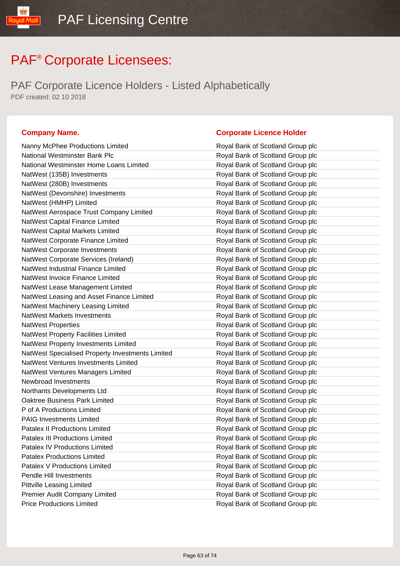PAF Corporate Licence Holders - Listed Alphabetically PDF created: 02 10 2018

| Nanny McPhee Productions Limited                 | Royal Bank of Scotland Group plc |
|--------------------------------------------------|----------------------------------|
| National Westminster Bank Plc                    | Royal Bank of Scotland Group plc |
| National Westminster Home Loans Limited          | Royal Bank of Scotland Group plc |
| NatWest (135B) Investments                       | Royal Bank of Scotland Group plc |
| NatWest (280B) Investments                       | Royal Bank of Scotland Group plc |
| NatWest (Devonshire) Investments                 | Royal Bank of Scotland Group plc |
| NatWest (HMHP) Limited                           | Royal Bank of Scotland Group plc |
| NatWest Aerospace Trust Company Limited          | Royal Bank of Scotland Group plc |
| NatWest Capital Finance Limited                  | Royal Bank of Scotland Group plc |
| NatWest Capital Markets Limited                  | Royal Bank of Scotland Group plc |
| NatWest Corporate Finance Limited                | Royal Bank of Scotland Group plc |
| NatWest Corporate Investments                    | Royal Bank of Scotland Group plc |
| NatWest Corporate Services (Ireland)             | Royal Bank of Scotland Group plc |
| NatWest Industrial Finance Limited               | Royal Bank of Scotland Group plc |
| NatWest Invoice Finance Limited                  | Royal Bank of Scotland Group plc |
| NatWest Lease Management Limited                 | Royal Bank of Scotland Group plc |
| NatWest Leasing and Asset Finance Limited        | Royal Bank of Scotland Group plc |
| NatWest Machinery Leasing Limited                | Royal Bank of Scotland Group plc |
| <b>NatWest Markets Investments</b>               | Royal Bank of Scotland Group plc |
| <b>NatWest Properties</b>                        | Royal Bank of Scotland Group plc |
| NatWest Property Facilities Limited              | Royal Bank of Scotland Group plc |
| NatWest Property Investments Limited             | Royal Bank of Scotland Group plc |
| NatWest Specialised Property Investments Limited | Royal Bank of Scotland Group plc |
| NatWest Ventures Investments Limited             | Royal Bank of Scotland Group plc |
| NatWest Ventures Managers Limited                | Royal Bank of Scotland Group plc |
| Newbroad Investments                             | Royal Bank of Scotland Group plc |
| Northants Developments Ltd                       | Royal Bank of Scotland Group plc |
| Oaktree Business Park Limited                    | Royal Bank of Scotland Group plc |
| P of A Productions Limited                       | Royal Bank of Scotland Group plc |
| <b>PAIG Investments Limited</b>                  | Royal Bank of Scotland Group plc |
| <b>Patalex II Productions Limited</b>            | Royal Bank of Scotland Group plc |
| Patalex III Productions Limited                  | Royal Bank of Scotland Group plc |
| Patalex IV Productions Limited                   | Royal Bank of Scotland Group plc |
| <b>Patalex Productions Limited</b>               | Royal Bank of Scotland Group plc |
| Patalex V Productions Limited                    | Royal Bank of Scotland Group plc |
| Pendle Hill Investments                          | Royal Bank of Scotland Group plc |
| Pittville Leasing Limited                        | Royal Bank of Scotland Group plc |
| Premier Audit Company Limited                    | Royal Bank of Scotland Group plc |
| <b>Price Productions Limited</b>                 | Royal Bank of Scotland Group plc |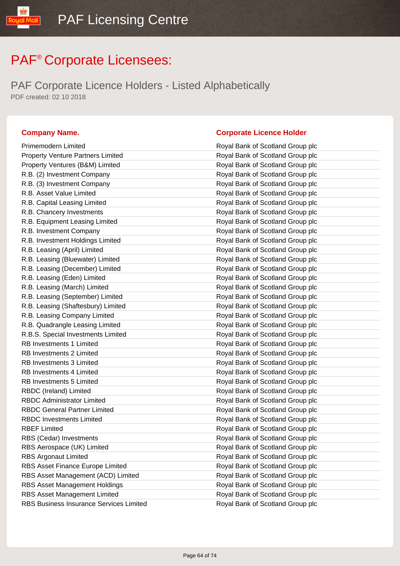PAF Corporate Licence Holders - Listed Alphabetically PDF created: 02 10 2018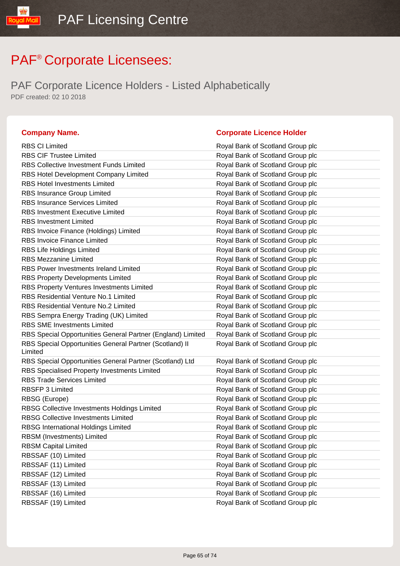PAF Corporate Licence Holders - Listed Alphabetically PDF created: 02 10 2018

| <b>RBS CI Limited</b>                                              | Royal Bank of Scotland Group plc |
|--------------------------------------------------------------------|----------------------------------|
| <b>RBS CIF Trustee Limited</b>                                     | Royal Bank of Scotland Group plc |
| <b>RBS Collective Investment Funds Limited</b>                     | Royal Bank of Scotland Group plc |
| RBS Hotel Development Company Limited                              | Royal Bank of Scotland Group plc |
| <b>RBS Hotel Investments Limited</b>                               | Royal Bank of Scotland Group plc |
| RBS Insurance Group Limited                                        | Royal Bank of Scotland Group plc |
| <b>RBS Insurance Services Limited</b>                              | Royal Bank of Scotland Group plc |
| <b>RBS Investment Executive Limited</b>                            | Royal Bank of Scotland Group plc |
| <b>RBS Investment Limited</b>                                      | Royal Bank of Scotland Group plc |
| RBS Invoice Finance (Holdings) Limited                             | Royal Bank of Scotland Group plc |
| <b>RBS Invoice Finance Limited</b>                                 | Royal Bank of Scotland Group plc |
| RBS Life Holdings Limited                                          | Royal Bank of Scotland Group plc |
| <b>RBS Mezzanine Limited</b>                                       | Royal Bank of Scotland Group plc |
| <b>RBS Power Investments Ireland Limited</b>                       | Royal Bank of Scotland Group plc |
| <b>RBS Property Developments Limited</b>                           | Royal Bank of Scotland Group plc |
| RBS Property Ventures Investments Limited                          | Royal Bank of Scotland Group plc |
| <b>RBS Residential Venture No.1 Limited</b>                        | Royal Bank of Scotland Group plc |
| RBS Residential Venture No.2 Limited                               | Royal Bank of Scotland Group plc |
| RBS Sempra Energy Trading (UK) Limited                             | Royal Bank of Scotland Group plc |
| <b>RBS SME Investments Limited</b>                                 | Royal Bank of Scotland Group plc |
| RBS Special Opportunities General Partner (England) Limited        | Royal Bank of Scotland Group plc |
| RBS Special Opportunities General Partner (Scotland) II<br>Limited | Royal Bank of Scotland Group plc |
| RBS Special Opportunities General Partner (Scotland) Ltd           | Royal Bank of Scotland Group plc |
| RBS Specialised Property Investments Limited                       | Royal Bank of Scotland Group plc |
| <b>RBS Trade Services Limited</b>                                  | Royal Bank of Scotland Group plc |
| RBSFP 3 Limited                                                    | Royal Bank of Scotland Group plc |
| RBSG (Europe)                                                      | Royal Bank of Scotland Group plc |
| RBSG Collective Investments Holdings Limited                       | Royal Bank of Scotland Group plc |
| <b>RBSG Collective Investments Limited</b>                         | Royal Bank of Scotland Group plc |
| <b>RBSG International Holdings Limited</b>                         | Royal Bank of Scotland Group plc |
| RBSM (Investments) Limited                                         | Royal Bank of Scotland Group plc |
| <b>RBSM Capital Limited</b>                                        | Royal Bank of Scotland Group plc |
| RBSSAF (10) Limited                                                | Royal Bank of Scotland Group plc |
| RBSSAF (11) Limited                                                | Royal Bank of Scotland Group plc |
| RBSSAF (12) Limited                                                | Royal Bank of Scotland Group plc |
| RBSSAF (13) Limited                                                | Royal Bank of Scotland Group plc |
| RBSSAF (16) Limited                                                | Royal Bank of Scotland Group plc |
| RBSSAF (19) Limited                                                | Royal Bank of Scotland Group plc |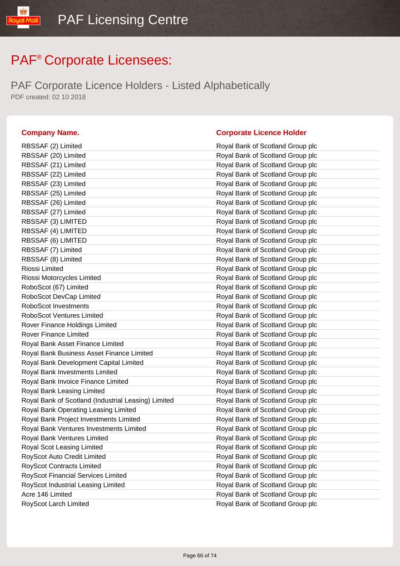PAF Corporate Licence Holders - Listed Alphabetically PDF created: 02 10 2018

| RBSSAF (2) Limited                                  | Royal Bank of Scotland Group plc |
|-----------------------------------------------------|----------------------------------|
| RBSSAF (20) Limited                                 | Royal Bank of Scotland Group plc |
| RBSSAF (21) Limited                                 | Royal Bank of Scotland Group plc |
| RBSSAF (22) Limited                                 | Royal Bank of Scotland Group plc |
| RBSSAF (23) Limited                                 | Royal Bank of Scotland Group plc |
| RBSSAF (25) Limited                                 | Royal Bank of Scotland Group plc |
| RBSSAF (26) Limited                                 | Royal Bank of Scotland Group plc |
| RBSSAF (27) Limited                                 | Royal Bank of Scotland Group plc |
| RBSSAF (3) LIMITED                                  | Royal Bank of Scotland Group plc |
| RBSSAF (4) LIMITED                                  | Royal Bank of Scotland Group plc |
| RBSSAF (6) LIMITED                                  | Royal Bank of Scotland Group plc |
| RBSSAF (7) Limited                                  | Royal Bank of Scotland Group plc |
| RBSSAF (8) Limited                                  | Royal Bank of Scotland Group plc |
| Riossi Limited                                      | Royal Bank of Scotland Group plc |
| Riossi Motorcycles Limited                          | Royal Bank of Scotland Group plc |
| RoboScot (67) Limited                               | Royal Bank of Scotland Group plc |
| RoboScot DevCap Limited                             | Royal Bank of Scotland Group plc |
| RoboScot Investments                                | Royal Bank of Scotland Group plc |
| <b>RoboScot Ventures Limited</b>                    | Royal Bank of Scotland Group plc |
| Rover Finance Holdings Limited                      | Royal Bank of Scotland Group plc |
| <b>Rover Finance Limited</b>                        | Royal Bank of Scotland Group plc |
| Royal Bank Asset Finance Limited                    | Royal Bank of Scotland Group plc |
| Royal Bank Business Asset Finance Limited           | Royal Bank of Scotland Group plc |
| Royal Bank Development Capital Limited              | Royal Bank of Scotland Group plc |
| Royal Bank Investments Limited                      | Royal Bank of Scotland Group plc |
| Royal Bank Invoice Finance Limited                  | Royal Bank of Scotland Group plc |
| Royal Bank Leasing Limited                          | Royal Bank of Scotland Group plc |
| Royal Bank of Scotland (Industrial Leasing) Limited | Royal Bank of Scotland Group plc |
| Royal Bank Operating Leasing Limited                | Royal Bank of Scotland Group plc |
| Royal Bank Project Investments Limited              | Royal Bank of Scotland Group plc |
| Royal Bank Ventures Investments Limited             | Royal Bank of Scotland Group plc |
| Royal Bank Ventures Limited                         | Royal Bank of Scotland Group plc |
| Royal Scot Leasing Limited                          | Royal Bank of Scotland Group plc |
| RoyScot Auto Credit Limited                         | Royal Bank of Scotland Group plc |
| <b>RoyScot Contracts Limited</b>                    | Royal Bank of Scotland Group plc |
| <b>RoyScot Financial Services Limited</b>           | Royal Bank of Scotland Group plc |
| RoyScot Industrial Leasing Limited                  | Royal Bank of Scotland Group plc |
| Acre 146 Limited                                    | Royal Bank of Scotland Group plc |
| RoyScot Larch Limited                               | Royal Bank of Scotland Group plc |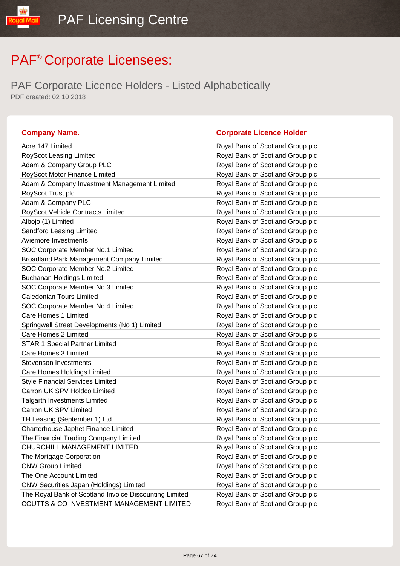PAF Corporate Licence Holders - Listed Alphabetically PDF created: 02 10 2018

| Acre 147 Limited                                       | Royal Bank of Scotland Group plc |
|--------------------------------------------------------|----------------------------------|
| RoyScot Leasing Limited                                | Royal Bank of Scotland Group plc |
| Adam & Company Group PLC                               | Royal Bank of Scotland Group plc |
| RoyScot Motor Finance Limited                          | Royal Bank of Scotland Group plc |
| Adam & Company Investment Management Limited           | Royal Bank of Scotland Group plc |
| RoyScot Trust plc                                      | Royal Bank of Scotland Group plc |
| Adam & Company PLC                                     | Royal Bank of Scotland Group plc |
| RoyScot Vehicle Contracts Limited                      | Royal Bank of Scotland Group plc |
| Albojo (1) Limited                                     | Royal Bank of Scotland Group plc |
| Sandford Leasing Limited                               | Royal Bank of Scotland Group plc |
| Aviemore Investments                                   | Royal Bank of Scotland Group plc |
| SOC Corporate Member No.1 Limited                      | Royal Bank of Scotland Group plc |
| Broadland Park Management Company Limited              | Royal Bank of Scotland Group plc |
| SOC Corporate Member No.2 Limited                      | Royal Bank of Scotland Group plc |
| <b>Buchanan Holdings Limited</b>                       | Royal Bank of Scotland Group plc |
| SOC Corporate Member No.3 Limited                      | Royal Bank of Scotland Group plc |
| <b>Caledonian Tours Limited</b>                        | Royal Bank of Scotland Group plc |
| SOC Corporate Member No.4 Limited                      | Royal Bank of Scotland Group plc |
| Care Homes 1 Limited                                   | Royal Bank of Scotland Group plc |
| Springwell Street Developments (No 1) Limited          | Royal Bank of Scotland Group plc |
| Care Homes 2 Limited                                   | Royal Bank of Scotland Group plc |
| <b>STAR 1 Special Partner Limited</b>                  | Royal Bank of Scotland Group plc |
| Care Homes 3 Limited                                   | Royal Bank of Scotland Group plc |
| <b>Stevenson Investments</b>                           | Royal Bank of Scotland Group plc |
| Care Homes Holdings Limited                            | Royal Bank of Scotland Group plc |
| <b>Style Financial Services Limited</b>                | Royal Bank of Scotland Group plc |
| Carron UK SPV Holdco Limited                           | Royal Bank of Scotland Group plc |
| <b>Talgarth Investments Limited</b>                    | Royal Bank of Scotland Group plc |
| Carron UK SPV Limited                                  | Royal Bank of Scotland Group plc |
| TH Leasing (September 1) Ltd.                          | Royal Bank of Scotland Group plc |
| Charterhouse Japhet Finance Limited                    | Royal Bank of Scotland Group plc |
| The Financial Trading Company Limited                  | Royal Bank of Scotland Group plc |
| CHURCHILL MANAGEMENT LIMITED                           | Royal Bank of Scotland Group plc |
| The Mortgage Corporation                               | Royal Bank of Scotland Group plc |
| <b>CNW Group Limited</b>                               | Royal Bank of Scotland Group plc |
| The One Account Limited                                | Royal Bank of Scotland Group plc |
| CNW Securities Japan (Holdings) Limited                | Royal Bank of Scotland Group plc |
| The Royal Bank of Scotland Invoice Discounting Limited | Royal Bank of Scotland Group plc |
| COUTTS & CO INVESTMENT MANAGEMENT LIMITED              | Royal Bank of Scotland Group plc |
|                                                        |                                  |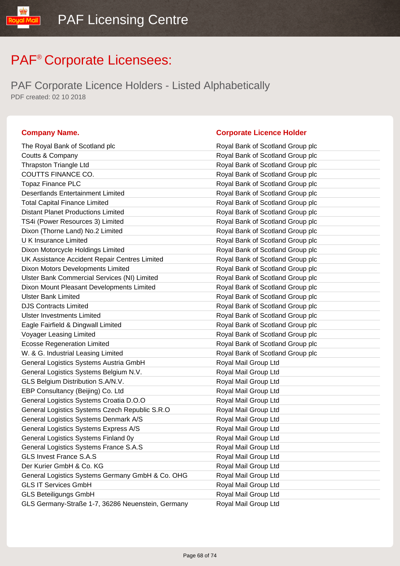PAF Corporate Licence Holders - Listed Alphabetically PDF created: 02 10 2018

| The Royal Bank of Scotland plc                    | Royal Bank of Scotland Group plc |
|---------------------------------------------------|----------------------------------|
| Coutts & Company                                  | Royal Bank of Scotland Group plc |
| <b>Thrapston Triangle Ltd</b>                     | Royal Bank of Scotland Group plc |
| COUTTS FINANCE CO.                                | Royal Bank of Scotland Group plc |
| <b>Topaz Finance PLC</b>                          | Royal Bank of Scotland Group plc |
| <b>Desertlands Entertainment Limited</b>          | Royal Bank of Scotland Group plc |
| <b>Total Capital Finance Limited</b>              | Royal Bank of Scotland Group plc |
| <b>Distant Planet Productions Limited</b>         | Royal Bank of Scotland Group plc |
| TS4i (Power Resources 3) Limited                  | Royal Bank of Scotland Group plc |
| Dixon (Thorne Land) No.2 Limited                  | Royal Bank of Scotland Group plc |
| <b>UK Insurance Limited</b>                       | Royal Bank of Scotland Group plc |
| Dixon Motorcycle Holdings Limited                 | Royal Bank of Scotland Group plc |
| UK Assistance Accident Repair Centres Limited     | Royal Bank of Scotland Group plc |
| Dixon Motors Developments Limited                 | Royal Bank of Scotland Group plc |
| Ulster Bank Commercial Services (NI) Limited      | Royal Bank of Scotland Group plc |
| Dixon Mount Pleasant Developments Limited         | Royal Bank of Scotland Group plc |
| <b>Ulster Bank Limited</b>                        | Royal Bank of Scotland Group plc |
| <b>DJS Contracts Limited</b>                      | Royal Bank of Scotland Group plc |
| <b>Ulster Investments Limited</b>                 | Royal Bank of Scotland Group plc |
| Eagle Fairfield & Dingwall Limited                | Royal Bank of Scotland Group plc |
| <b>Voyager Leasing Limited</b>                    | Royal Bank of Scotland Group plc |
| <b>Ecosse Regeneration Limited</b>                | Royal Bank of Scotland Group plc |
| W. & G. Industrial Leasing Limited                | Royal Bank of Scotland Group plc |
| General Logistics Systems Austria GmbH            | Royal Mail Group Ltd             |
| General Logistics Systems Belgium N.V.            | Royal Mail Group Ltd             |
| GLS Belgium Distribution S.A/N.V.                 | Royal Mail Group Ltd             |
| EBP Consultancy (Beijing) Co. Ltd                 | Royal Mail Group Ltd             |
| General Logistics Systems Croatia D.O.O           | Royal Mail Group Ltd             |
| General Logistics Systems Czech Republic S.R.O    | Royal Mail Group Ltd             |
| General Logistics Systems Denmark A/S             | Royal Mail Group Ltd             |
| General Logistics Systems Express A/S             | Royal Mail Group Ltd             |
| General Logistics Systems Finland 0y              | Royal Mail Group Ltd             |
| General Logistics Systems France S.A.S            | Royal Mail Group Ltd             |
| <b>GLS Invest France S.A.S</b>                    | Royal Mail Group Ltd             |
| Der Kurier GmbH & Co. KG                          | Royal Mail Group Ltd             |
| General Logistics Systems Germany GmbH & Co. OHG  | Royal Mail Group Ltd             |
| <b>GLS IT Services GmbH</b>                       | Royal Mail Group Ltd             |
| <b>GLS Beteiligungs GmbH</b>                      | Royal Mail Group Ltd             |
| GLS Germany-Straße 1-7, 36286 Neuenstein, Germany | Royal Mail Group Ltd             |
|                                                   |                                  |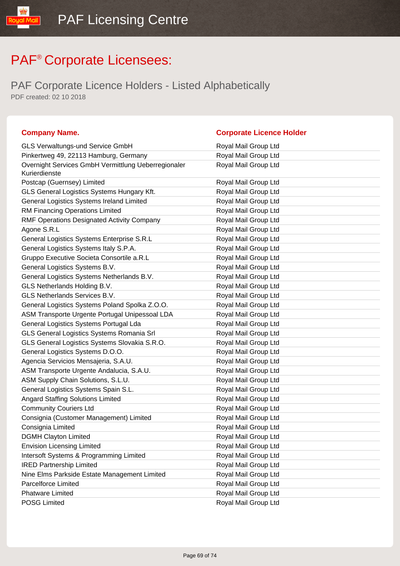| <b>Company Name.</b>                                                 | <b>Corporate Licence Holder</b> |
|----------------------------------------------------------------------|---------------------------------|
| <b>GLS Verwaltungs-und Service GmbH</b>                              | Royal Mail Group Ltd            |
| Pinkertweg 49, 22113 Hamburg, Germany                                | Royal Mail Group Ltd            |
| Overnight Services GmbH Vermittlung Ueberregionaler<br>Kurierdienste | Royal Mail Group Ltd            |
| Postcap (Guernsey) Limited                                           | Royal Mail Group Ltd            |
| GLS General Logistics Systems Hungary Kft.                           | Royal Mail Group Ltd            |
| General Logistics Systems Ireland Limited                            | Royal Mail Group Ltd            |
| RM Financing Operations Limited                                      | Royal Mail Group Ltd            |
| RMF Operations Designated Activity Company                           | Royal Mail Group Ltd            |
| Agone S.R.L                                                          | Royal Mail Group Ltd            |
| General Logistics Systems Enterprise S.R.L                           | Royal Mail Group Ltd            |
| General Logistics Systems Italy S.P.A.                               | Royal Mail Group Ltd            |
| Gruppo Executive Societa Consortile a.R.L                            | Royal Mail Group Ltd            |
| General Logistics Systems B.V.                                       | Royal Mail Group Ltd            |
| General Logistics Systems Netherlands B.V.                           | Royal Mail Group Ltd            |
| GLS Netherlands Holding B.V.                                         | Royal Mail Group Ltd            |
| GLS Netherlands Services B.V.                                        | Royal Mail Group Ltd            |
| General Logistics Systems Poland Spolka Z.O.O.                       | Royal Mail Group Ltd            |
| ASM Transporte Urgente Portugal Unipessoal LDA                       | Royal Mail Group Ltd            |
| General Logistics Systems Portugal Lda                               | Royal Mail Group Ltd            |
| GLS General Logistics Systems Romania Srl                            | Royal Mail Group Ltd            |
| GLS General Logistics Systems Slovakia S.R.O.                        | Royal Mail Group Ltd            |
| General Logistics Systems D.O.O.                                     | Royal Mail Group Ltd            |
| Agencia Servicios Mensajeria, S.A.U.                                 | Royal Mail Group Ltd            |
| ASM Transporte Urgente Andalucia, S.A.U.                             | Royal Mail Group Ltd            |
| ASM Supply Chain Solutions, S.L.U.                                   | Royal Mail Group Ltd            |
| General Logistics Systems Spain S.L.                                 | Royal Mail Group Ltd            |
| <b>Angard Staffing Solutions Limited</b>                             | Royal Mail Group Ltd            |
| <b>Community Couriers Ltd</b>                                        | Royal Mail Group Ltd            |
| Consignia (Customer Management) Limited                              | Royal Mail Group Ltd            |
| Consignia Limited                                                    | Royal Mail Group Ltd            |
| <b>DGMH Clayton Limited</b>                                          | Royal Mail Group Ltd            |
| <b>Envision Licensing Limited</b>                                    | Royal Mail Group Ltd            |
| Intersoft Systems & Programming Limited                              | Royal Mail Group Ltd            |
| <b>IRED Partnership Limited</b>                                      | Royal Mail Group Ltd            |
| Nine Elms Parkside Estate Management Limited                         | Royal Mail Group Ltd            |
| Parcelforce Limited                                                  | Royal Mail Group Ltd            |
| <b>Phatware Limited</b>                                              | Royal Mail Group Ltd            |
| POSG Limited                                                         | Royal Mail Group Ltd            |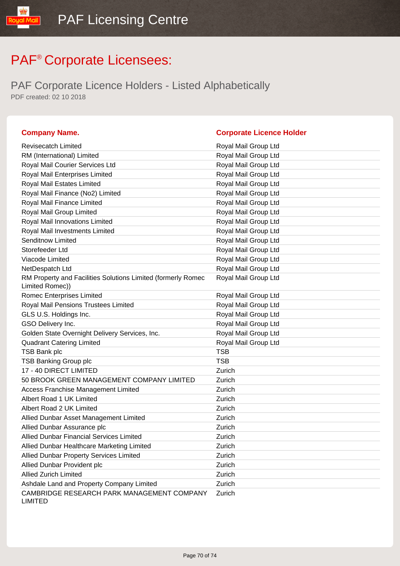| <b>Company Name.</b>                                                            | <b>Corporate Licence Holder</b> |
|---------------------------------------------------------------------------------|---------------------------------|
| <b>Revisecatch Limited</b>                                                      | Royal Mail Group Ltd            |
| RM (International) Limited                                                      | Royal Mail Group Ltd            |
| Royal Mail Courier Services Ltd                                                 | Royal Mail Group Ltd            |
| Royal Mail Enterprises Limited                                                  | Royal Mail Group Ltd            |
| Royal Mail Estates Limited                                                      | Royal Mail Group Ltd            |
| Royal Mail Finance (No2) Limited                                                | Royal Mail Group Ltd            |
| Royal Mail Finance Limited                                                      | Royal Mail Group Ltd            |
| Royal Mail Group Limited                                                        | Royal Mail Group Ltd            |
| Royal Mail Innovations Limited                                                  | Royal Mail Group Ltd            |
| Royal Mail Investments Limited                                                  | Royal Mail Group Ltd            |
| Senditnow Limited                                                               | Royal Mail Group Ltd            |
| Storefeeder Ltd                                                                 | Royal Mail Group Ltd            |
| Viacode Limited                                                                 | Royal Mail Group Ltd            |
| NetDespatch Ltd                                                                 | Royal Mail Group Ltd            |
| RM Property and Facilities Solutions Limited (formerly Romec<br>Limited Romec)) | Royal Mail Group Ltd            |
| <b>Romec Enterprises Limited</b>                                                | Royal Mail Group Ltd            |
| Royal Mail Pensions Trustees Limited                                            | Royal Mail Group Ltd            |
| GLS U.S. Holdings Inc.                                                          | Royal Mail Group Ltd            |
| GSO Delivery Inc.                                                               | Royal Mail Group Ltd            |
| Golden State Overnight Delivery Services, Inc.                                  | Royal Mail Group Ltd            |
| <b>Quadrant Catering Limited</b>                                                | Royal Mail Group Ltd            |
| <b>TSB Bank plc</b>                                                             | <b>TSB</b>                      |
| <b>TSB Banking Group plc</b>                                                    | <b>TSB</b>                      |
| 17 - 40 DIRECT LIMITED                                                          | Zurich                          |
| 50 BROOK GREEN MANAGEMENT COMPANY LIMITED                                       | Zurich                          |
| <b>Access Franchise Management Limited</b>                                      | Zurich                          |
| Albert Road 1 UK Limited                                                        | Zurich                          |
| Albert Road 2 UK Limited                                                        | Zurich                          |
| Allied Dunbar Asset Management Limited                                          | Zurich                          |
| Allied Dunbar Assurance plc                                                     | Zurich                          |
| <b>Allied Dunbar Financial Services Limited</b>                                 | Zurich                          |
| Allied Dunbar Healthcare Marketing Limited                                      | Zurich                          |
| <b>Allied Dunbar Property Services Limited</b>                                  | Zurich                          |
| Allied Dunbar Provident plc                                                     | Zurich                          |
| <b>Allied Zurich Limited</b>                                                    | Zurich                          |
| Ashdale Land and Property Company Limited                                       | Zurich                          |
| CAMBRIDGE RESEARCH PARK MANAGEMENT COMPANY<br><b>LIMITED</b>                    | Zurich                          |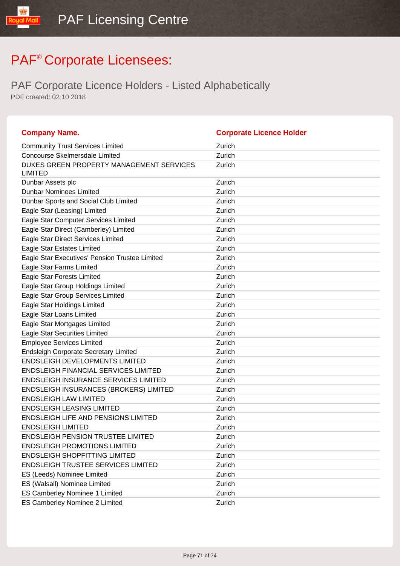| <b>Company Name.</b>                                       | <b>Corporate Licence Holder</b> |
|------------------------------------------------------------|---------------------------------|
| <b>Community Trust Services Limited</b>                    | Zurich                          |
| <b>Concourse Skelmersdale Limited</b>                      | Zurich                          |
| DUKES GREEN PROPERTY MANAGEMENT SERVICES<br><b>LIMITED</b> | Zurich                          |
| Dunbar Assets plc                                          | Zurich                          |
| <b>Dunbar Nominees Limited</b>                             | Zurich                          |
| Dunbar Sports and Social Club Limited                      | Zurich                          |
| Eagle Star (Leasing) Limited                               | Zurich                          |
| Eagle Star Computer Services Limited                       | Zurich                          |
| Eagle Star Direct (Camberley) Limited                      | Zurich                          |
| Eagle Star Direct Services Limited                         | Zurich                          |
| Eagle Star Estates Limited                                 | Zurich                          |
| Eagle Star Executives' Pension Trustee Limited             | Zurich                          |
| Eagle Star Farms Limited                                   | Zurich                          |
| Eagle Star Forests Limited                                 | Zurich                          |
| Eagle Star Group Holdings Limited                          | Zurich                          |
| Eagle Star Group Services Limited                          | Zurich                          |
| Eagle Star Holdings Limited                                | Zurich                          |
| <b>Eagle Star Loans Limited</b>                            | Zurich                          |
| Eagle Star Mortgages Limited                               | Zurich                          |
| <b>Eagle Star Securities Limited</b>                       | Zurich                          |
| <b>Employee Services Limited</b>                           | Zurich                          |
| <b>Endsleigh Corporate Secretary Limited</b>               | Zurich                          |
| <b>ENDSLEIGH DEVELOPMENTS LIMITED</b>                      | Zurich                          |
| <b>ENDSLEIGH FINANCIAL SERVICES LIMITED</b>                | Zurich                          |
| <b>ENDSLEIGH INSURANCE SERVICES LIMITED</b>                | Zurich                          |
| <b>ENDSLEIGH INSURANCES (BROKERS) LIMITED</b>              | Zurich                          |
| <b>ENDSLEIGH LAW LIMITED</b>                               | Zurich                          |
| <b>ENDSLEIGH LEASING LIMITED</b>                           | Zurich                          |
| <b>ENDSLEIGH LIFE AND PENSIONS LIMITED</b>                 | Zurich                          |
| <b>ENDSLEIGH LIMITED</b>                                   | Zurich                          |
| <b>ENDSLEIGH PENSION TRUSTEE LIMITED</b>                   | Zurich                          |
| <b>ENDSLEIGH PROMOTIONS LIMITED</b>                        | Zurich                          |
| <b>ENDSLEIGH SHOPFITTING LIMITED</b>                       | Zurich                          |
| <b>ENDSLEIGH TRUSTEE SERVICES LIMITED</b>                  | Zurich                          |
| ES (Leeds) Nominee Limited                                 | Zurich                          |
| ES (Walsall) Nominee Limited                               | Zurich                          |
| ES Camberley Nominee 1 Limited                             | Zurich                          |
| ES Camberley Nominee 2 Limited                             | Zurich                          |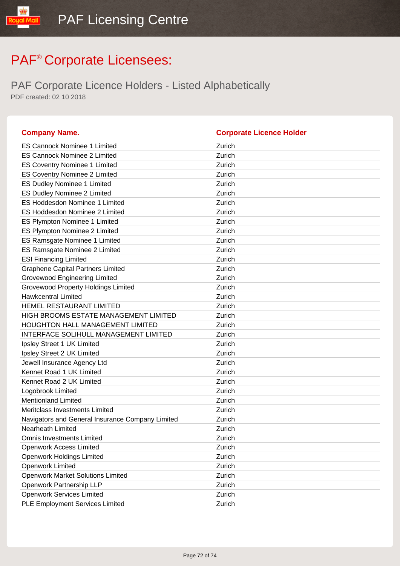| <b>Company Name.</b>                             | <b>Corporate Licence Holder</b> |
|--------------------------------------------------|---------------------------------|
| ES Cannock Nominee 1 Limited                     | Zurich                          |
| <b>ES Cannock Nominee 2 Limited</b>              | Zurich                          |
| <b>ES Coventry Nominee 1 Limited</b>             | Zurich                          |
| <b>ES Coventry Nominee 2 Limited</b>             | Zurich                          |
| <b>ES Dudley Nominee 1 Limited</b>               | Zurich                          |
| ES Dudley Nominee 2 Limited                      | Zurich                          |
| <b>ES Hoddesdon Nominee 1 Limited</b>            | Zurich                          |
| ES Hoddesdon Nominee 2 Limited                   | Zurich                          |
| ES Plympton Nominee 1 Limited                    | Zurich                          |
| ES Plympton Nominee 2 Limited                    | Zurich                          |
| ES Ramsgate Nominee 1 Limited                    | Zurich                          |
| ES Ramsgate Nominee 2 Limited                    | Zurich                          |
| <b>ESI Financing Limited</b>                     | Zurich                          |
| <b>Graphene Capital Partners Limited</b>         | Zurich                          |
| <b>Grovewood Engineering Limited</b>             | Zurich                          |
| <b>Grovewood Property Holdings Limited</b>       | Zurich                          |
| <b>Hawkcentral Limited</b>                       | Zurich                          |
| HEMEL RESTAURANT LIMITED                         | Zurich                          |
| HIGH BROOMS ESTATE MANAGEMENT LIMITED            | Zurich                          |
| HOUGHTON HALL MANAGEMENT LIMITED                 | Zurich                          |
| INTERFACE SOLIHULL MANAGEMENT LIMITED            | Zurich                          |
| Ipsley Street 1 UK Limited                       | Zurich                          |
| Ipsley Street 2 UK Limited                       | Zurich                          |
| Jewell Insurance Agency Ltd                      | Zurich                          |
| Kennet Road 1 UK Limited                         | Zurich                          |
| Kennet Road 2 UK Limited                         | Zurich                          |
| Logobrook Limited                                | Zurich                          |
| <b>Mentionland Limited</b>                       | Zurich                          |
| Meritclass Investments Limited                   | Zurich                          |
| Navigators and General Insurance Company Limited | Zurich                          |
| Nearheath Limited                                | Zurich                          |
| <b>Omnis Investments Limited</b>                 | Zurich                          |
| <b>Openwork Access Limited</b>                   | Zurich                          |
| <b>Openwork Holdings Limited</b>                 | Zurich                          |
| <b>Openwork Limited</b>                          | Zurich                          |
| <b>Openwork Market Solutions Limited</b>         | Zurich                          |
| Openwork Partnership LLP                         | Zurich                          |
| <b>Openwork Services Limited</b>                 | Zurich                          |
| <b>PLE Employment Services Limited</b>           | Zurich                          |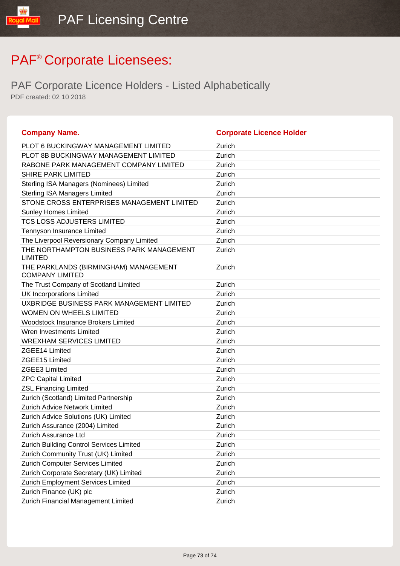## PAF<sup>®</sup> Corporate Licensees:

PAF Corporate Licence Holders - Listed Alphabetically PDF created: 02 10 2018

| <b>Company Name.</b>                                            | <b>Corporate Licence Holder</b> |
|-----------------------------------------------------------------|---------------------------------|
| <b>PLOT 6 BUCKINGWAY MANAGEMENT LIMITED</b>                     | Zurich                          |
| <b>PLOT 8B BUCKINGWAY MANAGEMENT LIMITED</b>                    | Zurich                          |
| RABONE PARK MANAGEMENT COMPANY LIMITED                          | Zurich                          |
| <b>SHIRE PARK LIMITED</b>                                       | Zurich                          |
| Sterling ISA Managers (Nominees) Limited                        | Zurich                          |
| <b>Sterling ISA Managers Limited</b>                            | Zurich                          |
| STONE CROSS ENTERPRISES MANAGEMENT LIMITED                      | Zurich                          |
| <b>Sunley Homes Limited</b>                                     | Zurich                          |
| TCS LOSS ADJUSTERS LIMITED                                      | Zurich                          |
| Tennyson Insurance Limited                                      | Zurich                          |
| The Liverpool Reversionary Company Limited                      | Zurich                          |
| THE NORTHAMPTON BUSINESS PARK MANAGEMENT<br><b>LIMITED</b>      | Zurich                          |
| THE PARKLANDS (BIRMINGHAM) MANAGEMENT<br><b>COMPANY LIMITED</b> | Zurich                          |
| The Trust Company of Scotland Limited                           | Zurich                          |
| <b>UK Incorporations Limited</b>                                | Zurich                          |
| UXBRIDGE BUSINESS PARK MANAGEMENT LIMITED                       | Zurich                          |
| <b>WOMEN ON WHEELS LIMITED</b>                                  | Zurich                          |
| <b>Woodstock Insurance Brokers Limited</b>                      | Zurich                          |
| Wren Investments Limited                                        | Zurich                          |
| <b>WREXHAM SERVICES LIMITED</b>                                 | Zurich                          |
| ZGEE14 Limited                                                  | Zurich                          |
| ZGEE15 Limited                                                  | Zurich                          |
| ZGEE3 Limited                                                   | Zurich                          |
| <b>ZPC Capital Limited</b>                                      | Zurich                          |
| <b>ZSL Financing Limited</b>                                    | Zurich                          |
| Zurich (Scotland) Limited Partnership                           | Zurich                          |
| Zurich Advice Network Limited                                   | Zurich                          |
| Zurich Advice Solutions (UK) Limited                            | Zurich                          |
| Zurich Assurance (2004) Limited                                 | Zurich                          |
| Zurich Assurance Ltd                                            | Zurich                          |
| Zurich Building Control Services Limited                        | Zurich                          |
| Zurich Community Trust (UK) Limited                             | Zurich                          |
| Zurich Computer Services Limited                                | Zurich                          |
| Zurich Corporate Secretary (UK) Limited                         | Zurich                          |
| Zurich Employment Services Limited                              | Zurich                          |
| Zurich Finance (UK) plc                                         | Zurich                          |
| Zurich Financial Management Limited                             | Zurich                          |